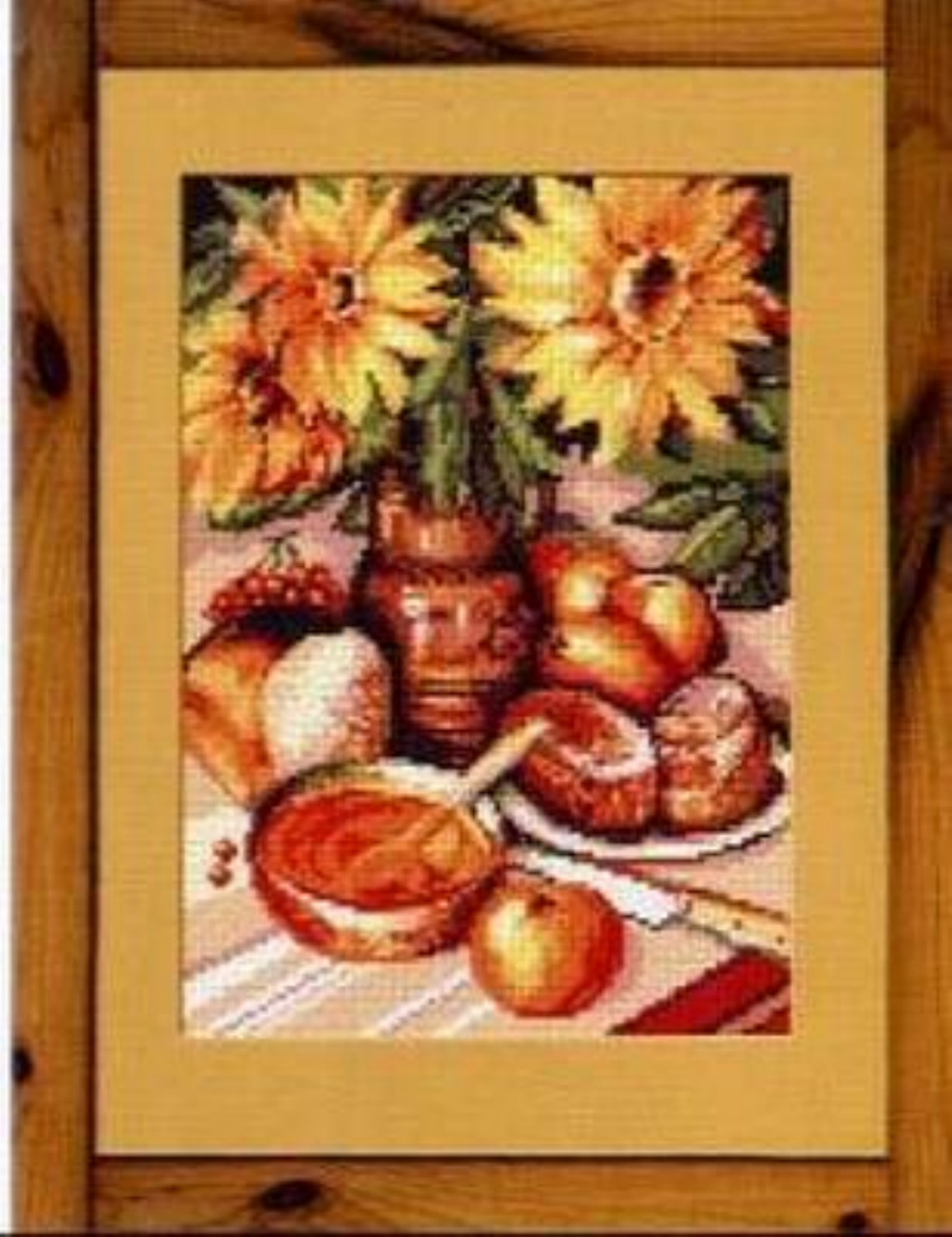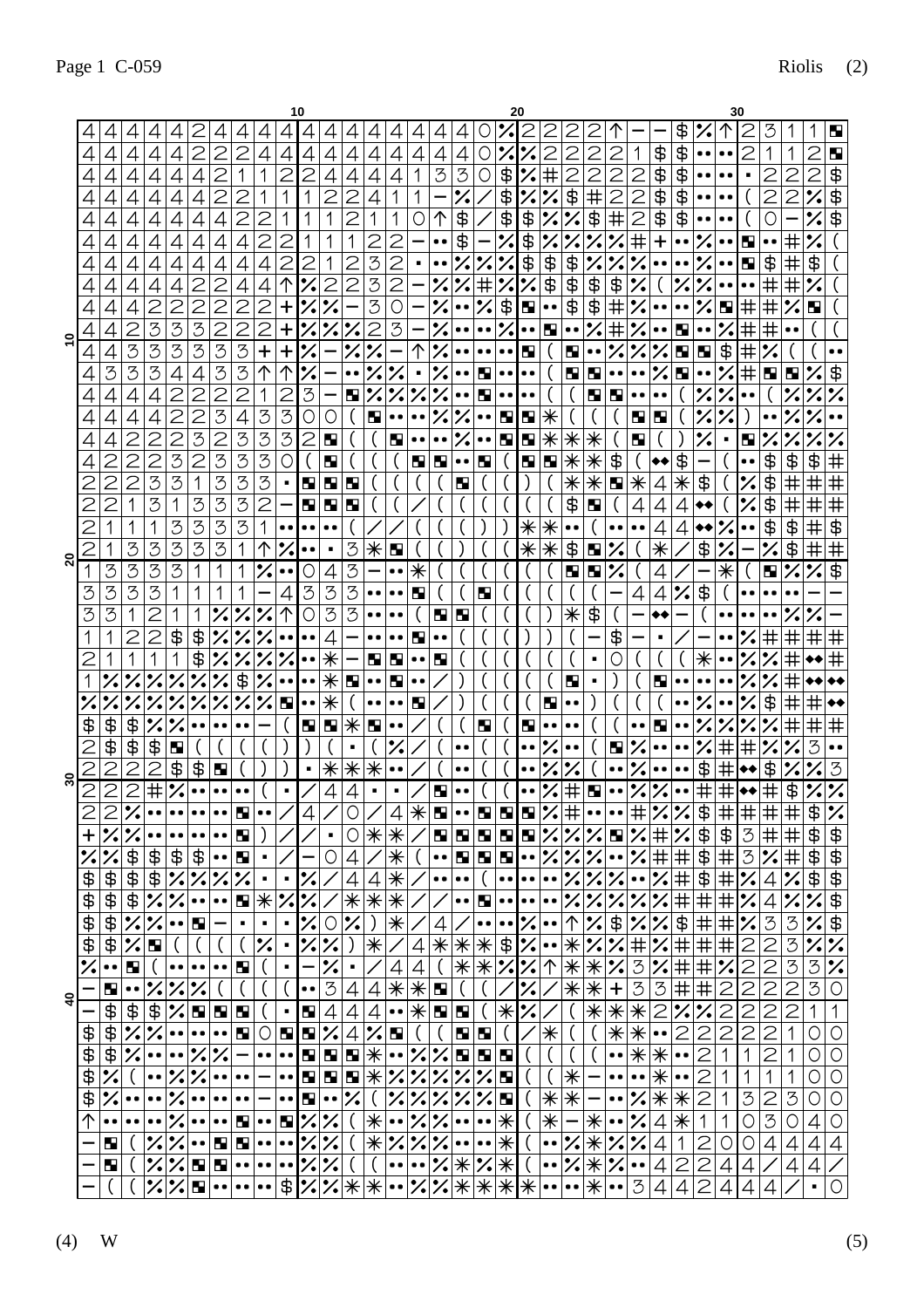| Page 1 C-059 |  |  |  |  |    |  |  |
|--------------|--|--|--|--|----|--|--|
|              |  |  |  |  | 10 |  |  |
|              |  |  |  |  |    |  |  |

|                           |                          |                            |                           |                           |                          |                          |                |                          |                      | 10                   |                                 |                          |                          |                   |                      |                          |                          |                          |                         | 20                        |                           |                            |                          |                           |                           |                            |                            |                          |                           | 30                      |                                     |                                                         |                                |                          |                           |
|---------------------------|--------------------------|----------------------------|---------------------------|---------------------------|--------------------------|--------------------------|----------------|--------------------------|----------------------|----------------------|---------------------------------|--------------------------|--------------------------|-------------------|----------------------|--------------------------|--------------------------|--------------------------|-------------------------|---------------------------|---------------------------|----------------------------|--------------------------|---------------------------|---------------------------|----------------------------|----------------------------|--------------------------|---------------------------|-------------------------|-------------------------------------|---------------------------------------------------------|--------------------------------|--------------------------|---------------------------|
|                           |                          |                            |                           |                           |                          |                          |                |                          |                      |                      |                                 |                          |                          |                   |                      |                          |                          |                          |                         |                           |                           |                            |                          |                           |                           |                            |                            | \$                       |                           |                         |                                     | 3                                                       |                                |                          | Ы                         |
|                           | 4                        |                            |                           |                           |                          |                          |                | 2                        |                      |                      |                                 |                          |                          |                   |                      |                          |                          |                          |                         |                           |                           |                            | 2                        | $\overline{2}$            |                           |                            | \$                         | \$                       |                           |                         | 7                                   |                                                         |                                | 2                        | Ы                         |
|                           |                          |                            |                           |                           |                          |                          |                |                          |                      |                      |                                 |                          |                          |                   |                      |                          |                          |                          |                         |                           |                           |                            |                          |                           |                           |                            |                            |                          |                           |                         |                                     |                                                         |                                |                          |                           |
|                           | 4                        |                            |                           |                           |                          |                          |                |                          |                      |                      |                                 | 4                        |                          |                   |                      |                          | 3                        | 3                        | C                       | \$                        |                           | #                          |                          |                           |                           |                            | \$                         | \$                       |                           |                         | П                                   | 2                                                       |                                | 2                        | \$                        |
|                           | 4                        |                            |                           |                           |                          |                          |                |                          |                      | 1                    | 1                               |                          |                          |                   |                      | 1                        |                          | %                        |                         | $\overline{\mathfrak{s}}$ |                           |                            | \$                       | $\#$                      |                           | 2                          | \$                         | \$                       |                           |                         |                                     |                                                         | 2                              |                          | \$                        |
|                           | 4                        |                            |                           |                           |                          |                          |                |                          |                      |                      |                                 | 1                        | $\overline{c}$           |                   |                      |                          |                          | \$                       |                         | \$                        | \$                        | %                          | ∕∙                       | \$                        | #                         | $\overline{2}$             | \$                         | \$                       |                           |                         |                                     | $\bigcirc$                                              |                                | %                        | \$                        |
|                           | 4                        |                            | 4                         | 4                         |                          |                          |                |                          | 2                    | $\overline{c}$       |                                 |                          |                          | 2                 | 2                    |                          |                          | \$                       |                         |                           | $\overline{\Phi}$         |                            |                          |                           |                           | #                          | ┿                          |                          | $\gamma_{\bullet}$        |                         | H                                   |                                                         | #                              |                          |                           |
|                           |                          |                            |                           |                           |                          |                          |                |                          |                      | $\overline{c}$       |                                 |                          |                          |                   |                      |                          |                          |                          |                         |                           |                           |                            |                          |                           |                           |                            |                            |                          |                           |                         |                                     |                                                         |                                |                          |                           |
|                           | 4                        |                            | 4                         | 4                         |                          |                          |                |                          |                      |                      | 2                               | 1                        | 2                        | 3                 | 2                    |                          |                          |                          | ′∙                      | ℅                         | $\overline{\mathfrak{s}}$ | \$                         | \$                       |                           |                           |                            |                            |                          | ′∙                        |                         | H                                   | $\frac{4}{1}$                                           | #                              | \$                       |                           |
|                           | 4                        |                            | 4                         |                           |                          |                          |                |                          |                      |                      |                                 | 2                        | $\overline{2}$           | 3                 | 2                    |                          |                          | %                        | #                       | %                         |                           | $\overline{\mathfrak{s}}$  | \$                       | $\overline{\mathfrak{s}}$ | \$                        |                            |                            |                          |                           |                         |                                     |                                                         | $\overline{\ddot{\pi}}$        | ℅                        |                           |
|                           | 4                        |                            |                           |                           |                          |                          |                |                          | 2                    | $\ddagger$           | ′∙                              | ℅                        |                          | 3                 |                      |                          | $\gamma_{\bullet}$       |                          | ℅                       | \$                        | Н                         |                            | \$                       | \$                        |                           |                            |                            |                          | ٬                         | H                       |                                     | $\overline{\ddot{\texttt{+}}}$                          |                                | Н                        |                           |
|                           | 4                        |                            |                           | 3                         | 3                        | 3                        |                | 2                        | 2                    | $\ddagger$           |                                 | ٠                        |                          |                   | 3                    |                          | ۰,                       |                          | $\bullet$               | $\gamma_{\bullet}$        |                           | Ы                          | $\bullet$                |                           |                           |                            |                            |                          |                           |                         |                                     | $\#$                                                    |                                |                          |                           |
| ٥Ļ                        |                          |                            | 3                         | 3                         | 3                        | 3                        | 3              | 3                        |                      |                      | ×                               |                          | %                        |                   |                      |                          | %                        |                          |                         |                           |                           |                            |                          |                           |                           |                            |                            |                          |                           |                         |                                     |                                                         |                                |                          |                           |
|                           | 4                        |                            |                           |                           |                          |                          |                |                          | $\ddagger$           | $\ddot{}$            |                                 |                          |                          |                   |                      |                          |                          |                          |                         |                           | Н                         |                            | Н                        |                           |                           |                            |                            | Ы                        | Ы                         | \$                      |                                     |                                                         |                                |                          |                           |
|                           | 4                        | 3                          | 3                         | 3                         |                          |                          | 3              | $\overline{\mathcal{L}}$ |                      |                      | ℅                               |                          | $\bullet$                | ٬                 | ′∙                   |                          | ℅                        |                          | Ы                       |                           | $\bullet$                 |                            | Н                        | Ы                         |                           |                            |                            | Ы                        |                           | %                       | #                                   | Н                                                       | Ы                              |                          | \$                        |
|                           | 4                        |                            | 4                         | 4                         | 2                        | 2                        | 2              | $\overline{c}$           |                      | 2                    | 3                               |                          | Ы                        | ٠                 | ′∙                   |                          | ∕∙                       |                          | Ы                       |                           |                           |                            |                          | Ы                         | Ы                         |                            |                            |                          | <b>⁄`</b>                 | ′∙                      |                                     |                                                         | ℅                              |                          | ℅                         |
|                           | 4                        |                            | 4                         | 4                         |                          |                          | $\overline{5}$ | 4                        | 3                    | 3                    | O                               | Ο                        |                          | 5                 |                      |                          | $\gamma$                 | ℅                        |                         | Ы                         | Ы                         | $\ast$                     |                          |                           |                           | Ы                          | Н                          |                          | ٠<br>∕.                   |                         |                                     |                                                         |                                |                          |                           |
|                           | $\overline{4}$           |                            | 2                         |                           |                          | 3                        | 2              | 3                        | 3                    | 3                    | 2                               | Н                        |                          |                   | 5                    |                          |                          | ℅                        |                         | Н                         | H                         | $\ast$                     | $\ast$                   | $\ast$                    |                           | Н                          |                            |                          | ℅                         | ٠                       | H                                   |                                                         |                                |                          |                           |
|                           |                          |                            |                           |                           |                          |                          |                |                          |                      |                      |                                 |                          |                          |                   |                      |                          |                          |                          |                         |                           |                           |                            |                          |                           |                           |                            |                            |                          |                           |                         |                                     |                                                         |                                |                          |                           |
|                           | 4                        | 2                          | $\overline{c}$            | 2                         | 3                        | 2                        | 3              | 3                        | $\overline{5}$       | $\overline{O}$       |                                 | Ы                        |                          |                   |                      | Ы                        | 5                        |                          | Н                       |                           | Ы                         | Ы                          | $\ast$                   | $\ast$                    | \$                        |                            | ◆◆                         | \$                       |                           |                         |                                     | \$                                                      | \$                             | \$                       | #                         |
|                           | 2                        | 2                          | 2                         | 3                         | 3                        | 1                        | 3              | $\overline{3}$           | 3                    | ٠                    | Ы                               | 53                       | Н                        |                   |                      |                          |                          | Н                        |                         |                           |                           |                            | ⋇                        | $\ast$                    | Ы                         | $\ast$                     |                            | ⋇                        | \$                        |                         |                                     | $\frac{\theta}{\theta}$                                 | #                              |                          | #                         |
|                           | 2                        |                            | 1                         | 3                         |                          | 3                        | 3              | 3                        | $\overline{c}$       |                      | Ы                               | æ                        | Ы                        |                   |                      |                          |                          |                          |                         |                           |                           |                            | \$                       | Ы                         |                           |                            |                            |                          |                           |                         | ′•                                  |                                                         | #                              |                          | $\#$                      |
|                           | 2                        |                            | 1                         | 1                         | 3                        | 3                        | 3              | 3                        |                      |                      |                                 |                          |                          |                   |                      |                          |                          |                          |                         |                           | $\ast$                    | $\ast$                     |                          |                           |                           |                            |                            |                          |                           |                         |                                     | $\overline{\mathbf{e}}$                                 | \$                             | $\#$                     | \$                        |
|                           | $\overline{2}$           | 1                          | 3                         | 3                         | 3                        | 3                        | 3              |                          |                      |                      | $\bullet$                       | ٠                        | 3                        | ⋇                 | 5                    |                          |                          |                          |                         |                           | $\ast$                    | $\ast$                     | \$                       | Н                         |                           |                            | ⋇                          |                          | \$                        |                         |                                     |                                                         | \$                             | #                        | #                         |
| $\boldsymbol{\mathsf{a}}$ |                          |                            |                           |                           |                          |                          |                |                          |                      |                      |                                 |                          |                          |                   |                      |                          |                          |                          |                         |                           |                           |                            |                          |                           |                           |                            |                            |                          |                           | ٠.                      |                                     |                                                         |                                |                          |                           |
|                           | 1                        | 3                          | 3                         | 3                         | 3                        |                          |                |                          | ℅                    |                      |                                 | 4                        | 3                        |                   |                      | $\ast$                   |                          |                          |                         |                           |                           |                            | H                        | Ы                         | ٠                         |                            |                            |                          |                           | $\ast$                  |                                     | Ы                                                       | ℅                              |                          | \$                        |
|                           | 3                        | 3                          | 3                         | 3                         |                          | 1                        |                |                          |                      |                      | 3                               | 3                        | 3                        |                   |                      | 53                       |                          |                          | Н                       |                           |                           |                            |                          |                           |                           |                            |                            | ٬                        | \$                        |                         |                                     |                                                         |                                |                          |                           |
|                           | 3                        | 3                          |                           | 2                         |                          |                          | ٠.             | ′∙                       | %                    |                      | 0                               | 3                        | 3                        |                   |                      |                          | Ы                        | Н                        |                         |                           |                           |                            | ⋇                        | \$                        |                           |                            |                            |                          |                           |                         |                                     |                                                         |                                |                          |                           |
|                           | 1                        | 1                          | $\overline{2}$            | $\overline{2}$            | \$                       | \$                       |                | ั้                       | ℅                    | $\bullet$            | $\bullet$                       | 4                        |                          |                   |                      | Ы                        |                          |                          |                         |                           |                           |                            |                          |                           | \$                        |                            | ٠                          |                          |                           |                         | ′∙                                  | #                                                       | $\bm{\ddagger}$                | $\#$                     | #                         |
|                           | $\overline{c}$           |                            |                           |                           |                          | \$                       |                |                          |                      |                      |                                 | $\ast$                   |                          | 63                | H                    |                          | Н                        |                          |                         |                           |                           |                            |                          |                           | C .                       |                            |                            |                          |                           |                         |                                     |                                                         | #                              |                          | #                         |
|                           |                          |                            |                           |                           |                          |                          |                |                          | ′.                   | ′∙                   |                                 |                          |                          |                   |                      |                          |                          |                          |                         |                           |                           |                            |                          |                           |                           |                            |                            |                          | $\ast$                    |                         | ′∙                                  |                                                         |                                |                          |                           |
|                           | 1                        | ℅                          | ℅                         | ╱•                        |                          |                          | ٬              | \$                       |                      |                      |                                 | $\ast$                   | Ы                        |                   | Ы                    |                          |                          |                          |                         |                           |                           |                            | Ы                        |                           |                           |                            | Ы                          |                          |                           |                         |                                     |                                                         | #                              |                          |                           |
|                           | ℅                        | ╱∙                         | ٠.                        | ╱∙                        |                          | ٠                        | ٠              | ٠.                       |                      | Ы                    |                                 | $\ast$                   |                          |                   |                      | Ы                        |                          |                          |                         |                           |                           | Ы                          |                          |                           |                           |                            |                            |                          | $\mathcal{V}_{\bullet}$   |                         | ٠                                   | \$                                                      | $\#$                           | ♯                        |                           |
|                           | \$                       | \$                         | \$                        | ۰.                        |                          |                          |                |                          |                      |                      | 52                              | Ы                        | $\ast$                   | Ы                 |                      |                          |                          |                          | H                       |                           | Н                         |                            |                          |                           |                           |                            | 62                         |                          |                           |                         | ٠                                   | ℅                                                       | $\overline{\ddot{\texttt{+}}}$ | ♯                        | $\#$                      |
|                           | 2                        | $\overline{\mathfrak{s}}$  | \$                        | \$                        |                          |                          |                |                          |                      |                      |                                 |                          |                          |                   | ′∙                   |                          |                          | $\bullet$                |                         |                           |                           |                            |                          |                           | Н                         |                            |                            |                          | ⁄.                        | #                       | #                                   | $\mathbf{z}$                                            |                                | 3                        |                           |
|                           |                          | 2                          |                           |                           |                          |                          |                |                          |                      |                      |                                 |                          |                          |                   |                      |                          |                          |                          |                         |                           |                           |                            |                          |                           |                           |                            |                            |                          |                           |                         |                                     |                                                         | ٠                              |                          |                           |
| వి                        | 2                        |                            |                           |                           |                          |                          |                |                          |                      |                      |                                 |                          |                          |                   |                      |                          |                          |                          |                         |                           |                           |                            |                          |                           |                           |                            |                            |                          |                           |                         |                                     |                                                         | ٠                              |                          | 3                         |
|                           | $\overline{2}$           |                            | 2                         | 2                         | \$                       | \$                       |                |                          |                      |                      | П                               | $\ast$                   | $\ast$                   |                   |                      |                          |                          |                          |                         |                           |                           |                            |                          |                           |                           |                            |                            |                          | \$                        | #                       |                                     | \$                                                      |                                |                          |                           |
|                           |                          |                            | 2                         | $\#$                      |                          |                          |                |                          |                      |                      |                                 | 4                        |                          |                   |                      |                          | 5                        |                          |                         |                           |                           |                            | ♯                        | Н                         |                           |                            |                            |                          | #                         | $\overline{\ddot{\pi}}$ |                                     | $\#$                                                    | \$                             |                          |                           |
|                           |                          | $\mathsf{S}$               |                           | $\ddot{\phantom{0}}$      | $\bullet$                | $\bullet$<br>$\bullet$   | $\bullet$ .    | $\overline{\phantom{a}}$ |                      |                      |                                 |                          | О                        |                   |                      |                          | Н                        | $\bullet$                | Ы                       | 6   6                     |                           |                            |                          | $\bullet$                 | $\bullet \bullet$         |                            |                            |                          |                           |                         |                                     |                                                         |                                |                          |                           |
|                           | $\mathsf{S}$             |                            | $\frac{1}{2}$             |                           |                          |                          |                |                          |                      |                      | 4                               | $\blacksquare$           |                          |                   | 4                    | $\ast$                   |                          |                          |                         |                           |                           | $\boldsymbol{\mathcal{U}}$ | 井                        |                           |                           | 井                          | $\mathbf{Z}$               | $\frac{1}{2}$            | $\overline{\Phi}$         | <u>井</u>                | 共                                   | <u>井</u>                                                |                                |                          | $\boldsymbol{\mathsf{z}}$ |
|                           | $\ddagger$               | $\frac{1}{2}$              | $\frac{1}{2}$             |                           |                          |                          |                | H                        |                      |                      |                                 |                          | 0                        | $\ast$            | $\ast$               |                          | Ы                        | b.                       | b.                      | $\blacksquare$            | b.                        | $\frac{1}{2}$              | $\boldsymbol{\times}$    | $\times$ E                |                           | $\boldsymbol{\mathcal{V}}$ | #                          | $\frac{1}{2}$            | $\overline{\mathfrak{s}}$ |                         |                                     |                                                         |                                |                          | $\bigoplus$               |
|                           |                          | $\frac{1}{2}$              | $\overline{\mathbf{P}}$   | \$                        | \$                       | \$                       |                | b.                       |                      |                      |                                 | $\bigcirc$               |                          |                   | $\ast$               |                          |                          | Ы                        | $\blacksquare$          | E                         | Ŵ,                        | $\overline{\mathscr{C}}$   | $\vert\mathcal{C}\vert$  | $\boldsymbol{\mathsf{z}}$ | $\cdot$                   | $\overline{\mathbf{X}}$    | #                          | $\overline{\pm}$         |                           |                         |                                     | $\frac{1}{1}$                                           |                                |                          |                           |
|                           |                          |                            |                           | $\overline{\mathfrak{s}}$ | $\frac{2}{3}$            |                          | %              | %                        | ٠                    | $\blacksquare$       | $\frac{1}{2}$                   |                          | $\overline{4}$           | 4                 | $\ast$               |                          |                          | $\bullet$ $\bullet$      |                         |                           | $\bullet$                 | $\bullet$ $\bullet$        | %                        | $\frac{1}{2}$             | $\frac{1}{2}$             | $\bullet$                  | $\boldsymbol{\mathcal{V}}$ | #                        |                           |                         | $\frac{3}{3}$                       | $\overline{4}$                                          | # # # *                        | $\frac{1}{\theta}$       |                           |
|                           |                          |                            |                           | $\boldsymbol{\mathsf{z}}$ | $\overline{\mathscr{C}}$ |                          |                | b.                       | $\ast$               | $\frac{1}{2}$        | $\frac{1}{2}$                   |                          | $\overline{\ast}$        | $\ast$            | $\ast$               |                          |                          | $\bullet$                | b.                      |                           | $\bullet$                 |                            | $\overline{\mathscr{C}}$ | $\frac{1}{2}$             | $\frac{1}{2}$             |                            | $\overline{\mathscr{C}}$   | $\overline{\ddot{\pm}}$  |                           |                         |                                     | $\overline{4}$                                          | $\overline{\mathscr{C}}$       | $\overline{\mathscr{C}}$ |                           |
|                           |                          | $\frac{1}{\theta}$         | $\frac{1}{\theta}$        |                           |                          |                          |                | $\blacksquare$           | ٠                    | $\blacksquare$       |                                 |                          |                          |                   |                      |                          |                          |                          |                         | $\bullet$                 |                           | $\ddot{\phantom{0}}$       |                          |                           |                           | $\frac{1}{2}$              |                            |                          |                           |                         | $\bar{\gamma}$                      |                                                         |                                |                          |                           |
|                           |                          | $\overline{\frac{\Phi}{}}$ | $\overline{\mathscr{C}}$  | $\frac{1}{2}$             |                          | Ы                        |                |                          |                      |                      | $\frac{1}{2}$                   | $\bigcirc$               | $\overline{\mathscr{C}}$ |                   | $\overline{\ast}$    |                          | 4                        |                          |                         |                           | $\frac{1}{2}$             |                            |                          | %                         | $\overline{\mathfrak{s}}$ | $\frac{1}{2}$              | $\overline{\mathscr{C}}$   |                          |                           |                         |                                     |                                                         |                                | $\frac{1}{2}$            | $\frac{1}{10}$            |
|                           | 电电电电                     | $\overline{\mathfrak{s}}$  | $\frac{1}{2}$             | Н                         |                          |                          |                |                          | %                    | ٠                    | $\overline{\mathscr{C}}$        | $\overline{\mathscr{C}}$ | $\mathcal{C}$            | $\ast$            |                      | 4                        | $\ast$                   |                          |                         | $\overline{\Phi}$         | ℅                         | $\bullet$                  | $\ast$                   | $\frac{1}{2}$             | $\frac{1}{2}$             |                            | $\overline{\mathscr{C}}$   |                          |                           |                         |                                     |                                                         |                                | $\overline{\mathscr{C}}$ | $\frac{1}{2}$             |
|                           | $\overline{\mathscr{C}}$ | $\bullet$                  | Ы                         |                           |                          |                          |                | Ы                        |                      | ×                    |                                 |                          | ٠                        |                   | 4                    |                          |                          | $* *$                    | $* *$                   | $\frac{1}{2}$             | $\overline{\mathscr{C}}$  | ↑                          | $\overline{\ast}$        | $\overline{\ast}$         | $\overline{\mathscr{C}}$  | $\frac{1}{3}$              | $\overline{\varkappa}$     | $\frac{1}{4}$            | \$<br>\$<br>#####         | \$######                |                                     |                                                         |                                | $\overline{3}$           | $\frac{1}{2}$             |
|                           |                          | b.                         | $\ddot{\phantom{0}}$      | $\frac{1}{2}$             | %                        | ℅                        |                |                          |                      |                      |                                 | 3                        | 4                        | 4                 | $\ast$               | $\overline{\ast}$        | H                        |                          |                         |                           |                           |                            | $\overline{\ast}$        | $*$                       | $\ddot{}$                 | $\overline{\mathcal{Z}}$   | $\overline{3}$             | #                        | $\pm$                     |                         | $\frac{\frac{11}{2}}{\frac{21}{2}}$ |                                                         | $\frac{3}{3}$ $\frac{3}{2}$    | $\overline{3}$           | $\overline{O}$            |
| $\overline{\mathbf{a}}$   |                          |                            |                           |                           | $\mathbf{\times}$        | Ы                        | Ы              | b.                       |                      | $\blacksquare$       | $\blacksquare$                  | $\overline{4}$           | 4                        | 4                 | $\ddot{\phantom{0}}$ | $\overline{\ast}$        | $\blacksquare$           | b.                       |                         | $\overline{\ast}$         | $\overline{\mathbf{z}}$   |                            | $\overline{\mathcal{L}}$ |                           |                           |                            |                            | $\overline{\mathscr{C}}$ |                           |                         |                                     |                                                         |                                | $\mathbf 1$              | $\overline{1}$            |
|                           |                          |                            | $\overline{\mathfrak{s}}$ | $\overline{\mathbf{B}}$   |                          |                          |                |                          |                      |                      |                                 |                          |                          |                   |                      |                          |                          |                          |                         |                           |                           |                            |                          | $*$                       | $ \divideontimes$         |                            | $\overline{2}$<br>         |                          |                           |                         |                                     |                                                         | $\overline{2}$                 |                          |                           |
|                           |                          |                            | $\frac{1}{2}$             | $\boldsymbol{\mathsf{z}}$ |                          |                          |                | H                        | $\circ$              | Ы                    | b.                              | $\frac{1}{2}$            | 4                        | $\frac{1}{2}$     | Ы                    |                          |                          | Ы                        | b.                      |                           |                           | $\ast$                     |                          |                           | $\overline{\ast}$         | $\frac{*}{*}$              |                            | $\overline{2}$           | $\frac{z}{2}$             | N N N                   | $\frac{2}{2}$                       |                                                         | $\mathbf 1$                    | $\bigcirc$               | $\bigcirc$                |
|                           |                          | 电电电                        | $\frac{1}{2}$             |                           |                          | %                        | ℅              |                          |                      | $\ddot{\phantom{0}}$ | Ы                               | Ы                        | Ы                        | $\ast$            | $\ddot{\phantom{0}}$ | $\frac{1}{2}$            | $\frac{1}{2}$            | b.                       | Ы                       | b.                        |                           | (                          | $\left($                 |                           | $\bullet$                 | $\ast$                     | $\ast$                     | $\bullet$                | $\overline{2}$            | $\overline{1}$          | $\overline{1}$                      | $\frac{3}{2}$ $\frac{2}{2}$ $\frac{2}{2}$ $\frac{2}{2}$ | $\mathbf 1$                    | $\bigcirc$               | $\bigcirc$                |
|                           |                          | $\frac{1}{2}$              |                           | $\bullet$                 | %                        | $\overline{\mathscr{C}}$ |                | $\bullet$                |                      | $\bullet$            | $\blacksquare$                  | b.                       | b.                       | $\ast$            | ℅                    | $\overline{\mathscr{C}}$ | $\overline{\mathscr{C}}$ | $\overline{\mathscr{C}}$ | $\frac{1}{2}$           | Н                         |                           |                            | $\ast$                   |                           | $\bullet$                 | $\bullet$                  | $\overline{\ast}$          | $\bullet$                |                           | 1                       | $\overline{1}$                      | $\overline{1}$                                          | $\mathbf 1$                    | $\bigcirc$               | $\bigcirc$                |
|                           | $\frac{1}{\theta}$       |                            | $\bullet$                 | $\bullet$                 |                          |                          | $\bullet$      | $\bullet$                |                      | $\bullet$            | b.                              | $\bullet$                | $\frac{1}{2}$            |                   |                      | $\overline{\mathscr{C}}$ | $\overline{\mathscr{C}}$ | $\overline{\mathscr{C}}$ | $\overline{\mathbf{z}}$ | b.                        |                           | $\frac{1}{\ast}$           | $\ast$                   |                           | $\ddot{\phantom{0}}$      | $\frac{1}{2}$              | $\overline{*}$             | $\ast$                   | $\frac{2}{2}$             | 1                       | $\overline{5}$                      |                                                         | $\overline{3}$                 | $\circ$                  | $\bigcirc$                |
|                           | 个                        |                            | $\bullet$                 | $\bullet$<br>$\bullet$    | ℅                        |                          |                | Ы                        | $\ddot{\phantom{0}}$ | Ы                    | $\frac{1}{2}$                   | $\frac{1}{2}$            |                          | $\ast$            | $\bullet$            |                          | $\frac{1}{2}$            | $\ddot{\phantom{1}}$     | $\ddot{\phantom{a}}$    | $\ast$                    | $\overline{\mathcal{L}}$  | $\overline{\ast}$          |                          |                           | $\ddot{\phantom{0}}$      | $\frac{1}{2}$              | 4                          | $\ast$                   | 1                         | $\mathbf 1$             | $\overline{\circ}$                  | $\frac{2}{3}$                                           | $\overline{O}$                 | 4                        | $\bigcirc$                |
|                           |                          | Н                          |                           |                           |                          |                          | b.             |                          | $\ddot{\phantom{0}}$ | $\ddot{\phantom{0}}$ |                                 |                          |                          |                   |                      |                          |                          | $\ddot{\phantom{0}}$     |                         |                           |                           | $\ddot{\phantom{0}}$       |                          |                           |                           |                            |                            | 1                        |                           | О                       | $\circ$                             |                                                         |                                |                          |                           |
|                           |                          |                            |                           |                           |                          |                          |                | N                        |                      |                      | $\overline{\tilde{\mathbf{z}}}$ | $\overline{\mathscr{C}}$ |                          | $\overline{\ast}$ | $\frac{1}{2}$        | $\overline{\mathscr{C}}$ | $\overline{\mathscr{C}}$ |                          |                         | $\overline{\ast}$         |                           | $\bullet$                  | $\overline{\mathscr{C}}$ | $*$                       | $\frac{1}{2}$             | $\overline{\mathscr{C}}$   | 4                          |                          | $\mathsf{S}$              |                         |                                     | 4                                                       | $\overline{4}$                 | 4                        | $\overline{4}$            |
|                           |                          | Ы                          |                           | $\frac{1}{2}$             | $\frac{1}{2}$            | Н                        | Н              |                          |                      | ቌ                    |                                 | $\frac{1}{2}$            |                          |                   |                      |                          | $\overline{\mathscr{C}}$ | $\ast$                   | %                       | $\overline{*}$            |                           |                            | $\overline{\mathscr{C}}$ | $\overline{\ast}$         | %                         | 3                          | 4                          | $\mathsf{S}$             | $\overline{2}$            | 4                       | 4                                   |                                                         | 4                              | 4                        |                           |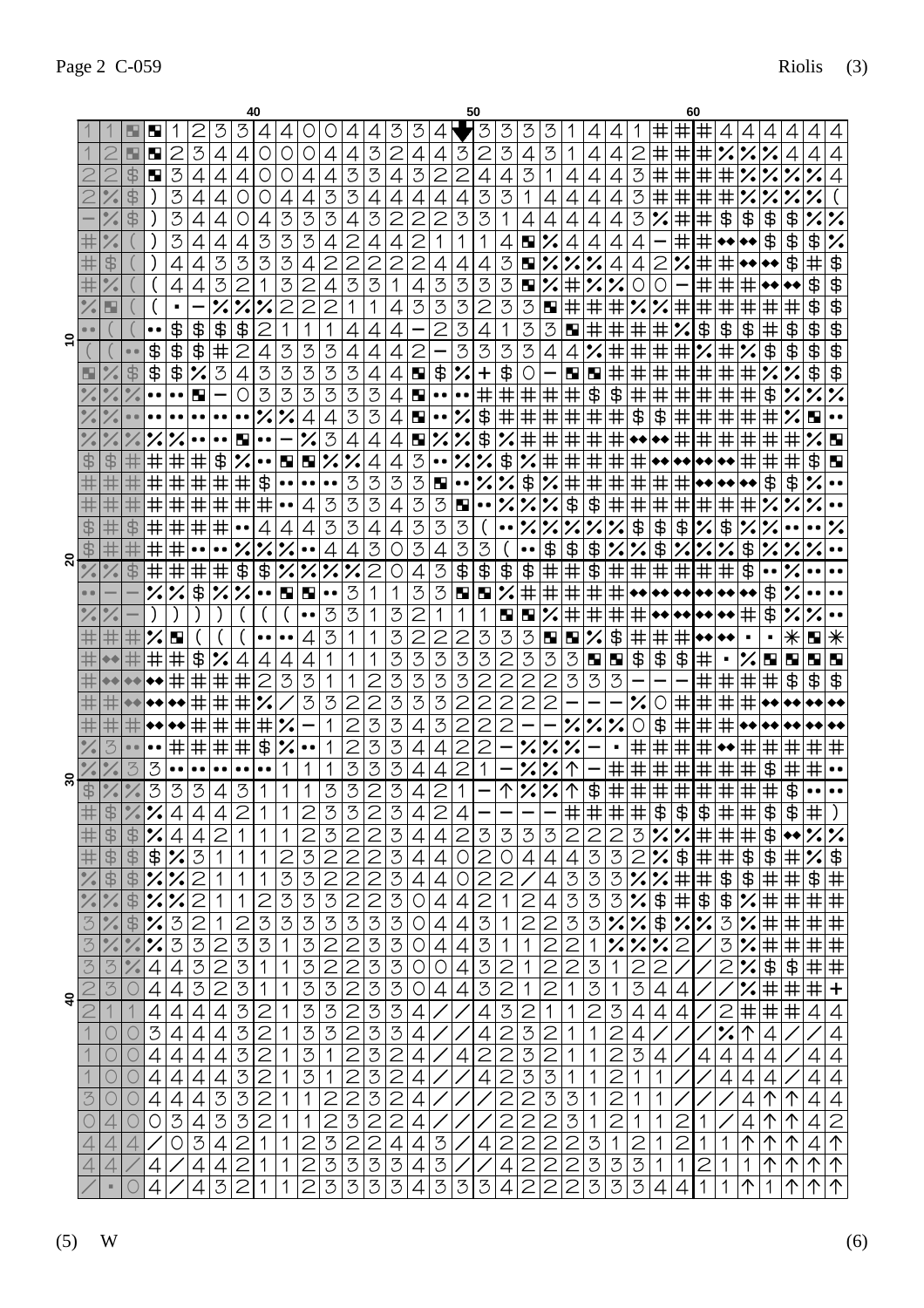|                         |                |                |                        |                          |                  |                |                   | 40                       |                             |                             |                                                |                                                                                                           |                                                                                             |                                                         |                             |                          |                      | 50                        |                             |                                                                       |                                                                       |                                                                       |                                |                |                          |                          |                           | 60                            |                    |                                                                                   |                                |                               |                           |                           |                                           |
|-------------------------|----------------|----------------|------------------------|--------------------------|------------------|----------------|-------------------|--------------------------|-----------------------------|-----------------------------|------------------------------------------------|-----------------------------------------------------------------------------------------------------------|---------------------------------------------------------------------------------------------|---------------------------------------------------------|-----------------------------|--------------------------|----------------------|---------------------------|-----------------------------|-----------------------------------------------------------------------|-----------------------------------------------------------------------|-----------------------------------------------------------------------|--------------------------------|----------------|--------------------------|--------------------------|---------------------------|-------------------------------|--------------------|-----------------------------------------------------------------------------------|--------------------------------|-------------------------------|---------------------------|---------------------------|-------------------------------------------|
|                         |                |                | F                      | Ы                        |                  | 2              | 3                 | 3                        |                             |                             |                                                |                                                                                                           |                                                                                             |                                                         | 3                           | 3                        |                      |                           | 3                           | 3                                                                     | 3                                                                     | 3                                                                     |                                | 4              |                          |                          | $\#$                      | ♯                             |                    |                                                                                   |                                |                               |                           |                           |                                           |
|                         |                |                | F                      | Ы                        | 2                | 3              | 4                 | 4                        | O                           | С                           | 0                                              | 4                                                                                                         | 4                                                                                           | 3                                                       | $\overline{2}$              | 4                        | 4                    | 3                         | 2                           | 3                                                                     | 4                                                                     | 3                                                                     |                                | 4              | 4                        |                          | $\#$                      | $\#$                          | ⋕                  | ℅                                                                                 | ℅                              | $\frac{1}{2}$                 |                           |                           | 4                                         |
|                         |                |                | \$                     | Ы                        | 3                | 4              | 4                 | 4                        | Э                           | С                           | 4                                              | $\overline{4}$                                                                                            | 3                                                                                           | 3                                                       | 4                           | 3                        |                      |                           | 4                           | 4                                                                     | 3                                                                     |                                                                       | 4                              | 4              | 4                        | 3                        | ♯                         | $\#$                          | ⋕                  | $\bm{\ddagger}$                                                                   |                                | Z,                            | ℅                         |                           |                                           |
|                         |                |                | \$                     |                          | 3                |                |                   | 0                        | Ο                           |                             | 4                                              | 3                                                                                                         | 3                                                                                           |                                                         |                             | 4                        |                      |                           | 3                           | 3                                                                     | 1                                                                     | 4                                                                     |                                |                |                          | 3                        | ♯                         | ⋕                             |                    |                                                                                   |                                |                               |                           |                           |                                           |
|                         |                |                | \$                     |                          | 3                |                |                   | 0                        |                             | 3                           | 3                                              | 3                                                                                                         |                                                                                             | 3                                                       | $\overline{2}$              | $\overline{2}$           | 2                    | 3                         | 3                           | 1                                                                     | 4                                                                     | 4                                                                     | 4                              | 4              | 4                        | 3                        | ╱∙                        | #                             |                    | \$                                                                                | \$                             | \$                            | \$                        |                           |                                           |
|                         | #              |                |                        |                          | 3                |                | 4                 | 4                        | 3                           | 3                           | 3                                              | $\overline{4}$                                                                                            | $\overline{c}$                                                                              | 4                                                       | 4                           | 2                        |                      | 1                         |                             | 4                                                                     | Н                                                                     | ℅                                                                     | 4                              | 4              | 4                        | 4                        |                           | #                             | ♯                  |                                                                                   |                                | \$                            | $\overline{\mathfrak{p}}$ | $\overline{\Phi}$         |                                           |
|                         |                |                |                        |                          | 4                | 4              | 3                 | 3                        | 3                           | 3                           | $\overline{4}$                                 | $\overline{c}$                                                                                            | $\overline{2}$                                                                              |                                                         |                             | 2                        | 4                    | 4                         | 4                           | 3                                                                     | Ы                                                                     | ℅                                                                     | $\frac{1}{2}$                  |                | 4                        |                          | $\overline{2}$            |                               | #                  | $\bm{\ddagger}$                                                                   |                                |                               | $\overline{\mathfrak{s}}$ |                           | $\overline{\mathfrak{p}}$                 |
|                         | ₩              | \$             |                        |                          |                  |                | 3                 | $\overline{2}$           |                             | 3                           | $\overline{2}$                                 | $\overline{4}$                                                                                            | $\overline{3}$                                                                              | 3                                                       | $\mathbf 1$                 | 4                        | 3                    | 3                         | 3                           | 3                                                                     | Ы                                                                     |                                                                       | $\overline{\texttt{+}}$        | $\frac{1}{2}$  | ℅                        | 4                        |                           |                               | $\#$               | $\#$                                                                              | $\#$                           |                               |                           |                           | $\overline{\mathfrak{s}}$                 |
|                         |                |                |                        |                          | 4                | 4              |                   |                          |                             |                             |                                                |                                                                                                           |                                                                                             |                                                         |                             |                          |                      |                           |                             |                                                                       |                                                                       |                                                                       |                                |                |                          | С                        |                           |                               |                    |                                                                                   |                                | ◆◆                            |                           | \$                        |                                           |
|                         |                | H              |                        |                          | ٠                |                | ℅                 | ′∙                       | ٠.                          | $\overline{2}$              | $\overline{2}$                                 | $\overline{c}$                                                                                            | 1                                                                                           | $\mathbf 1$                                             | 4                           | 3                        | 3                    | 3                         | $\mathsf{S}$                | 3                                                                     | 3                                                                     | Ы                                                                     | #                              | #              | #                        |                          | ٠                         | ♯                             |                    | ⋕                                                                                 | $\#$                           | ⋕                             | #                         | \$                        | $\frac{1}{\theta}$                        |
| ő                       |                |                |                        | $\bullet$                | \$               | \$             | \$                | \$                       |                             | 1                           | $\overline{1}$                                 | 1                                                                                                         | 4                                                                                           | 4                                                       | 4                           |                          | 2                    | 3                         | $\overline{4}$              | 1                                                                     | 3                                                                     | 3                                                                     | Ы                              | #              | $\#$                     | ♯                        | ♯                         |                               | \$                 | \$                                                                                | \$                             | #                             | \$                        | $\overline{\mathbf{e}}$   | $\overline{\mathfrak{p}}$                 |
|                         |                |                |                        | \$                       | \$               | \$             | #                 | 2                        | 4                           | 3                           | 3                                              | 3                                                                                                         | $\overline{4}$                                                                              | 4                                                       | 4                           | $\overline{2}$           |                      | 3                         | 3                           | 3                                                                     | 3                                                                     | 4                                                                     | 4                              | %              | #                        | ♯                        | #                         |                               |                    | $\overline{\ddot{+}}$                                                             | ℅                              | \$                            | $\overline{\mathbf{B}}$   | $\overline{\mathfrak{s}}$ | $\overline{\mathfrak{s}}$                 |
|                         | 5              |                | \$                     | \$                       | \$               | ℅              | 3                 | 4                        | 3                           | $\frac{3}{3}$               | $rac{3}{5}$                                    | $\frac{3}{3}$                                                                                             | 3                                                                                           | 4                                                       | 4                           | Ы                        | \$                   | ℅                         | $\mathbf +$                 | $\frac{1}{\frac{4}{\sqrt{2}}}$                                        | $\bigcirc$                                                            | —                                                                     | Ы                              | Н              | $\overline{\ddot{+}}$    | #                        | '事                        | #                             | ♯                  | #                                                                                 | $\overline{\ddot{\texttt{+}}}$ | ╱•                            | ℅                         | $\overline{\mathfrak{s}}$ | $\overline{\mathfrak{s}}$                 |
|                         |                |                |                        |                          | $\bullet\bullet$ | Ы              |                   | $\bigcirc$               | $\overline{3}$              |                             |                                                |                                                                                                           | $\mathcal{Z}$                                                                               | 3                                                       | 4                           | Н                        | $\ddot{\phantom{0}}$ | $\bullet$                 | $\#$                        |                                                                       | #                                                                     | $\#$                                                                  | #                              | \$             | \$                       | #                        | $\#$                      | $\#$                          | ♯                  | $\#$                                                                              | #                              | \$                            | ℅                         |                           | $\overline{\mathscr{C}}$                  |
|                         |                |                |                        |                          |                  |                |                   |                          | ℅                           | %                           | $\overline{4}$                                 | $\overline{4}$                                                                                            | $\mathcal{Z}$                                                                               | 3                                                       | 4                           | Ы                        |                      | %                         | \$                          | #                                                                     | #                                                                     | #                                                                     | #                              | #              | #                        | \$                       | \$                        |                               |                    | #                                                                                 | #                              | $\overline{\mathbf{+}}$       | ∕.                        | Н                         |                                           |
|                         |                |                |                        | ℅                        |                  |                | $\bullet$         | Н                        |                             |                             | ℅                                              | $\overline{3}$                                                                                            | $\overline{4}$                                                                              | 4                                                       | 4                           | Н                        | ℅                    | ℅                         | $\overline{\mathfrak{s}}$   | ℅                                                                     | #                                                                     | #                                                                     | $\overline{\ddot{\pm}}$        | #              | #                        |                          |                           | ♯                             |                    | $\#$                                                                              | #                              | #                             | ⋕                         |                           | Н                                         |
|                         | \$             | \$             | ♯                      | #                        | #                | #              | \$                |                          | $\bullet$                   | Н                           | b.                                             | $\frac{1}{2}$                                                                                             | ℅                                                                                           | 4                                                       | 4                           | 3                        | $\cdot$              | $\frac{1}{2}$             |                             | $\overline{\mathfrak{s}}$                                             | %                                                                     | #                                                                     | $\overline{\ddot{+}}$          | #              | #                        | $\#$                     |                           |                               |                    |                                                                                   | #                              | #                             | $\overline{\ddot{\pm}}$   | \$                        | H                                         |
|                         |                |                |                        | $\#$                     | ♯                | #              | $\#$              | $\bm{\#}$                | \$                          |                             |                                                | $\bullet$                                                                                                 | 3                                                                                           | 3                                                       | 3                           | 3                        | Н                    |                           | ℅                           | %                                                                     | $\overline{\mathfrak{s}}$                                             |                                                                       | $\overline{\ddot{\texttt{+}}}$ | #              | #                        | $\#$                     | ⋕                         | ⋕                             |                    |                                                                                   |                                | $\overline{\mathfrak{s}}$     | $\overline{\mathfrak{s}}$ | ℅                         | $\bullet$                                 |
|                         |                |                |                        | ♯                        | ⋕                |                | $\bm{\texttt{+}}$ | $\bm{\texttt{+}}$        | ⋕                           |                             | 4                                              | 3                                                                                                         | 3                                                                                           | 3                                                       | 4                           | 3                        | 3                    | Н                         | $\bullet$                   | $\frac{1}{2}$                                                         | ℅                                                                     | %                                                                     | \$                             | \$             | #                        | ⋕                        | ⋕                         | #                             |                    | ⋕                                                                                 | $\bm{\#}$                      | ╱•                            | ℅                         | ℅                         |                                           |
|                         | \$             |                | \$                     | #                        | #                | 井              | #                 |                          |                             | 4                           | 4                                              | 3                                                                                                         | 3                                                                                           | 4                                                       | 4                           | 3                        | 3                    | 3                         |                             |                                                                       | %                                                                     | ∕∙                                                                    |                                | ℅              | ℅                        | \$                       | \$                        | \$                            | ٬                  | \$                                                                                | ั้                             | %                             |                           |                           | ℅                                         |
|                         | \$             |                |                        | #                        | ♯                |                |                   |                          |                             | ั้                          | $\bullet$                                      | $\overline{4}$                                                                                            | $\overline{4}$                                                                              | 3                                                       | С                           | 3                        | 4                    | 3                         | 3                           |                                                                       | $\bullet$                                                             | \$                                                                    | \$                             | \$             | $\mathbf{R}$             | ٠                        | \$                        |                               | ٠                  | ٠                                                                                 | \$                             | ٠                             |                           |                           | $\bullet$                                 |
| ຊ                       |                |                | \$                     | $\#$                     | #                | ⋕              | $\#$              | \$                       | \$                          | ٬                           | ′∙                                             | ℅                                                                                                         | ℅                                                                                           |                                                         | С                           | 4                        | 3                    | $\overline{\mathfrak{s}}$ | $\overline{\mathfrak{s}}$   | $\overline{\mathfrak{s}}$                                             | \$                                                                    | $\#$                                                                  | #                              | \$             | ♯                        |                          |                           |                               |                    | ⋕                                                                                 | \$                             |                               |                           |                           | $\bullet$                                 |
|                         |                |                |                        | ℅                        | ℅                | \$             | $\frac{1}{2}$     | ℅                        |                             | Н                           | Ы                                              | $\bullet$                                                                                                 | 3                                                                                           | 1                                                       | 1                           | 3                        | 3                    | Ы                         | b.                          | %                                                                     | #                                                                     | #                                                                     | #                              | $\#$           | $\#$                     |                          |                           |                               |                    |                                                                                   |                                | \$                            |                           |                           |                                           |
|                         |                |                |                        |                          |                  |                |                   |                          |                             |                             |                                                | 3                                                                                                         | 3                                                                                           | 1                                                       | 3                           | $\overline{2}$           | 1                    | 1                         |                             | Ы                                                                     | b.                                                                    | ℅                                                                     | $\overline{\ddot{\pm}}$        | #              | #                        | $\#$                     |                           |                               |                    |                                                                                   | $\#$                           | \$                            |                           |                           |                                           |
|                         |                |                |                        | '⁄.                      |                  |                |                   |                          |                             |                             |                                                | 3                                                                                                         |                                                                                             |                                                         | 3                           | 2                        | $\overline{c}$       | 2                         | 3                           |                                                                       |                                                                       |                                                                       |                                |                |                          |                          |                           |                               |                    |                                                                                   |                                | $\blacksquare$                |                           |                           |                                           |
|                         |                |                | $\#$                   |                          | 5                |                |                   |                          |                             |                             | 4                                              |                                                                                                           | 1                                                                                           | 1                                                       |                             |                          |                      |                           |                             | 3                                                                     | 3                                                                     | Ы                                                                     | Ы                              |                | \$                       | #                        | $\bm{\ddagger}$           | $\#$                          |                    |                                                                                   | ٠                              |                               | $\ast$                    | Ы                         | $\ast$                                    |
|                         | ♯              |                |                        | #                        | ♯                | \$             | $\frac{1}{2}$     |                          | 4                           | 4                           | 4                                              | 1                                                                                                         | 1                                                                                           | 1                                                       | 3                           | 3                        | 3                    | 3                         | 3                           | $\overline{c}$                                                        | 3                                                                     | 3                                                                     | 3                              | b.             | Н                        | \$                       | \$                        | \$                            | ⋕                  |                                                                                   | %                              | H                             | H                         |                           | Ы                                         |
|                         |                |                |                        |                          | #                | $\#$           | #                 | #                        |                             | 3                           | 3                                              | 1                                                                                                         | 1                                                                                           | 2                                                       | 3                           | 3                        | 3                    | 3                         | $\mathsf{S}$                | $\frac{2}{2}$                                                         | $\overline{2}$                                                        | $\mathsf{S}$                                                          | 3                              | 3              | 3                        |                          |                           |                               | #                  | #                                                                                 | #                              | #                             | \$                        | \$                        | \$                                        |
|                         | ₩              | ♯              | $\bullet\bullet$       | ◆◆                       | ◆◆               | $\#$           | #                 | $\#$                     |                             |                             | $\overline{\mathcal{Z}}$                       | 3                                                                                                         | $\overline{c}$                                                                              | $\overline{2}$                                          | 3                           | 3                        | 3                    | 2                         | $\overline{c}$              |                                                                       | $\overline{c}$                                                        | $\overline{C}$                                                        |                                |                |                          | ℅                        | Ο                         | $\#$                          | ⋕                  | #                                                                                 | $\#$                           |                               |                           |                           |                                           |
|                         |                | ♯              | ♯                      |                          |                  | $\#$           | ♯                 | $\bm{\#}$                | $\#$                        | ╳                           |                                                | 1                                                                                                         | $\overline{2}$                                                                              | 3                                                       | 3                           | 4                        | 3                    | 2                         | $\overline{2}$              | $\overline{2}$                                                        |                                                                       |                                                                       | ℅                              | ℅              | %                        |                          | \$                        | ♯                             | ⋕                  | $\bm{\ddagger}$                                                                   |                                |                               |                           |                           |                                           |
|                         |                | 3              |                        | $\bullet$                | ♯                | #              | $\#$              | $\bm{\#}$                | \$                          | $\gamma_{\bullet}$          |                                                | 1                                                                                                         | $\overline{c}$                                                                              | 3                                                       | 3                           | 4                        | 4                    |                           | 2                           |                                                                       | ℅                                                                     |                                                                       | ℅                              |                | ٠                        | $\#$                     | #                         |                               |                    |                                                                                   | ⋕                              | ⋕                             |                           |                           | ⋕                                         |
| వి                      |                |                | 3                      | 3                        |                  |                |                   |                          |                             |                             | 1                                              | 1                                                                                                         | $\overline{3}$                                                                              | 3                                                       | 3                           | $\overline{4}$           | 4                    | 2                         |                             |                                                                       | $\frac{1}{2}$                                                         | ٠                                                                     | ↑                              |                | #                        |                          | #                         |                               |                    | $\bm{\#}$                                                                         | #                              | \$                            | $\overline{\ddot{+}}$     | $\#$                      |                                           |
|                         | ቌ              |                |                        | 3                        | 3                | 3              |                   | 3                        |                             | 1                           | 1                                              | 3                                                                                                         | 3                                                                                           | 2                                                       | 3                           | $\overline{\mathcal{A}}$ | 2                    | 1                         |                             |                                                                       | $\overline{\mathbf{z}}$                                               | ℅                                                                     | 个                              | \$             | $\overline{\texttt{+}}$  | $\pm$<br>.,              | 丑<br>ш,                   | 丑                             | ⋕                  | $\pm$                                                                             | #                              | $\overline{\texttt{+}}$<br>щ, | $\overline{\mathfrak{p}}$ |                           |                                           |
|                         | #              | \$             |                        | $\frac{1}{2}$            | 4                | 4              | 4                 | $\overline{2}$           |                             | 1                           | 2                                              | 3                                                                                                         | 3                                                                                           | $\mathsf{S}$                                            | 3                           | 4                        | $\mathbf{Z}$         | 4                         |                             |                                                                       |                                                                       | —                                                                     | #                              | #              | #                        | #                        | $\overline{\mathbf{e}}$   | \$                            | $\overline{\Phi}$  | #                                                                                 |                                |                               | $\overline{\Phi}$         | #                         | $\mathcal{C}$                             |
|                         | $\frac{1}{1}$  | <u>\$</u>      | $\frac{1}{2}$          | ℅                        | 4                | $\overline{4}$ | $\mathsf{S}$      | 1                        |                             | 1                           |                                                |                                                                                                           |                                                                                             |                                                         |                             | $\overline{4}$           | 4                    | $\overline{c}$            | $\overline{3}$              | $\overline{\mathcal{L}}$                                              | $\overline{3}$                                                        |                                                                       |                                |                |                          | $\overline{\mathcal{S}}$ | %                         |                               | $\#$               |                                                                                   |                                |                               | $\bullet\bullet$          | $\frac{1}{2}$             | $\frac{1}{2}$                             |
|                         | $\frac{1}{11}$ |                | $\frac{1}{2}$          | $\overline{\Phi}$        | $\frac{1}{2}$    | $\overline{3}$ |                   | 1                        | 1                           |                             | $\frac{2}{3}$                                  | $3\overline{2}$ $\overline{2}$ $\overline{3}$ $\overline{3}$ $\overline{2}$ $\overline{2}$ $\overline{2}$ | $2\overline{2}$ $2\overline{3}$ $\overline{2}$ $\overline{2}$ $\overline{2}$ $\overline{2}$ | $\frac{2}{2}$ $\frac{2}{3}$ $\frac{5}{3}$ $\frac{5}{3}$ | $rac{3}{3}$                 | $\overline{4}$           | 4                    | $\bigcirc$                |                             | $\overline{O}$                                                        |                                                                       | $\frac{3}{4}$ $\frac{4}{4}$ $\frac{4}{2}$ $\frac{2}{2}$ $\frac{2}{2}$ | $\frac{2}{4}$                  | $\frac{2}{3}$  | $\frac{2}{3}$            | $\overline{2}$           | $\boldsymbol{\mathsf{z}}$ | $\pm$ $\left  \theta \right $ | $\pm$              | $\frac{1}{1}$                                                                     |                                | \$\$\$\$#####\$#              |                           | $\overline{\mathscr{C}}$  |                                           |
|                         |                | $rac{4}{9}$    | $\frac{1}{2}$          | $\frac{1}{2}$            | $\frac{1}{2}$    | $\mathsf{S}$   |                   | $\mathbf 1$              | 1                           | $\frac{2}{3}$               |                                                |                                                                                                           |                                                                                             |                                                         | $\overline{3}$              | $\overline{4}$           | 4                    | О                         |                             | $\overline{2}$                                                        | $\frac{4}{ }$                                                         |                                                                       |                                |                | $\overline{3}$           | $\overline{\mathscr{C}}$ | $\frac{1}{2}$             |                               | #                  |                                                                                   |                                |                               |                           |                           |                                           |
|                         |                | ℅              | $\frac{4}{5}$          | $\frac{1}{2}$            | $\frac{1}{2}$    | $\overline{c}$ | 1                 | $\mathbf 1$              |                             |                             |                                                |                                                                                                           |                                                                                             |                                                         | $\overline{3}$              | $\circ$                  | 4                    | 4                         |                             | 1                                                                     |                                                                       |                                                                       |                                | $\overline{3}$ | $\overline{3}$           | $\frac{1}{2}$            |                           | #                             | $\frac{1}{\theta}$ |                                                                                   |                                |                               |                           | $\frac{1}{4}$             |                                           |
|                         | $\overline{3}$ | $\frac{2}{3}$  | $\overline{\bigoplus}$ | $\frac{1}{2}$            |                  | $\overline{2}$ | $\mathbf 1$       |                          | $\frac{2}{3}$ $\frac{5}{3}$ | $\frac{3}{3}$ $\frac{3}{1}$ | $\frac{3}{3}$ $\frac{3}{3}$ $\frac{3}{3}$      |                                                                                                           |                                                                                             |                                                         |                             | $\bigcirc$               | $\overline{4}$       | $\overline{4}$            | $\frac{2}{2}$ $\frac{2}{3}$ | $\overline{1}$                                                        | $\frac{2}{2}$                                                         |                                                                       | $\frac{3}{2}$ $\frac{3}{2}$    |                | $\overline{\mathscr{C}}$ | $\overline{\mathbf{z}}$  | $\frac{1}{\theta}$        | $\frac{1}{2}$                 |                    | $\frac{1}{9}$<br>$\frac{1}{9}$<br>$\frac{1}{3}$<br>$\frac{1}{2}$<br>$\frac{1}{2}$ | $\overline{\mathscr{C}}$       |                               | #  #  #  #  #  #          |                           | \$#####                                   |
|                         | $\overline{5}$ |                | $\frac{1}{6}$          | $\overline{\mathscr{C}}$ | $\frac{3}{5}$    | $\overline{3}$ | $\overline{2}$    |                          |                             |                             |                                                |                                                                                                           |                                                                                             |                                                         | $\frac{3}{5}$               | $\bigcirc$               | $\overline{4}$       | $\overline{4}$            |                             | $\overline{1}$                                                        |                                                                       |                                                                       |                                | $\frac{3}{1}$  | $\overline{\mathscr{C}}$ | $\overline{\mathscr{C}}$ | $\frac{1}{2}$             | $\overline{2}$                |                    |                                                                                   | $\overline{\mathscr{C}}$       |                               |                           |                           |                                           |
|                         | 3              | $\overline{3}$ | $\frac{1}{2}$          |                          |                  | $\overline{5}$ | $\overline{2}$    | $\frac{2}{3}$            | 1                           | 1                           |                                                |                                                                                                           |                                                                                             |                                                         | $\overline{3}$              | $\bigcirc$               | О                    |                           | $\overline{3}$              | $\overline{2}$                                                        | $\overline{1}$                                                        |                                                                       |                                | $\overline{3}$ | $\mathbf 1$              | $\mathsf{S}$             | $\overline{2}$            |                               |                    |                                                                                   | $\overline{\mathscr{C}}$       |                               |                           | $\frac{1}{1}$             |                                           |
|                         | $\overline{2}$ | 3              |                        | 4                        | 4                |                | $\overline{2}$    |                          |                             | $\overline{1}$              |                                                |                                                                                                           |                                                                                             |                                                         |                             |                          |                      | 4                         |                             |                                                                       |                                                                       | $\overline{2}$                                                        |                                |                |                          |                          |                           |                               |                    |                                                                                   | $\overline{\mathscr{C}}$       |                               |                           | $\overline{\ddagger}$     | $+$                                       |
| $\overline{\mathsf{a}}$ |                |                | $\bigcirc$             | $\overline{4}$           | $\overline{4}$   | 3              |                   | $\overline{3}$           | 1                           |                             |                                                |                                                                                                           | $\overline{2}$                                                                              | $\frac{3}{3}$                                           | $\overline{3}$              | $\bigcirc$               | 4                    | $\overline{4}$            | $\overline{3}$              |                                                                       | $\overline{1}$                                                        |                                                                       | $\overline{\mathbf{1}}$        | $\overline{3}$ | $\mathbf 1$              | $\overline{\mathcal{S}}$ | $\overline{4}$            | 4                             |                    |                                                                                   |                                |                               |                           |                           |                                           |
|                         | $\geq$         |                | $\mathcal{I}$          | $\overline{4}$           | $\overline{4}$   | $\overline{4}$ | $\overline{4}$    | $\overline{\mathcal{Z}}$ | NNNNNN                      | $\overline{1}$              | $\frac{35}{35}$ $\frac{35}{3}$ $\frac{31}{11}$ | $\frac{3}{3}$ $\frac{3}{1}$ $\frac{1}{1}$                                                                 |                                                                                             |                                                         | $\overline{3}$              | $\overline{4}$           |                      |                           | $\overline{4}$              |                                                                       | $\overline{2}$                                                        | $\overline{1}$                                                        | $\overline{1}$                 | $\overline{2}$ | $\overline{\mathcal{S}}$ | $\overline{4}$           | $\overline{4}$            | $\overline{4}$                |                    | $\overline{2}$                                                                    | $\frac{\pm}{\uparrow}$         | $\frac{1}{4}$                 | #                         | $\overline{4}$            | $\overline{4}$                            |
|                         |                |                | 0                      | $\mathcal{Z}$            | $\overline{4}$   | $\overline{4}$ | $\overline{4}$    | $\overline{3}$           |                             | $\mathbf 1$                 |                                                |                                                                                                           |                                                                                             | $\frac{3}{3}$                                           | $\frac{3}{2}$ $\frac{2}{2}$ | $\overline{4}$           |                      |                           | $\frac{4}{2}$               |                                                                       |                                                                       |                                                                       | $\mathbf 1$                    | $\mathbf 1$    | $\overline{2}$           | 4                        |                           |                               |                    | $\overline{\mathscr{C}}$                                                          |                                |                               |                           |                           | $\frac{4}{4}$                             |
|                         |                | $\bigcirc$     | $\bigcirc$             | $\overline{A}$           | 4                | 4              | 4                 | $\overline{3}$           |                             | 1                           |                                                |                                                                                                           |                                                                                             |                                                         |                             | $\overline{4}$           |                      | 4                         |                             |                                                                       |                                                                       |                                                                       | $\overline{1}$                 | $\mathbf 1$    | $\overline{2}$           | $\mathcal{Z}$            | $\overline{4}$            |                               | 4                  | $\overline{4}$                                                                    | $\overline{4}$                 | $\overline{4}$                |                           | $\overline{4}$            |                                           |
|                         |                | $\bigcirc$     | $\bigcirc$             | 4                        | 4                | $\overline{4}$ | $\overline{4}$    |                          |                             | $\mathbf 1$                 |                                                |                                                                                                           |                                                                                             | $\frac{3}{3}$                                           |                             | $\overline{4}$           |                      |                           | $\overline{4}$              |                                                                       |                                                                       |                                                                       | $\overline{1}$                 | $\overline{1}$ |                          | 1                        | 1                         |                               |                    | $\overline{4}$                                                                    | $\overline{4}$                 | $\overline{4}$                |                           | $\overline{4}$            |                                           |
|                         | $\overline{3}$ | $\bigcirc$     | $\bigcirc$             | 4                        | $\overline{4}$   | $\overline{4}$ | $\overline{5}$    |                          |                             | 1                           |                                                |                                                                                                           |                                                                                             |                                                         |                             | $\overline{4}$           |                      |                           |                             |                                                                       |                                                                       |                                                                       |                                | $\mathbf 1$    | $\frac{2}{2}$            | $\mathbf 1$              | 1                         |                               |                    |                                                                                   | $\overline{4}$                 | $\overline{\uparrow}$         |                           |                           |                                           |
|                         |                | 4              |                        | О                        | $\mathcal{Z}$    | $\overline{4}$ | $\overline{3}$    | $\frac{3}{3}$            |                             | $\overline{1}$              |                                                | $\frac{2}{2}$                                                                                             | DIDIDIDIDI                                                                                  | $\overline{2}$                                          | $\overline{2}$              | $\overline{4}$           |                      |                           |                             | $\frac{2}{3}$ $\frac{2}{2}$ $\frac{2}{2}$ $\frac{2}{2}$ $\frac{2}{4}$ | $\frac{3}{3}$ $\frac{3}{2}$ $\frac{2}{2}$ $\frac{2}{2}$ $\frac{2}{2}$ | $\frac{2}{2}$ $\frac{2}{3}$ $\frac{2}{2}$ $\frac{2}{2}$ $\frac{2}{2}$ | $\frac{3}{5}$                  | $\mathbf 1$    | $\overline{c}$           | 1                        | 1                         | $\overline{2}$                | 1                  |                                                                                   | 4                              | $\hat{\uparrow}$              | $\frac{1}{\uparrow}$      | $\frac{4}{4}$             | $\frac{4}{2}$ $\frac{4}{2}$ $\frac{4}{2}$ |
|                         | 4              | 4              | 4                      |                          | $\bigcirc$       | 3              | 4                 | $\frac{2}{2}$            | $\overline{1}$              | 1                           | $\frac{1}{2}$                                  |                                                                                                           | $rac{2}{3}$                                                                                 |                                                         | $\overline{4}$              | $\overline{4}$           | 3                    |                           | 4                           |                                                                       |                                                                       |                                                                       | $\frac{2}{2}$                  | $\overline{3}$ | $\mathbf 1$              | $\overline{2}$           |                           | $\overline{2}$                | 1                  | $\mathbf 1$                                                                       | 个                              | 个                             | $\bar{\Uparrow}$          | $\overline{4}$            |                                           |
|                         |                |                |                        | 4                        |                  | 4              | 4                 |                          | 1                           | 1                           |                                                |                                                                                                           |                                                                                             | $\frac{2}{3}$                                           | $\overline{3}$              | 4                        | 3                    |                           |                             |                                                                       |                                                                       |                                                                       |                                | $\overline{3}$ | 3                        | 3                        |                           | 1                             | 2                  | 1                                                                                 | 1                              | ↑                             | ↑                         | $\overline{\uparrow}$     | ↑                                         |
|                         |                | $\bar{a}$      |                        |                          |                  |                | 3                 | $\overline{2}$           |                             | 1                           | $\overline{2}$                                 | $\overline{3}$                                                                                            | $\overline{3}$                                                                              | $\overline{3}$                                          | 3                           | $\overline{4}$           | 3                    | 3                         | 3                           |                                                                       | $\overline{C}$                                                        | $\overline{C}$                                                        | $\overline{2}$                 | $\overline{3}$ | 3                        | 3                        |                           |                               |                    |                                                                                   |                                |                               |                           |                           |                                           |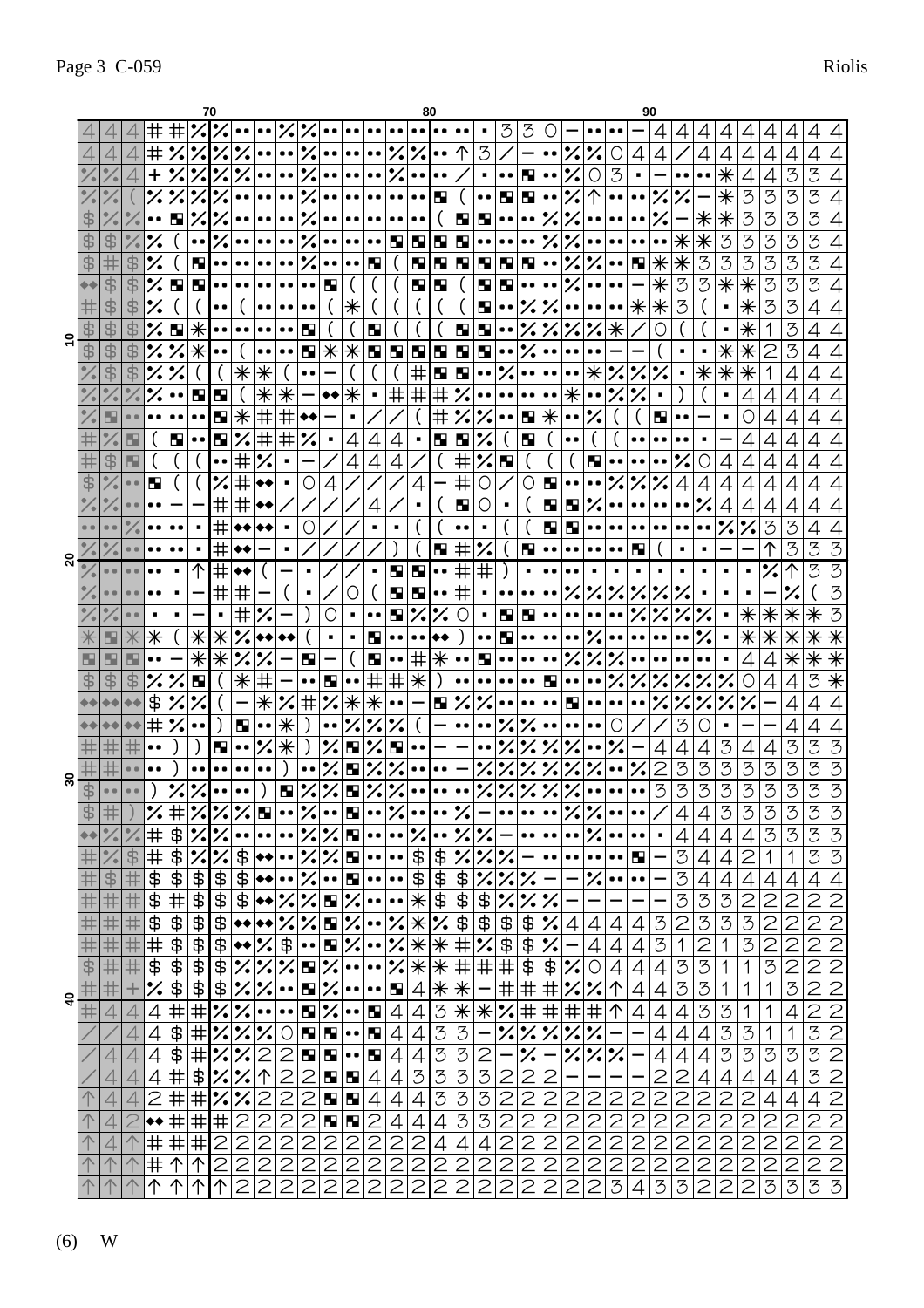|                |        |                       |                |                          |                                                                                                                                                                                                                                                                                                                                                                                                                                                                                   | 70                                      |                                                                                                                                                                                                          |                                                                                                            |                                                |                                                                                            |                          |                    |                          |                             |                           |                                |                                                              |                          |                             |                                                                                                                        |                                                                                                                               |                                                                       |                                               |                                                 |                             | 90                       |                             |                                                                                                                               |                             |                                                                                     |                                                                                     |                                                                                     |                             |                                                                                                                               |                               |
|----------------|--------|-----------------------|----------------|--------------------------|-----------------------------------------------------------------------------------------------------------------------------------------------------------------------------------------------------------------------------------------------------------------------------------------------------------------------------------------------------------------------------------------------------------------------------------------------------------------------------------|-----------------------------------------|----------------------------------------------------------------------------------------------------------------------------------------------------------------------------------------------------------|------------------------------------------------------------------------------------------------------------|------------------------------------------------|--------------------------------------------------------------------------------------------|--------------------------|--------------------|--------------------------|-----------------------------|---------------------------|--------------------------------|--------------------------------------------------------------|--------------------------|-----------------------------|------------------------------------------------------------------------------------------------------------------------|-------------------------------------------------------------------------------------------------------------------------------|-----------------------------------------------------------------------|-----------------------------------------------|-------------------------------------------------|-----------------------------|--------------------------|-----------------------------|-------------------------------------------------------------------------------------------------------------------------------|-----------------------------|-------------------------------------------------------------------------------------|-------------------------------------------------------------------------------------|-------------------------------------------------------------------------------------|-----------------------------|-------------------------------------------------------------------------------------------------------------------------------|-------------------------------|
|                |        |                       |                |                          |                                                                                                                                                                                                                                                                                                                                                                                                                                                                                   |                                         |                                                                                                                                                                                                          |                                                                                                            |                                                |                                                                                            |                          |                    |                          |                             |                           |                                |                                                              |                          |                             | 3                                                                                                                      | 3                                                                                                                             |                                                                       |                                               |                                                 |                             |                          |                             |                                                                                                                               |                             |                                                                                     |                                                                                     |                                                                                     |                             |                                                                                                                               |                               |
|                |        |                       |                | #                        |                                                                                                                                                                                                                                                                                                                                                                                                                                                                                   |                                         |                                                                                                                                                                                                          | ×                                                                                                          |                                                | $\bullet$                                                                                  |                          |                    |                          |                             |                           |                                |                                                              |                          | 3                           |                                                                                                                        |                                                                                                                               |                                                                       | ℅                                             |                                                 |                             |                          |                             |                                                                                                                               |                             |                                                                                     |                                                                                     |                                                                                     |                             |                                                                                                                               |                               |
|                |        |                       |                |                          |                                                                                                                                                                                                                                                                                                                                                                                                                                                                                   |                                         |                                                                                                                                                                                                          |                                                                                                            |                                                |                                                                                            |                          |                    |                          |                             |                           |                                |                                                              |                          |                             |                                                                                                                        |                                                                                                                               |                                                                       |                                               |                                                 |                             |                          |                             |                                                                                                                               |                             |                                                                                     |                                                                                     |                                                                                     |                             |                                                                                                                               |                               |
|                |        |                       |                |                          |                                                                                                                                                                                                                                                                                                                                                                                                                                                                                   |                                         |                                                                                                                                                                                                          |                                                                                                            |                                                |                                                                                            |                          |                    |                          |                             |                           |                                |                                                              |                          |                             |                                                                                                                        | Ы                                                                                                                             |                                                                       |                                               |                                                 | 3                           |                          |                             |                                                                                                                               |                             | $\ast$                                                                              |                                                                                     |                                                                                     | 3                           | 3                                                                                                                             |                               |
|                |        |                       |                |                          |                                                                                                                                                                                                                                                                                                                                                                                                                                                                                   |                                         |                                                                                                                                                                                                          |                                                                                                            |                                                |                                                                                            |                          |                    |                          |                             |                           |                                | 5                                                            |                          |                             | Н                                                                                                                      | Ы                                                                                                                             |                                                                       |                                               |                                                 |                             |                          |                             | ∕∙                                                                                                                            |                             | $\ast$                                                                              | 3                                                                                   | 3                                                                                   | 3                           | 3                                                                                                                             |                               |
|                |        |                       |                |                          | Ы                                                                                                                                                                                                                                                                                                                                                                                                                                                                                 |                                         |                                                                                                                                                                                                          |                                                                                                            |                                                |                                                                                            |                          |                    |                          |                             |                           |                                |                                                              | Н                        | Ы                           |                                                                                                                        |                                                                                                                               |                                                                       |                                               |                                                 |                             |                          |                             |                                                                                                                               | ⋇                           | $\ast$                                                                              | 3                                                                                   | 3                                                                                   | 3                           | 3                                                                                                                             |                               |
|                | \$     |                       |                | %                        |                                                                                                                                                                                                                                                                                                                                                                                                                                                                                   |                                         |                                                                                                                                                                                                          |                                                                                                            |                                                |                                                                                            |                          |                    |                          |                             |                           | Ы                              |                                                              |                          |                             |                                                                                                                        |                                                                                                                               |                                                                       |                                               |                                                 |                             |                          |                             | $\ast$                                                                                                                        |                             | 3                                                                                   | 3                                                                                   | 3                                                                                   | 3                           | 3                                                                                                                             |                               |
|                | \$     |                       |                |                          |                                                                                                                                                                                                                                                                                                                                                                                                                                                                                   | 5                                       |                                                                                                                                                                                                          |                                                                                                            |                                                |                                                                                            |                          |                    |                          | Ы                           |                           |                                |                                                              | Н                        |                             |                                                                                                                        | Ы                                                                                                                             |                                                                       |                                               |                                                 | $\bullet$                   | Ы                        |                             |                                                                                                                               | 3                           | 3                                                                                   | 3                                                                                   | 3                                                                                   | 3                           | 3                                                                                                                             |                               |
|                |        |                       |                |                          |                                                                                                                                                                                                                                                                                                                                                                                                                                                                                   |                                         |                                                                                                                                                                                                          |                                                                                                            |                                                |                                                                                            |                          |                    |                          |                             |                           | Ы                              |                                                              |                          | Ы                           | Н                                                                                                                      |                                                                                                                               |                                                                       |                                               |                                                 |                             |                          |                             |                                                                                                                               |                             |                                                                                     |                                                                                     |                                                                                     |                             |                                                                                                                               |                               |
|                |        |                       |                |                          | Ы                                                                                                                                                                                                                                                                                                                                                                                                                                                                                 | Ы                                       |                                                                                                                                                                                                          |                                                                                                            |                                                |                                                                                            |                          | 5                  |                          |                             |                           | Ы                              | Ы                                                            |                          | Ы                           | H                                                                                                                      |                                                                                                                               |                                                                       |                                               |                                                 | $\bullet$                   |                          |                             | 3                                                                                                                             | 3                           | $\ast$                                                                              | $\overline{\ast}$                                                                   | 3                                                                                   | $\overline{3}$              | 3                                                                                                                             |                               |
|                |        | \$                    |                |                          |                                                                                                                                                                                                                                                                                                                                                                                                                                                                                   |                                         |                                                                                                                                                                                                          |                                                                                                            |                                                |                                                                                            |                          |                    | ⋇                        |                             |                           |                                |                                                              |                          | Ы                           |                                                                                                                        | $\mathcal{V}_{\bullet}$                                                                                                       |                                                                       |                                               |                                                 | $\bullet$                   | $\ast$                   | ⋇                           | 3                                                                                                                             |                             |                                                                                     | $\ast$                                                                              | $\overline{5}$                                                                      | 3                           |                                                                                                                               |                               |
|                | \$     | \$                    |                |                          |                                                                                                                                                                                                                                                                                                                                                                                                                                                                                   | ⋇                                       |                                                                                                                                                                                                          |                                                                                                            |                                                |                                                                                            |                          |                    |                          | Н                           |                           |                                |                                                              | 5                        | Н                           |                                                                                                                        | ∕.                                                                                                                            | ′∙                                                                    | ℅                                             | %                                               | ⋇                           |                          |                             |                                                                                                                               |                             |                                                                                     | $\ast$                                                                              |                                                                                     | 3                           |                                                                                                                               |                               |
| Ş              | \$     | \$                    |                |                          |                                                                                                                                                                                                                                                                                                                                                                                                                                                                                   |                                         |                                                                                                                                                                                                          |                                                                                                            |                                                |                                                                                            |                          |                    |                          | F                           |                           |                                | 5                                                            |                          | Ы                           |                                                                                                                        |                                                                                                                               |                                                                       |                                               |                                                 |                             |                          |                             |                                                                                                                               |                             |                                                                                     |                                                                                     |                                                                                     | 3                           |                                                                                                                               |                               |
|                |        | \$                    | \$             |                          |                                                                                                                                                                                                                                                                                                                                                                                                                                                                                   |                                         |                                                                                                                                                                                                          |                                                                                                            |                                                |                                                                                            |                          |                    |                          |                             |                           |                                |                                                              |                          |                             | ℅                                                                                                                      |                                                                                                                               |                                                                       |                                               |                                                 | %                           |                          |                             |                                                                                                                               |                             |                                                                                     |                                                                                     |                                                                                     |                             |                                                                                                                               |                               |
|                |        |                       |                | 7.                       |                                                                                                                                                                                                                                                                                                                                                                                                                                                                                   |                                         |                                                                                                                                                                                                          | ⋇                                                                                                          |                                                |                                                                                            |                          |                    |                          |                             |                           | '书·                            | Ы                                                            | Ы                        |                             |                                                                                                                        |                                                                                                                               |                                                                       |                                               | $\ast$                                          |                             | 70                       | ∕∙                          |                                                                                                                               | $\ast$                      | $\ast$                                                                              | $\ast$                                                                              |                                                                                     |                             |                                                                                                                               |                               |
|                |        |                       |                |                          |                                                                                                                                                                                                                                                                                                                                                                                                                                                                                   | Ы                                       |                                                                                                                                                                                                          |                                                                                                            |                                                |                                                                                            |                          | ◆◆                 |                          |                             | #                         | ♯                              | ♯                                                            |                          |                             |                                                                                                                        |                                                                                                                               |                                                                       | $\ast$                                        |                                                 | $\mathcal{V}_{\bullet}$     |                          |                             |                                                                                                                               |                             |                                                                                     |                                                                                     |                                                                                     |                             |                                                                                                                               |                               |
|                |        |                       |                |                          |                                                                                                                                                                                                                                                                                                                                                                                                                                                                                   |                                         | 5                                                                                                                                                                                                        | ⋇                                                                                                          |                                                |                                                                                            |                          |                    |                          |                             |                           |                                | ⋕                                                            |                          | ℅                           |                                                                                                                        | Н                                                                                                                             | $\ast$                                                                |                                               | $\mathcal{Z}$                                   |                             |                          | 6                           |                                                                                                                               |                             |                                                                                     |                                                                                     |                                                                                     |                             |                                                                                                                               |                               |
|                |        |                       |                |                          | Ы                                                                                                                                                                                                                                                                                                                                                                                                                                                                                 |                                         | Ы                                                                                                                                                                                                        |                                                                                                            | #                                              | #                                                                                          | ℅                        |                    |                          |                             | 4                         |                                | Н                                                            | Н                        | ℅                           |                                                                                                                        | Ы                                                                                                                             |                                                                       |                                               |                                                 |                             |                          |                             |                                                                                                                               |                             |                                                                                     |                                                                                     |                                                                                     |                             |                                                                                                                               |                               |
|                |        | \$                    |                |                          |                                                                                                                                                                                                                                                                                                                                                                                                                                                                                   |                                         |                                                                                                                                                                                                          | $\#$                                                                                                       |                                                | ٠                                                                                          |                          |                    |                          | 4                           | 4                         |                                |                                                              | ⋕                        | ℅                           | Н                                                                                                                      |                                                                                                                               |                                                                       |                                               | Ы                                               |                             |                          |                             |                                                                                                                               |                             |                                                                                     |                                                                                     |                                                                                     |                             |                                                                                                                               |                               |
|                | \$     |                       |                | Ы                        |                                                                                                                                                                                                                                                                                                                                                                                                                                                                                   |                                         |                                                                                                                                                                                                          |                                                                                                            |                                                |                                                                                            |                          |                    |                          |                             |                           |                                |                                                              | $\#$                     |                             |                                                                                                                        | Ο                                                                                                                             |                                                                       |                                               | $\bullet$                                       | ℅                           |                          |                             |                                                                                                                               |                             |                                                                                     |                                                                                     |                                                                                     |                             |                                                                                                                               |                               |
|                |        |                       |                |                          |                                                                                                                                                                                                                                                                                                                                                                                                                                                                                   |                                         |                                                                                                                                                                                                          |                                                                                                            |                                                |                                                                                            |                          |                    |                          |                             |                           |                                |                                                              |                          | O                           |                                                                                                                        |                                                                                                                               | Ы                                                                     |                                               |                                                 |                             | ╱∙                       | ′∙                          |                                                                                                                               |                             |                                                                                     |                                                                                     |                                                                                     |                             |                                                                                                                               |                               |
|                |        |                       |                |                          |                                                                                                                                                                                                                                                                                                                                                                                                                                                                                   |                                         | $\#$                                                                                                                                                                                                     | #                                                                                                          |                                                |                                                                                            |                          |                    |                          |                             |                           |                                |                                                              | Ы                        | U                           | ٠                                                                                                                      |                                                                                                                               | Н                                                                     | Ы                                             |                                                 |                             |                          |                             |                                                                                                                               |                             |                                                                                     |                                                                                     |                                                                                     |                             |                                                                                                                               |                               |
|                |        |                       |                |                          |                                                                                                                                                                                                                                                                                                                                                                                                                                                                                   |                                         | ♯                                                                                                                                                                                                        |                                                                                                            |                                                |                                                                                            |                          |                    |                          |                             | ٠                         |                                |                                                              |                          |                             |                                                                                                                        |                                                                                                                               | Ы                                                                     | 6                                             |                                                 |                             |                          |                             |                                                                                                                               |                             | ∕.                                                                                  | ٬                                                                                   | 3                                                                                   | 3                           |                                                                                                                               |                               |
|                |        |                       |                |                          |                                                                                                                                                                                                                                                                                                                                                                                                                                                                                   |                                         | ♯                                                                                                                                                                                                        |                                                                                                            |                                                |                                                                                            |                          |                    |                          |                             |                           |                                | 5                                                            | #                        |                             |                                                                                                                        | 5                                                                                                                             |                                                                       |                                               |                                                 | $\bullet$                   | Ы                        |                             |                                                                                                                               |                             |                                                                                     |                                                                                     |                                                                                     | $\overline{\mathcal{Z}}$    | 3                                                                                                                             | 3                             |
| ន              |        |                       |                |                          | ٠                                                                                                                                                                                                                                                                                                                                                                                                                                                                                 |                                         | ♯                                                                                                                                                                                                        |                                                                                                            |                                                |                                                                                            |                          |                    |                          |                             | Ы                         | Ы                              |                                                              | #                        | ♯                           |                                                                                                                        | п                                                                                                                             |                                                                       |                                               |                                                 |                             |                          |                             |                                                                                                                               |                             |                                                                                     |                                                                                     |                                                                                     |                             | 3                                                                                                                             | 3                             |
|                |        |                       |                |                          |                                                                                                                                                                                                                                                                                                                                                                                                                                                                                   |                                         | ♯                                                                                                                                                                                                        | $\#$                                                                                                       |                                                |                                                                                            |                          |                    | O                        |                             | Ы                         | 5                              |                                                              | $\#$                     | $\blacksquare$              |                                                                                                                        |                                                                                                                               |                                                                       | ℅                                             | ℅                                               | %                           |                          |                             |                                                                                                                               |                             |                                                                                     |                                                                                     |                                                                                     |                             |                                                                                                                               | 3                             |
|                |        |                       |                |                          |                                                                                                                                                                                                                                                                                                                                                                                                                                                                                   |                                         |                                                                                                                                                                                                          | #                                                                                                          |                                                |                                                                                            |                          |                    | $\blacksquare$           | $\bullet$                   |                           |                                |                                                              |                          | $\blacksquare$              |                                                                                                                        |                                                                                                                               |                                                                       |                                               |                                                 | $\bullet$                   |                          |                             |                                                                                                                               |                             |                                                                                     |                                                                                     |                                                                                     |                             |                                                                                                                               | $\overline{3}$                |
|                |        |                       |                |                          |                                                                                                                                                                                                                                                                                                                                                                                                                                                                                   |                                         |                                                                                                                                                                                                          |                                                                                                            |                                                |                                                                                            |                          | C                  |                          |                             | Н                         |                                | ∕∙                                                           | Ο                        |                             | 5                                                                                                                      | Ы                                                                                                                             |                                                                       |                                               |                                                 |                             | ∕∙                       | ∕∙                          | ∕∙                                                                                                                            | 7.                          |                                                                                     | $\ast$                                                                              |                                                                                     | ⋇                           |                                                                                                                               |                               |
|                |        |                       |                |                          |                                                                                                                                                                                                                                                                                                                                                                                                                                                                                   | $\ast$                                  |                                                                                                                                                                                                          |                                                                                                            |                                                |                                                                                            |                          |                    |                          | Ы                           |                           |                                | ◆◆                                                           |                          | $\bullet$                   | Ы                                                                                                                      |                                                                                                                               |                                                                       |                                               |                                                 |                             |                          |                             |                                                                                                                               |                             |                                                                                     | $\ast$                                                                              |                                                                                     |                             |                                                                                                                               |                               |
|                |        |                       |                |                          |                                                                                                                                                                                                                                                                                                                                                                                                                                                                                   | $\ast$                                  |                                                                                                                                                                                                          |                                                                                                            |                                                |                                                                                            |                          |                    |                          | Н                           |                           | 井                              | ⋇                                                            |                          | Ы                           |                                                                                                                        |                                                                                                                               |                                                                       | ℅                                             |                                                 |                             |                          |                             |                                                                                                                               |                             |                                                                                     |                                                                                     |                                                                                     |                             |                                                                                                                               |                               |
|                | \$     | \$                    | \$             |                          | ′∙                                                                                                                                                                                                                                                                                                                                                                                                                                                                                |                                         |                                                                                                                                                                                                          | ⋇                                                                                                          |                                                |                                                                                            |                          | Ы                  |                          | #                           | #                         | ⋇                              |                                                              |                          |                             |                                                                                                                        | $\bullet$                                                                                                                     | Ы                                                                     |                                               |                                                 | ℅                           |                          |                             |                                                                                                                               |                             |                                                                                     |                                                                                     |                                                                                     |                             | 3                                                                                                                             |                               |
|                |        |                       |                | \$                       |                                                                                                                                                                                                                                                                                                                                                                                                                                                                                   |                                         |                                                                                                                                                                                                          |                                                                                                            | $\ast$                                         |                                                                                            | $\#$                     |                    | ⋇                        | ⋇                           |                           |                                | Ы                                                            | $\gamma$                 |                             |                                                                                                                        | $\bullet$                                                                                                                     | $\bullet$                                                             | Ы                                             |                                                 |                             |                          |                             |                                                                                                                               |                             |                                                                                     |                                                                                     |                                                                                     |                             |                                                                                                                               |                               |
|                |        |                       |                |                          |                                                                                                                                                                                                                                                                                                                                                                                                                                                                                   |                                         |                                                                                                                                                                                                          | Н                                                                                                          |                                                | $\ast$                                                                                     |                          |                    |                          |                             |                           |                                |                                                              |                          |                             | $\gamma_{\bullet}$                                                                                                     |                                                                                                                               |                                                                       |                                               |                                                 |                             |                          |                             | 3                                                                                                                             |                             |                                                                                     |                                                                                     |                                                                                     |                             |                                                                                                                               |                               |
|                |        |                       |                |                          |                                                                                                                                                                                                                                                                                                                                                                                                                                                                                   |                                         |                                                                                                                                                                                                          |                                                                                                            | ℅                                              | $\ast$                                                                                     |                          |                    |                          |                             |                           |                                |                                                              |                          |                             |                                                                                                                        |                                                                                                                               |                                                                       |                                               |                                                 |                             |                          |                             |                                                                                                                               |                             |                                                                                     |                                                                                     |                                                                                     | 3                           |                                                                                                                               |                               |
|                |        |                       |                |                          |                                                                                                                                                                                                                                                                                                                                                                                                                                                                                   |                                         | Ы                                                                                                                                                                                                        |                                                                                                            |                                                |                                                                                            |                          |                    |                          |                             | Ы                         |                                |                                                              |                          |                             |                                                                                                                        |                                                                                                                               |                                                                       |                                               |                                                 |                             |                          |                             |                                                                                                                               |                             | 3                                                                                   |                                                                                     | 4                                                                                   |                             | 3                                                                                                                             | 3                             |
| న్ల            |        |                       |                |                          |                                                                                                                                                                                                                                                                                                                                                                                                                                                                                   |                                         |                                                                                                                                                                                                          |                                                                                                            |                                                |                                                                                            |                          |                    | Н                        |                             |                           |                                |                                                              |                          |                             |                                                                                                                        |                                                                                                                               |                                                                       |                                               |                                                 |                             |                          |                             | 3                                                                                                                             | 3                           | 3                                                                                   | 3                                                                                   | 3                                                                                   | $\overline{3}$              | 3                                                                                                                             | $\overline{3}$                |
|                | \$     |                       |                |                          |                                                                                                                                                                                                                                                                                                                                                                                                                                                                                   |                                         |                                                                                                                                                                                                          |                                                                                                            |                                                | Ы                                                                                          |                          |                    | H                        |                             |                           |                                |                                                              |                          |                             |                                                                                                                        |                                                                                                                               |                                                                       |                                               |                                                 |                             |                          | 3                           | $\overline{5}$                                                                                                                | $\overline{5}$              | $\overline{3}$                                                                      | $\overline{3}$                                                                      | $\overline{3}$                                                                      | $\overline{\mathcal{Z}}$    | $\overline{\mathcal{Z}}$                                                                                                      | $\overline{3}$                |
|                | \$     |                       |                | $\frac{1}{2}$            | #                                                                                                                                                                                                                                                                                                                                                                                                                                                                                 | $\frac{\gamma}{\gamma}$                 |                                                                                                                                                                                                          | $\frac{1}{2}$                                                                                              | <u>sl., </u>                                   |                                                                                            | $\overline{\mathbf{z}}$  |                    | <u>se i - - </u>         |                             | $\boldsymbol{\mathsf{z}}$ |                                | $\cdot\cdot\cdot$                                            | $\frac{1}{2}$            | —                           | $\overline{\cdots}$ $\overline{\cdots}$                                                                                |                                                                                                                               | $\overline{\mathbf{e}}$                                               | $\overline{\mathscr{C}}$                      | $\overline{\mathscr{C}}$                        | $\bullet$                   |                          |                             | $\overline{4}$                                                                                                                | $\overline{4}$              |                                                                                     | $\overline{3}$                                                                      |                                                                                     |                             |                                                                                                                               |                               |
|                |        |                       |                |                          |                                                                                                                                                                                                                                                                                                                                                                                                                                                                                   | $\frac{2}{\frac{2}{\sqrt{2}}}$          |                                                                                                                                                                                                          | $\ddot{\phantom{0}}$                                                                                       | $\ddotsc$                                      |                                                                                            | $\overline{\mathscr{C}}$ |                    | $\times$ 5 $\cdots$      |                             |                           |                                |                                                              | $\overline{\mathscr{C}}$ | $\overline{\mathscr{C}}$    | $\equiv$                                                                                                               | $\overline{ \bm{\cdots}  \bm{\cdots}}$                                                                                        |                                                                       | $\overline{\cdot}$                            | $\overline{\mathscr{C}}$                        |                             | $\bullet$ $\bullet$      |                             | $\overline{4}$                                                                                                                |                             | $\frac{3}{4}$                                                                       | $\frac{4}{2}$                                                                       | $\frac{3}{5}$ $\frac{3}{1}$                                                         | $\frac{3}{5}$ $\frac{3}{1}$ | $\frac{3}{3}$ $\frac{3}{3}$                                                                                                   |                               |
|                | #      |                       | \$             |                          |                                                                                                                                                                                                                                                                                                                                                                                                                                                                                   | $\mathcal{Z}$                           |                                                                                                                                                                                                          |                                                                                                            | ⊷∣⊷                                            |                                                                                            |                          |                    | $\times$ $\blacksquare$  | $\cdot\cdot\cdot$           |                           |                                |                                                              |                          | $\frac{1}{\sqrt{2}}$        | $\frac{1}{2}$                                                                                                          |                                                                                                                               | $\bullet$ .                                                           | l.                                            | $\ddot{\phantom{0}}$                            |                             | H                        |                             | $\overline{5}$                                                                                                                | $\frac{4}{4}$               |                                                                                     |                                                                                     |                                                                                     |                             |                                                                                                                               |                               |
|                |        |                       | #              |                          |                                                                                                                                                                                                                                                                                                                                                                                                                                                                                   |                                         |                                                                                                                                                                                                          |                                                                                                            |                                                |                                                                                            | $\frac{\gamma}{\gamma}$  |                    |                          | $\bullet$                   |                           |                                |                                                              |                          |                             |                                                                                                                        | $\frac{1}{\gamma}$                                                                                                            |                                                                       |                                               | $\overline{\mathsf{z}}$ $\overline{\mathsf{z}}$ |                             | $\bullet$                |                             | $\overline{3}$                                                                                                                |                             |                                                                                     |                                                                                     |                                                                                     |                             |                                                                                                                               |                               |
|                | #      | $\frac{1}{2}$         |                |                          |                                                                                                                                                                                                                                                                                                                                                                                                                                                                                   |                                         |                                                                                                                                                                                                          |                                                                                                            | $\leftrightarrow \cdot \cdot$                  |                                                                                            |                          | $\bullet$          | Ы                        |                             | ••                        |                                |                                                              |                          |                             | $\overline{\mathscr{C}}$                                                                                               |                                                                                                                               |                                                                       |                                               |                                                 |                             |                          |                             |                                                                                                                               | $\overline{4}$              | $\overline{4}$                                                                      |                                                                                     |                                                                                     |                             |                                                                                                                               |                               |
|                |        |                       |                |                          |                                                                                                                                                                                                                                                                                                                                                                                                                                                                                   |                                         |                                                                                                                                                                                                          |                                                                                                            |                                                |                                                                                            |                          |                    |                          |                             |                           |                                |                                                              |                          |                             |                                                                                                                        |                                                                                                                               |                                                                       |                                               |                                                 |                             |                          |                             |                                                                                                                               |                             |                                                                                     |                                                                                     |                                                                                     |                             |                                                                                                                               |                               |
|                |        |                       |                |                          | $\frac{4}{1}$ + $\frac{4}{1}$ + $\frac{4}{1}$ + $\frac{4}{1}$                                                                                                                                                                                                                                                                                                                                                                                                                     |                                         |                                                                                                                                                                                                          | $\frac{1}{\theta}$                                                                                         | $\bullet\bullet$                               | $\overline{\gamma}$                                                                        |                          | b.                 |                          |                             | .,                        |                                |                                                              |                          |                             |                                                                                                                        |                                                                                                                               | $\frac{1}{2}$                                                         |                                               |                                                 |                             |                          |                             |                                                                                                                               |                             |                                                                                     |                                                                                     |                                                                                     |                             |                                                                                                                               |                               |
|                |        | #                     | #              |                          |                                                                                                                                                                                                                                                                                                                                                                                                                                                                                   |                                         |                                                                                                                                                                                                          | $\bullet\bullet$                                                                                           |                                                |                                                                                            | $\overline{\mathscr{C}}$ | b.                 | $\overline{\mathscr{C}}$ | $\bullet$                   | $\overline{\mathbf{z}}$   |                                |                                                              |                          |                             |                                                                                                                        |                                                                                                                               |                                                                       | $\overline{4}$                                | $\overline{4}$                                  | $\overline{4}$              | $\overline{4}$           | $\overline{3}$              | $\frac{3}{2}$                                                                                                                 |                             |                                                                                     |                                                                                     |                                                                                     |                             |                                                                                                                               |                               |
|                |        |                       |                |                          |                                                                                                                                                                                                                                                                                                                                                                                                                                                                                   |                                         |                                                                                                                                                                                                          |                                                                                                            |                                                |                                                                                            |                          |                    |                          | $\ddot{\phantom{1}}$        |                           |                                |                                                              |                          |                             |                                                                                                                        |                                                                                                                               |                                                                       |                                               |                                                 |                             |                          |                             |                                                                                                                               |                             |                                                                                     |                                                                                     |                                                                                     |                             |                                                                                                                               |                               |
|                |        | $\overline{\ddot{+}}$ |                |                          |                                                                                                                                                                                                                                                                                                                                                                                                                                                                                   |                                         |                                                                                                                                                                                                          |                                                                                                            |                                                |                                                                                            |                          |                    | $\overline{\mathscr{C}}$ |                             | $\overline{\mathbf{z}}$   |                                |                                                              |                          |                             |                                                                                                                        |                                                                                                                               | $\frac{z}{z}$                                                         |                                               |                                                 |                             | $\overline{4}$           | $\overline{3}$              | $\overline{1}$                                                                                                                |                             | $\frac{3}{3}$ $\frac{3}{1}$                                                         |                                                                                     |                                                                                     |                             |                                                                                                                               |                               |
|                |        |                       | #              |                          |                                                                                                                                                                                                                                                                                                                                                                                                                                                                                   |                                         |                                                                                                                                                                                                          | $\frac{4}{1}$                                                                                              |                                                | $\frac{32}{28}$                                                                            | $\frac{1}{\mathbf{E}}$   | $\frac{1}{\gamma}$ | $\ddot{\phantom{0}}$     | l.                          | $\boldsymbol{\mathsf{z}}$ |                                |                                                              |                          | $\frac{1}{2}$               |                                                                                                                        |                                                                                                                               |                                                                       | $\frac{-}{\gamma}$                            | $\frac{4}{0}$                                   | $\frac{4}{4}$               | $\overline{4}$           | $\overline{4}$              | $\overline{3}$                                                                                                                | $\frac{3}{2}$ $\frac{3}{3}$ | $\overline{1}$                                                                      | $\frac{4}{2}$ $\frac{3}{5}$ $\frac{3}{1}$                                           |                                                                                     |                             |                                                                                                                               |                               |
| $\overline{a}$ | ###### | $\frac{1}{1}$         | $\overline{+}$ | 井井中中中中央                  |                                                                                                                                                                                                                                                                                                                                                                                                                                                                                   |                                         | $\frac{1}{2}$<br>$\frac{1}{2}$<br>$\frac{1}{2}$<br>$\frac{1}{2}$<br>$\frac{1}{2}$<br>$\frac{1}{2}$<br>$\frac{1}{2}$<br>$\frac{1}{2}$<br>$\frac{1}{2}$<br>$\frac{1}{2}$<br>$\frac{1}{2}$<br>$\frac{1}{2}$ |                                                                                                            | $\overline{\gamma}$                            |                                                                                            |                          |                    | $\ddot{\phantom{0}}$     | $\bullet$ .                 | $\blacksquare$            |                                | • <del>10 10 ※ ※ ※ ※</del><br>• 10 10 <mark>※ ※ ※ ※</mark> △ |                          | $\overline{\phantom{0}}$    |                                                                                                                        |                                                                                                                               |                                                                       |                                               |                                                 |                             | $\overline{4}$           | $\overline{4}$              | $\overline{\mathcal{Z}}$                                                                                                      |                             | $\overline{1}$                                                                      | $\overline{1}$                                                                      | $\frac{422231}{231}$                                                                |                             |                                                                                                                               |                               |
|                | #      | $\overline{4}$        | $\overline{4}$ | $\overline{4}$           |                                                                                                                                                                                                                                                                                                                                                                                                                                                                                   |                                         | $\overline{\mathscr{C}}$                                                                                                                                                                                 |                                                                                                            |                                                | $\overline{\cdot\cdot\cdot}$                                                               |                          |                    | $\bullet$                | $\blacksquare$              | $\overline{4}$            | $\overline{4}$                 |                                                              |                          |                             |                                                                                                                        |                                                                                                                               |                                                                       |                                               |                                                 |                             | $\overline{4}$           |                             |                                                                                                                               | $\frac{3}{3}$               |                                                                                     |                                                                                     |                                                                                     |                             |                                                                                                                               |                               |
|                |        |                       |                |                          |                                                                                                                                                                                                                                                                                                                                                                                                                                                                                   |                                         | $\overline{\mathscr{C}}$                                                                                                                                                                                 | $\frac{\frac{1}{12}}{\frac{1}{12}}$                                                                        |                                                |                                                                                            |                          |                    | $\ddot{\phantom{0}}$     |                             |                           | $\overline{4}$                 |                                                              |                          | $\frac{1}{1}$               |                                                                                                                        | $\frac{1}{2}$ $\frac{1}{2}$ $\frac{1}{2}$ $\frac{1}{2}$ $\frac{1}{2}$ $\frac{1}{2}$ $\frac{1}{2}$ $\frac{1}{2}$ $\frac{1}{2}$ |                                                                       |                                               |                                                 |                             |                          |                             |                                                                                                                               |                             |                                                                                     |                                                                                     |                                                                                     |                             |                                                                                                                               |                               |
|                |        | $\overline{4}$        | $\overline{4}$ | $\frac{4}{4}$            |                                                                                                                                                                                                                                                                                                                                                                                                                                                                                   |                                         |                                                                                                                                                                                                          |                                                                                                            |                                                |                                                                                            |                          |                    |                          |                             | $\frac{4}{4}$             |                                |                                                              |                          |                             |                                                                                                                        |                                                                                                                               | $\frac{1}{2}$ $\frac{1}{2}$ $\frac{1}{2}$ $\frac{1}{2}$ $\frac{1}{2}$ | $\frac{7771}{11111}$<br>$\frac{1}{2}$         |                                                 |                             |                          |                             |                                                                                                                               |                             |                                                                                     |                                                                                     |                                                                                     |                             |                                                                                                                               |                               |
|                |        | $\overline{4}$        | $\overline{4}$ |                          |                                                                                                                                                                                                                                                                                                                                                                                                                                                                                   |                                         | $\overline{\mathscr{C}}$                                                                                                                                                                                 |                                                                                                            |                                                |                                                                                            |                          |                    |                          |                             |                           |                                |                                                              |                          |                             |                                                                                                                        |                                                                                                                               |                                                                       |                                               |                                                 |                             | $\overline{\phantom{0}}$ |                             |                                                                                                                               | $\frac{4}{4}$               |                                                                                     |                                                                                     |                                                                                     |                             |                                                                                                                               |                               |
|                |        |                       |                |                          | $\frac{1}{4} \theta \frac{1}{4} \theta \frac{1}{4} \theta \frac{1}{4} \theta \frac{1}{4} \theta \frac{1}{4} \theta \frac{1}{4} \theta \frac{1}{4} \theta \frac{1}{4} \theta \frac{1}{4} \theta \frac{1}{4} \theta \frac{1}{4} \theta \frac{1}{4} \theta \frac{1}{4} \theta \frac{1}{4} \theta \frac{1}{4} \theta \frac{1}{4} \theta \frac{1}{4} \theta \frac{1}{4} \theta \frac{1}{4} \theta \frac{1}{4} \theta \frac{1}{4} \theta \frac{1}{4} \theta \frac{1}{4} \theta \frac{1$ |                                         |                                                                                                                                                                                                          |                                                                                                            |                                                |                                                                                            |                          |                    |                          | $\frac{1}{4}$               | $\overline{4}$            | $\frac{4}{3}$                  | $\frac{3}{3}$ $\frac{3}{3}$ $\frac{3}{3}$                    |                          |                             |                                                                                                                        |                                                                                                                               |                                                                       | —                                             |                                                 | $\overline{\phantom{0}}$    |                          | $\frac{4}{4}$ $\frac{4}{2}$ |                                                                                                                               | $\overline{4}$              |                                                                                     |                                                                                     |                                                                                     |                             |                                                                                                                               |                               |
|                |        | $\overline{4}$        |                | $\frac{\overline{4}}{2}$ |                                                                                                                                                                                                                                                                                                                                                                                                                                                                                   | $\frac{1}{\frac{1}{\frac{1}{x}}\times}$ |                                                                                                                                                                                                          |                                                                                                            |                                                |                                                                                            |                          |                    | $\overline{\mathbf{B}}$  |                             | $\overline{4}$            | $\overline{4}$                 | $\overline{5}$                                               |                          |                             |                                                                                                                        |                                                                                                                               |                                                                       |                                               |                                                 |                             |                          |                             |                                                                                                                               |                             |                                                                                     |                                                                                     |                                                                                     |                             |                                                                                                                               |                               |
|                |        | $\overline{4}$        |                | $\bullet\bullet$         | $\begin{array}{c} \pm \ \pm \ \pm \end{array}$                                                                                                                                                                                                                                                                                                                                                                                                                                    | $\overline{\pm}$                        | #                                                                                                                                                                                                        |                                                                                                            |                                                |                                                                                            |                          |                    | $\blacksquare$           |                             | $\overline{4}$            |                                |                                                              |                          | $\frac{2}{3}$ $\frac{3}{3}$ |                                                                                                                        |                                                                                                                               |                                                                       |                                               |                                                 |                             |                          |                             |                                                                                                                               |                             |                                                                                     |                                                                                     |                                                                                     |                             |                                                                                                                               | 3 3 3 4 2 2 2 2 2 2 2 2 2 2 2 |
|                |        |                       |                | $\overline{\pm}$         | $\overline{\pm}$                                                                                                                                                                                                                                                                                                                                                                                                                                                                  | $\pm$                                   |                                                                                                                                                                                                          |                                                                                                            |                                                |                                                                                            |                          |                    |                          |                             |                           | $\frac{4}{2}$                  | $\frac{4}{4}$                                                |                          |                             |                                                                                                                        |                                                                                                                               |                                                                       |                                               |                                                 |                             |                          |                             |                                                                                                                               |                             |                                                                                     |                                                                                     |                                                                                     |                             |                                                                                                                               |                               |
|                |        |                       |                | #<br>个                   | 个                                                                                                                                                                                                                                                                                                                                                                                                                                                                                 | $\uparrow$<br>个                         | $\frac{2}{2}$                                                                                                                                                                                            | $\frac{\mathbf{x}}{\mathbf{x}}\mathbf{x}}\frac{\mathbf{x}}{2}\frac{\mathbf{x}}{2}\frac{\mathbf{x}}{2}}{2}$ | $\sim$    $\sim$    $\sim$    $\sim$    $\sim$ | X<br>B B B B B B C N N N N N B B B<br>N N N N H B B B B X X X<br>N N N H H B B B B X X X X |                          |                    | $\frac{ \mathbf{v} }{2}$ | $\frac{4}{2}$ $\frac{2}{2}$ | $\frac{2}{2}$             | $\overline{2}$<br>$\mathsf{S}$ | $\overline{2}$<br>2                                          |                          | $\frac{4}{2}$               | $ \mathcal{X} $ ୫ $ $ ୫ $ $ # $ $ # $ $ $ $ $ $ $ $ $ $ $\mathcal{X} $ $ $ $ $ $\sim$ $ $ $\sim$ $ $ $\sim$ $ $ $\sim$ | $\frac{1}{2}$ do do do do $\frac{1}{2}$                                                                                       | $\log\log\log\log$                                                    | $\frac{1}{2}$ M $\frac{1}{2}$ M $\frac{1}{2}$ | $\frac{2}{2}$                                   | $\frac{2}{2}$ $\frac{2}{3}$ | $\frac{2}{2}$            | NNNN<br>$\overline{3}$      | $\frac{1}{4}$ $\frac{1}{4}$ $\frac{1}{2}$ $\frac{1}{2}$ $\frac{1}{2}$ $\frac{1}{2}$ $\frac{1}{2}$ $\frac{1}{2}$ $\frac{1}{2}$ | $\frac{2}{2}$               | $\frac{3}{3}$ $\frac{3}{4}$ $\frac{4}{2}$ $\frac{2}{2}$ $\frac{2}{2}$ $\frac{2}{2}$ | $\frac{1}{3}$ $\frac{3}{4}$ $\frac{2}{2}$ $\frac{2}{2}$ $\frac{2}{2}$ $\frac{2}{2}$ | $\frac{1}{4}$ $\frac{1}{3}$ $\frac{1}{4}$ $\frac{1}{2}$ $\frac{2}{2}$ $\frac{2}{3}$ | 422225413442225             | $\frac{4}{2}$ $\frac{2}{2}$ $\frac{2}{2}$ $\frac{2}{2}$ $\frac{3}{2}$ $\frac{3}{2}$ $\frac{4}{2}$ $\frac{2}{2}$ $\frac{2}{2}$ | $\frac{ \overline{2} }{3}$    |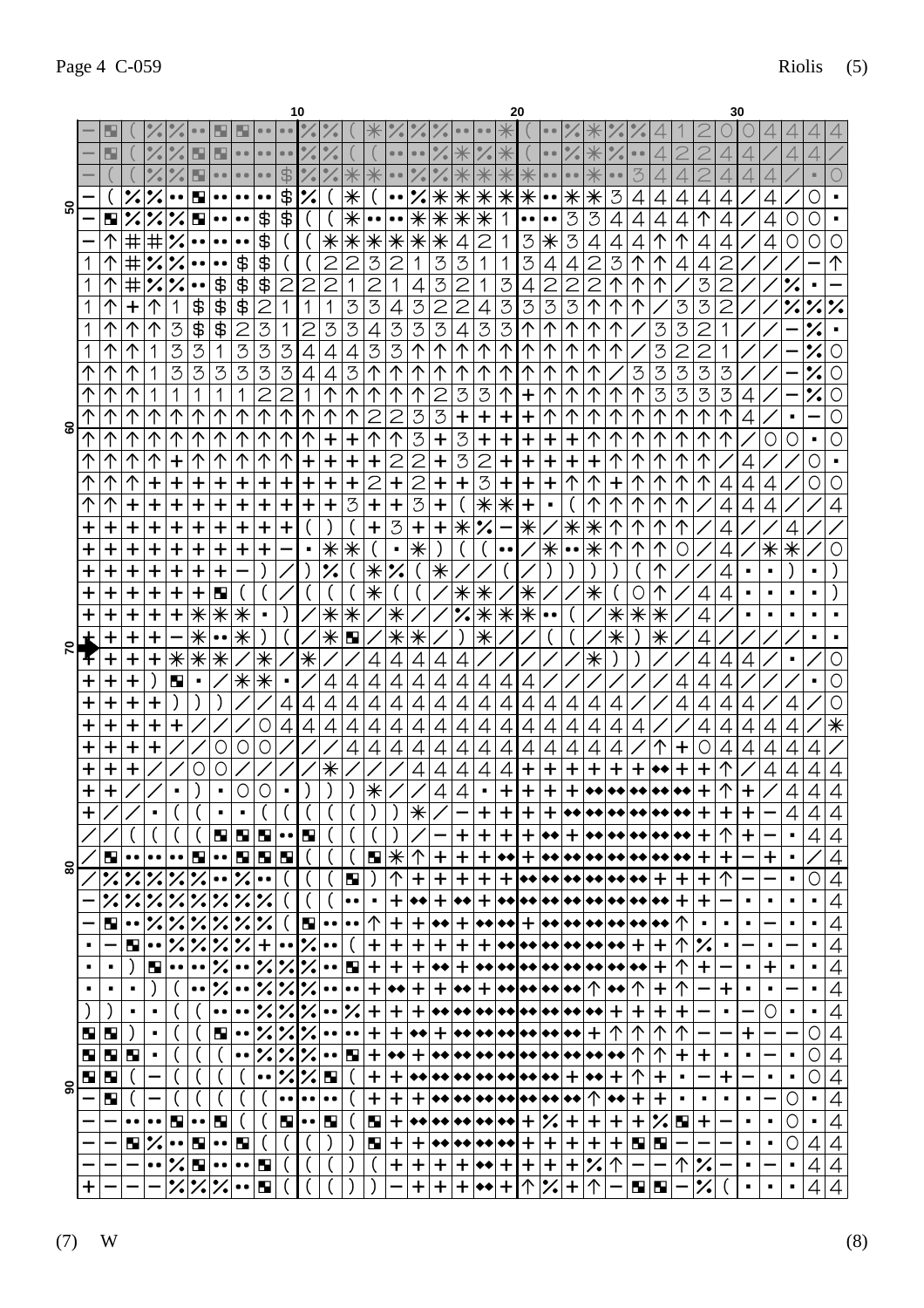|     |                |                          |                   |                           |                            |                            |                                     |                           |                           | 10             |                           |                        |                |                |                      |              |                          |                |                | 20          |                |                |                |                              |             |            |            |             |                | 30             |                |                |                    |                          |                |
|-----|----------------|--------------------------|-------------------|---------------------------|----------------------------|----------------------------|-------------------------------------|---------------------------|---------------------------|----------------|---------------------------|------------------------|----------------|----------------|----------------------|--------------|--------------------------|----------------|----------------|-------------|----------------|----------------|----------------|------------------------------|-------------|------------|------------|-------------|----------------|----------------|----------------|----------------|--------------------|--------------------------|----------------|
|     |                |                          |                   |                           |                            |                            |                                     |                           |                           |                |                           |                        |                |                |                      |              |                          |                |                |             |                |                |                |                              |             |            |            |             |                |                |                |                |                    |                          |                |
|     |                |                          |                   |                           |                            |                            |                                     |                           |                           |                |                           |                        |                |                |                      |              |                          |                |                |             |                |                |                |                              |             |            |            |             |                |                |                |                |                    |                          |                |
|     |                |                          |                   |                           |                            |                            |                                     |                           |                           | \$             |                           |                        |                |                |                      |              |                          |                |                |             |                |                |                |                              |             | 3          |            |             |                |                |                |                |                    | ш                        |                |
|     |                |                          |                   |                           |                            | Н                          |                                     |                           |                           | \$             | ٠                         |                        | $\ast$         |                | $\ddot{\phantom{0}}$ |              |                          | ⋇              | ⋇              | $\ast$      | ⋇              |                | $\ast$         | $\ast$                       | 3           |            | 4          | 4           |                |                |                |                |                    | O                        | Е              |
| ន   |                | Н                        |                   |                           | ′∙                         | Н                          |                                     |                           | \$                        | \$             |                           |                        | $\ast$         |                | $\bullet$            | $\ast$       | $\ast$                   | $\ast$         | $\ast$         |             |                |                | 3              | 3                            | 4           | 4          | 4          | 4           |                |                |                | 4              |                    | О                        | ٠              |
|     |                | 个                        | $\bm{\texttt{+}}$ | $\#$                      | ℅                          |                            | $\bullet$                           | $\bullet$                 | \$                        |                |                           | $\ast$                 | $\overline{*}$ | $\ast$         | $\ast$               | $\ast$       | $\ast$                   | 4              | 2              |             | 3              | $\ast$         | 3              | 4                            | 4           | 4          |            |             | 4              |                |                | 4              | 0                  | О                        | О              |
|     | 1              | ↑                        | #                 |                           | ℅                          |                            |                                     | \$                        | \$                        |                |                           | 2                      | 2              | 3              | 2                    | 1            | 3                        | 3              | 1              | 1           | 3              | $\overline{4}$ | $\overline{4}$ | $\overline{c}$               | 3           | ↑          | 个          | 4           | 4              |                |                |                |                    |                          | ↑              |
|     | 1              | ↑                        | #                 | ℅                         | '⁄.                        | $\bullet$ $\bullet$        | \$                                  | $\overline{\mathfrak{s}}$ | $\overline{\mathfrak{s}}$ | $\overline{c}$ | $\overline{c}$            | $\overline{2}$         | $\mathbf 1$    | $\mathsf{S}$   | 1                    | 4            | 3                        | $\mathsf{S}$   | 1              | 3           | 4              | $\mathsf{S}$   | $\overline{2}$ | $\overline{c}$               | ↑           | ↑          |            |             | 3              | $\overline{c}$ |                |                | $\frac{1}{2}$      | ٠                        |                |
|     | 1              | ↑                        | $\ddag$           |                           | 1                          | \$                         | \$                                  | $\overline{\Phi}$         | $\mathsf{S}$              |                | 1                         | $\mathbf 1$            | 3              | 3              | 4                    | 3            | $\overline{c}$           | $\overline{2}$ | 4              | 3           | $\overline{5}$ | $\overline{5}$ | $\overline{3}$ | ↑                            | ↑           |            |            | 3           | 3              | 2              |                |                | ℅                  | $\ddot{\mathbf{z}}$      | $\frac{1}{2}$  |
|     | 1              | ↑                        | ↑                 |                           | 3                          | \$                         | \$                                  | $\overline{c}$            | 3                         | 1              | 2                         | 3                      | 3              | 4              | 3                    | 3            | 3                        | $\overline{4}$ | 3              | 3           | ↑              | ↑              | 个              | ↑                            | ↑           |            | 3          | 3           | $\overline{2}$ | $\mathbf 1$    |                |                |                    | ℅                        | $\blacksquare$ |
|     | 1              | ↑                        | ↑                 | 1                         | 3                          | 3                          | 1                                   | 3                         | 3                         | 3              | $\overline{4}$            | $\overline{4}$         | $\overline{4}$ | 3              | 3                    |              | 个                        | 个              | 个              | 个           | ↑              | 个              | 个              | 个                            | 个           |            | 3          | 2           | $\overline{2}$ | 1              |                |                |                    | %                        | $\circ$        |
|     | 个              | ↑                        | 个                 | 1                         | 3                          | 3                          | 3                                   | 3                         | $\overline{3}$            | 3              | 4                         | $\overline{4}$         | $\overline{3}$ | 个              | ↑                    |              |                          |                |                | ↑           | ↑              |                | 个              | ↑                            |             | 3          | 3          | 3           | 3              | 3              |                |                |                    | ′∙                       | $\circ$        |
|     | ↑              | ↑                        | ↑                 | 1                         | 1                          | 1                          | 1                                   | 1                         | $\overline{2}$            | 2              | 1                         | ↑                      | ↑              | ↑              | $\uparrow$           |              | 2                        | 3              | 3              |             | $\ddag$        | ↑              | ↑              | ↑                            | ↑           | 个          | 3          | 3           | 3              | 3              | 4              |                |                    | ℅                        | $\bigcirc$     |
|     | <u>个</u>       | 个                        | 个                 | ↑                         |                            |                            |                                     | ↑                         | ↑                         |                |                           | 个                      | ↑              | 2              | $\overline{c}$       | 3            | 3                        | $\pmb{+}$      | $\ddag$        | $\ddag$     | $\mathbf +$    | 个              | 个              | 个                            | 个           | ↑          |            |             |                | ↑              | 4              |                | $\blacksquare$     |                          | Ο              |
| င္စ | 个              | ↑                        | ↑                 |                           |                            |                            |                                     |                           |                           |                |                           | $\ddag$                | $\ddag$        | ↑              |                      | 3            | $\mathbf +$              | 3              | $\mathbf +$    | $\mathbf +$ | $\ddag$        | $\mathbf +$    | $\ddagger$     | 个                            | ↑           |            |            |             |                |                |                | J              | Ο                  | ٠                        | О              |
|     | 个              | ↑                        | 个                 | ↑                         | +                          |                            |                                     |                           |                           |                | $\mathbf +$               | $\ddag$                | $\ddot{}$      | $\ddot{}$      | $\overline{c}$       | $\mathsf{S}$ | $\ddag$                  | 3              | 2              | $\ddag$     | $\ddag$        | $\ddagger$     | $\ddag$        | $\ddot{}$                    | ↑           |            |            |             |                |                | 4              |                |                    | О                        | $\blacksquare$ |
|     | ↑              | 个                        | 个                 | $\ddag$                   | $\ddot{}$                  | $\ddag$                    | $\ddag$                             | $\mathbf +$               | $\pmb{+}$                 | $\ddag$        | $\ddag$                   | $\ddot{}$              | $\ddot{}$      | $\mathsf{S}$   | $\ddot{}$            | $\mathbf{Z}$ | $\ddagger$               | $\ddag$        | 3              | $\ddagger$  | $\ddag$        | $\ddagger$     | 个              | 个                            | $\ddag$     | ↑          |            |             |                | 4              | 4              | 4              |                    | О                        | О              |
|     | ↑              | ↑                        | $\mathbf +$       | $\mathbf +$               | $\mathbf +$                | $\mathbf +$                | +                                   | $\mathbf +$               | $\pmb{+}$                 | $\ddag$        | $\ddagger$                | $\ddagger$             | 3              | $\ddag$        | $\ddagger$           | 3            | $\mathbf +$              |                | $\ast$         | $\ast$      | $\ddag$        | $\blacksquare$ |                | ↑                            | ↑           | ↑          |            |             |                | 4              | 4              | 4              |                    |                          | 4              |
|     | $\ddagger$     | $\ddagger$               | $\mathbf +$       | $\mathbf +$               | $\mathbf +$                | $\mathbf +$                | +                                   | $\mathbf +$               | $\mathbf +$               | $\ddot{}$      |                           | )                      | (              | $\ddagger$     | 3                    | $\ddag$      | $\ddag$                  | $\ast$         | $\frac{1}{2}$  |             | $\ast$         |                | $\ast$         | $\ast$                       | 个           |            |            |             |                | 4              |                |                | 4                  |                          |                |
|     | $\ddot{}$      | $\ddag$                  | $\ddag$           | $\mathbf +$               | $\mathbf +$                | $\mathbf +$                | +                                   | $\mathbf +$               | +                         |                | $\blacksquare$            | $\ast$                 | $\ast$         |                | $\blacksquare$       | $\ast$       |                          |                |                |             |                | $\ast$         | $\bullet$      | $\overline{\ast}$            | ↑           | ↑          |            | C           |                | 4              |                | $\ast$         | $\ast$             |                          | Ο              |
|     | $\ddag$        | $\ddag$                  | $\mathbf +$       | $\ddag$                   | $\ddot{}$                  | $\ddag$                    | $\ddag$                             |                           |                           |                |                           | ℅                      |                | $\ast$         | ℅                    |              | $\ast$                   |                |                |             |                |                |                |                              | )           |            |            |             |                | 4              | ٠              | Ξ              |                    | ٠                        |                |
|     | $\ddag$        | $\ddot{}$                | $\mathbf +$       | $\ddag$                   | $\mathbf +$                | $\mathbf +$                | Н                                   |                           |                           |                |                           |                        |                | $\ast$         |                      |              |                          | $\ast$         | $\ast$         |             | $\ast$         |                |                | $\ast$                       |             | O          |            |             | 4              | 4              | ٠              | $\blacksquare$ | $\blacksquare$     | $\blacksquare$           |                |
|     | +              | $\ddag$                  | $\mathbf +$       | +                         | $\mathbf +$                | ⋇                          | $\ast$                              | $\ast$                    | ٠                         |                |                           | $\ast$                 | $\ast$         |                | $\ast$               |              |                          | $\frac{1}{2}$  | $\ast$         | $\ast$      | ⋇              |                |                |                              | $\ast$      | $\ast$     | ⋇          |             | 4              |                | ٠              | п              | ٠                  | ٠                        | п              |
|     | $\ddagger$     | $\ddot{}$                | $\ddag$           | $\ddag$                   |                            | $\ast$                     |                                     | $\ast$                    |                           |                |                           | $\overline{*}$         | Ы              |                | $\ast$               | $\ast$       |                          |                | $\ast$         |             |                |                |                |                              | $\ast$      |            | $\ast$     |             | 4              |                |                |                |                    | $\blacksquare$           | $\blacksquare$ |
| 5   | Ŧ              | $\ddot{}$                | $\ddot{}$         | $\ddot{}$                 | $\ast$                     | $\ast$                     | $\ast$                              |                           | $\ast$                    |                | $\ast$                    |                        |                | 4              |                      |              | 4                        | 4              |                |             |                |                |                | $\ast$                       |             |            |            |             | 4              |                |                |                | ٠                  |                          | С              |
|     | +              | $\ddag$                  | $\mathbf +$       |                           | Ы                          | п                          |                                     | $\ast$                    | $\ast$                    | ٠              |                           | 4                      | $\overline{4}$ |                |                      | 4            | 4                        | 4              | 4              |             |                |                |                |                              |             |            |            | 4           | 4              |                |                |                |                    | ٠                        | $\circ$        |
|     | $\ddag$        | $\ddag$                  | $\mathbf +$       | $\mathbf +$               |                            |                            |                                     |                           |                           | 4              | 4                         | $\overline{4}$         | 4              | 4              | 4                    | 4            | 4                        | 4              | 4              | 4           | 4              | 4              | 4              | 4                            | 4           |            |            | 4           | 4              | 4              | 4              |                | 4                  |                          | 0              |
|     | $\ddag$        | $\ddot{}$                | $\ddag$           | $\ddag$                   | ┿                          |                            |                                     |                           | O                         | 4              | 4                         | $\overline{4}$         | $\overline{4}$ | 4              | 4                    | 4            | 4                        | 4              | 4              | 4           | 4              | 4              | $\overline{4}$ | $\overline{4}$               | 4           | 4          |            |             | 4              |                | 4              | 4              | 4                  |                          | $\overline{*}$ |
|     | $\ddag$        | $\ddot{}$                | $\ddag$           | ╈                         |                            |                            | O                                   | 0                         | Ο                         |                |                           |                        | $\overline{4}$ | 4              | 4                    | 4            | 4                        | 4              | 4              | 4           | 4              | 4              | 4              | 4                            | 4           |            |            | +           | 0              | 4              | 4              | 4              | 4                  | $\overline{4}$           |                |
|     | +              | $\ddag$                  | +                 |                           |                            | С                          | О                                   |                           |                           |                |                           | $\ast$                 |                |                |                      | 4            | 4                        | 4              | 4              | 4           | +              | $\ddag$        | $\ddag$        | +                            | $\ddag$     | ╈          |            | ┿           | +              |                |                | 4              | 4                  |                          |                |
|     | ╇              | $\ddot{}$                |                   |                           | $\blacksquare$             |                            | $\blacksquare$                      | ∩                         | ()                        |                |                           |                        |                | $\ast$         |                      |              | $\overline{\mathcal{A}}$ |                | $\blacksquare$ | $\ddot{}$   | $\ddot{}$      | $\ddot{}$      | $\ddot{}$      |                              |             |            |            |             | ╋              | ↑              |                |                | 4                  | $\overline{\mathcal{A}}$ | Δ              |
|     | +              |                          |                   |                           |                            |                            |                                     |                           |                           |                |                           |                        |                |                |                      | ⋇            |                          |                | +              | $\mathbf +$ | ╈              | ╈              |                |                              |             |            |            |             | ┿              | $\mathbf +$    |                |                |                    | 4                        | 4              |
|     |                |                          |                   |                           |                            |                            | Ы                                   | Ы                         | H                         |                | H                         |                        |                |                |                      |              |                          | $\mathbf +$    | $\mathbf +$    | $\mathbf +$ | ┿              | ◆◆             |                |                              |             |            |            |             | ┿              |                | ┿              |                |                    | <u>4</u>                 |                |
| 80  |                | Ы                        |                   |                           | $\cdot$                    | Н                          |                                     | Ы                         | Ы                         | $\blacksquare$ |                           |                        |                | Н              | $\ast$               |              | $\ddag$                  | $\mathbf +$    | +              | ◆◆          |                |                |                |                              |             |            |            |             | +              | $\ddag$        |                | +              | ٠                  |                          | $\frac{4}{4}$  |
|     |                | %                        | $\frac{1}{2}$     | $\frac{1}{2}$             | $\boldsymbol{\mathcal{Z}}$ | $\frac{1}{2}$              | $\bullet$                           | $\frac{1}{2}$             | $\bullet$                 |                |                           |                        | Ы              |                | ↑                    | $\ddagger$   | $\ddag$                  | $\pm$          | $\ddot{}$      | $\ddot{}$   |                |                |                |                              |             |            |            | $\ddag$     | $\ddagger$     | 个              |                |                |                    | О                        | $\overline{4}$ |
|     |                |                          |                   | ℅                         | $\varkappa$                |                            | $ \mathcal{X} \mathcal{Y}$          | $\frac{1}{2}$             | $\frac{1}{2}$             |                |                           |                        |                | ٠              | $\ddot{}$            | ◆◆           | $\mathbf +$              |                | $\mathbf +$    |             |                |                |                |                              |             |            |            | ╈           | $\pmb{+}$      |                |                | ٠              | ٠                  | ٠                        |                |
|     |                | Н                        |                   | $\boldsymbol{\mathsf{z}}$ |                            |                            | $\varkappa$ $\varkappa$ $\varkappa$ | $\frac{1}{2}$             | %                         |                | $\blacksquare$            | $\cdot$                | $\bullet$      | ↑              | $\ddot{}$            | $\mathbf +$  | ◆◆                       | $\mathbf +$    | ◆◆             | ◆◆          |                |                |                |                              |             |            |            |             | $\blacksquare$ | ٠              | ٠              |                | ٠                  | ٠                        | $\frac{4}{4}$  |
|     | ٠              | $\overline{\phantom{0}}$ | Ы                 | $\bullet$<br>$\bullet$    | $\boldsymbol{\mathsf{z}}$  | $\boldsymbol{\mathcal{V}}$ | $\mathbf{Z}$                        | $\frac{1}{2}$             | $\mathbf +$               |                | $\frac{1}{2}$             | $\ddot{\phantom{0}}$   |                | $\ddagger$     | $\ddot{}$            | $\ddagger$   | $\ddagger$               | $\ddag$        | $\ddagger$     |             |                |                |                |                              |             | $\div$     | $\ddagger$ | ↑           | $\frac{1}{2}$  | ٠              |                | Ξ              |                    | $\blacksquare$           |                |
|     | ٠              | ×                        | $\mathcal{C}$     | Н                         | $\cdot \cdot$              | $\bullet \bullet$          | ℅                                   |                           | %                         | %              | ℅                         | $\ddot{\phantom{0}}$   | b.             | $\ddot{}$      | $\ddagger$           | $\ddagger$   | ◆◆                       | ┿              |                |             |                |                |                |                              |             |            | $\ddagger$ |             | $\mathbf +$    |                | ٠              | +              | ٠                  | $\blacksquare$           | $\frac{4}{4}$  |
|     | $\blacksquare$ | $\blacksquare$           | $\blacksquare$    |                           |                            | $\bullet$                  |                                     |                           | ℅                         | %              | %                         | $\ddot{\phantom{0}}$   | $\cdot$        | $\overline{+}$ | ◆◆                   | $\ddot{}$    |                          |                |                |             |                |                |                |                              |             |            | $\ddagger$ |             |                | $\pm$          | ٠              | ٠              |                    |                          |                |
|     | )              | $\mathcal{C}^{\prime}$   | $\blacksquare$    | $\blacksquare$            |                            |                            |                                     |                           |                           | ℅              |                           | $\ddot{\phantom{0}}$   | $\frac{1}{2}$  | $\ddag$        | $\ddagger$           | $\mathbf +$  |                          |                |                |             |                |                |                |                              | $\mathbf +$ | $\ddot{}$  | $\ddot{}$  | $\ddot{}$   |                |                |                | Ο              | $\blacksquare$     | $\blacksquare$           | $\frac{4}{4}$  |
|     | Ы              | Н                        |                   | п                         |                            |                            | B)                                  | $\bullet$                 | $\frac{1}{2}$             |                | $\boldsymbol{\mathsf{z}}$ | $\bullet$<br>$\bullet$ | $\bullet$      | $\ddag$        | $\ddot{}$            |              |                          |                |                |             |                |                |                | $\ddot{}$                    | 个           |            | ↑          | 个           |                |                | $\mathbf +$    |                |                    | $\bigcirc$               |                |
|     | b.             | $\blacksquare$           | Е                 | $\blacksquare$            |                            |                            |                                     | $\ddot{\phantom{0}}$      | %                         | ℅              | $\frac{1}{2}$             | $\bullet$              | Ы              | $\ddag$        | ◆◆                   |              |                          |                |                |             |                |                |                |                              | ∤◆          | 个          | 个          | $\mathbf +$ | $\pm$          | ٠              | ٠              |                |                    | О                        | $\overline{4}$ |
| န္တ | $\blacksquare$ | $\mathbf{E}$             |                   |                           |                            |                            |                                     |                           |                           | ℅              | $\boldsymbol{\mathsf{z}}$ | $\blacksquare$         |                | $\ddagger$     | $\mathbf +$          |              |                          |                |                |             |                | ◆◆             | $\mathbf +$    | $\blacklozenge\blacklozenge$ | $\mathbf +$ |            | $\ddagger$ | ٠           |                | $\ddagger$     |                | ٠              | ٠                  | $\overline{\circ}$       | $\overline{4}$ |
|     | —              | b.                       |                   |                           |                            |                            |                                     |                           |                           | $\bullet$      |                           | $\ddot{\phantom{0}}$   |                | $\ddag$        | $\mathbf +$          |              |                          |                |                |             |                | ◆◆             | ◆◆             | 个                            | ◆◆          | $\ddagger$ | $\ddagger$ | ٠           | ٠              | ٠              | $\blacksquare$ |                | $\bigcirc$         | $\blacksquare$           | $\overline{4}$ |
|     |                |                          |                   | $\bullet$                 | Н                          |                            | Н                                   |                           |                           | Н              | $\bullet$                 | b.                     |                | Ы              | $\ddag$              |              |                          |                |                |             | ┿              | %              | $\ddag$        | $\ddot{}$                    | $\ddagger$  | $\ddot{}$  | ℅          | Ы           | $\pmb{+}$      |                | ٠              |                | $\circ$            | $\blacksquare$           |                |
|     |                |                          | Н                 | ℅                         | $\cdot$                    | b.                         | $\bullet$                           | b.                        |                           |                |                           |                        |                | b,             | +                    |              |                          |                |                |             | ┿              | $\ddagger$     | $\ddagger$     | $\pm$                        | $\ddot{}$   | Ы          | Ы          |             |                |                |                | ٠              | $\overline{\circ}$ | $\overline{4}$           | $\frac{4}{4}$  |
|     |                |                          |                   | $\bullet$                 | $\boldsymbol{\mathsf{z}}$  | b.                         | $\bullet$                           | $\bullet$                 | N                         |                |                           |                        |                |                | $\ddag$              | $\mathbf +$  | ᆠ                        | ┿              | ◆◆             | +           | +              | $\ddagger$     | $\mathbf +$    | $\frac{1}{2}$                | ↑           |            |            |             | ℅              |                |                |                | ٠                  | 4                        |                |
|     | $\ddag$        |                          |                   |                           |                            |                            | $\varkappa$ $\varkappa$ $\varkappa$ | $\bullet$                 | $\blacksquare$            |                |                           |                        |                |                |                      | $\ddot{}$    | $\mathbf +$              | $\ddag$        | ◆◆             | $\div$      |                | $\frac{1}{2}$  | $\ddot{}$      | 个                            |             | Ы          | Н          |             | ℅              |                |                | ٠              | ٠                  | $\overline{4}$           | $\overline{4}$ |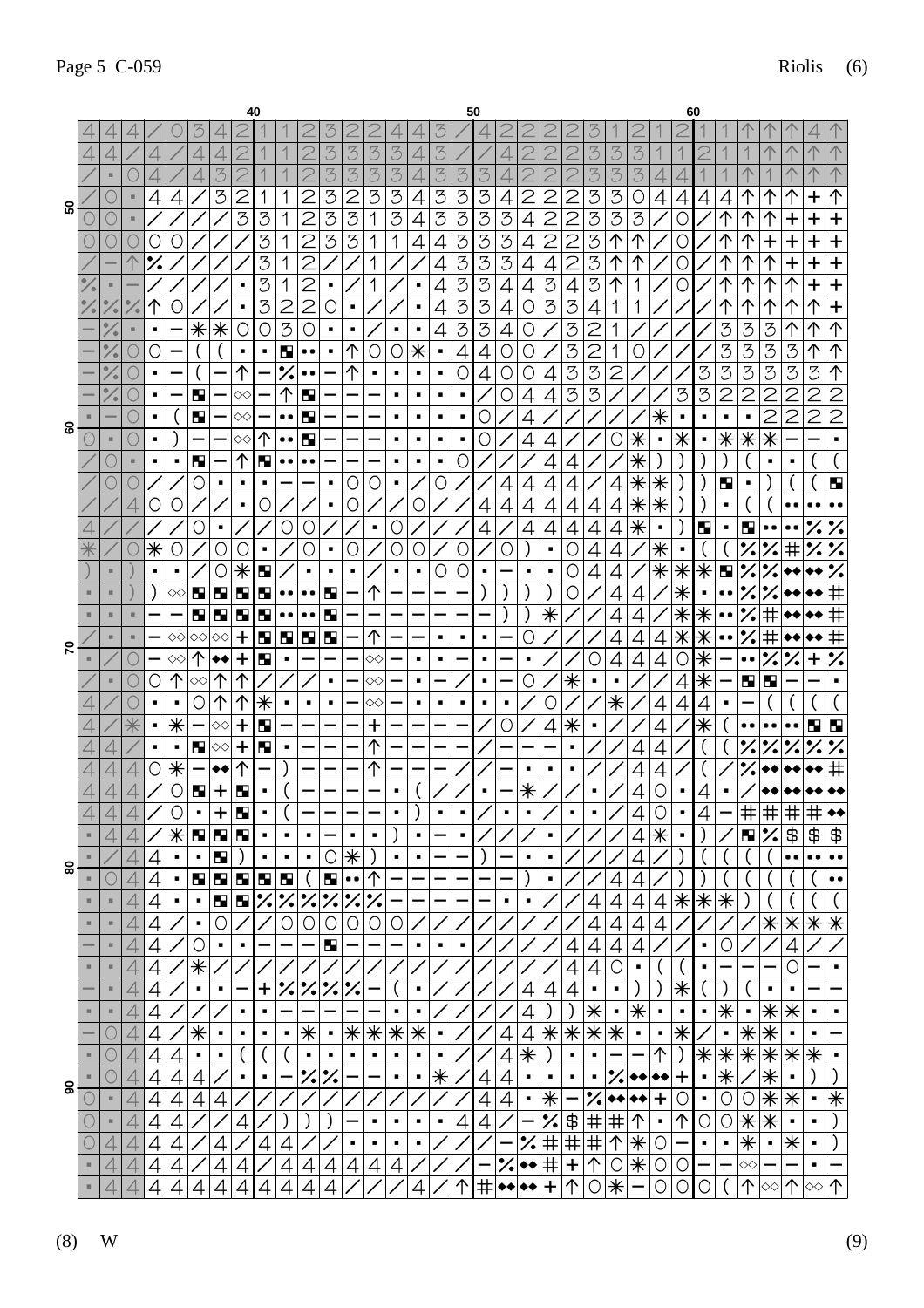|          |                |                |           |                |                |                |                |                | 40             |                |                |                    |               |                |                |                |                | 50             |                |                |                   |                             |                         |                   |                |        |                | 60             |                |                |                         |                   |                                     |                           |                              |
|----------|----------------|----------------|-----------|----------------|----------------|----------------|----------------|----------------|----------------|----------------|----------------|--------------------|---------------|----------------|----------------|----------------|----------------|----------------|----------------|----------------|-------------------|-----------------------------|-------------------------|-------------------|----------------|--------|----------------|----------------|----------------|----------------|-------------------------|-------------------|-------------------------------------|---------------------------|------------------------------|
|          |                |                |           |                |                | 3              |                |                |                |                |                | 3                  |               |                |                |                | 3              |                |                |                |                   |                             |                         | 3                 |                |        |                |                |                |                |                         |                   |                                     |                           |                              |
|          |                |                |           |                |                |                |                |                |                |                |                | 3                  | 3             | 3              | 3              |                | 3              |                |                |                |                   |                             |                         | 3                 | 3              | 3      |                |                |                |                |                         |                   |                                     |                           |                              |
|          |                | ٠              |           |                |                |                | 3              |                |                |                |                | 3                  | 3             | 3              | 3              |                | 3              | 3              | 3              |                |                   |                             |                         | 3                 | 3              | 3      |                |                |                |                |                         |                   |                                     |                           |                              |
|          |                |                | ш         |                |                |                | 3              | 2              |                |                | 2              | 3                  | 2             | 3              | 3              |                | 3              | 3              | 3              |                | 2                 | 2                           | 2                       | 3                 | 3              | О      |                |                |                |                |                         |                   |                                     |                           |                              |
| ន        |                |                |           |                |                |                |                | 3              | 3              |                | $\overline{c}$ | 3                  | 3             |                | 3              | 4              | 3              | 3              | 3              | 3              | 4                 | $\overline{c}$              | $\overline{c}$          | $\overline{3}$    | 3              | 3      |                |                |                |                |                         |                   | $\mathbf +$                         | $\ddagger$                | $\ddot{}$                    |
|          |                |                |           |                |                |                |                |                | 3              | 1              | $\overline{c}$ | 3                  | 3             | 1              | 1              |                |                | 3              | 3              | 3              |                   | $\overline{2}$              | $\overline{c}$          | 3                 | 个              |        |                |                |                |                |                         | $\ddag$           | $\ddag$                             |                           | $\ddag$                      |
|          |                |                |           | U              |                |                |                |                |                |                |                |                    |               |                |                | 4              | 4              |                |                |                | $\overline{4}$    |                             |                         |                   |                |        |                |                |                |                |                         |                   |                                     | $\ddagger$                |                              |
|          |                |                |           | %              |                |                |                |                | 3              | 1              | $\overline{2}$ |                    |               | 1              |                |                | 4              | 3              | 3              | $\mathfrak{Z}$ | 4                 | $\overline{4}$              | $\mathbf{Z}$            | $\overline{3}$    | ↑              |        |                | O              |                |                |                         | 个                 | $\ddagger$                          | $\ddot{}$                 | $\ddot{}$                    |
|          |                | ш              | $\bullet$ |                |                |                |                | $\blacksquare$ | $\overline{5}$ | 1              | $\overline{2}$ | ٠                  |               |                |                | $\blacksquare$ | $\overline{4}$ | 3              | $\overline{5}$ | $\overline{4}$ | $\overline{4}$    | $\overline{3}$              | $\overline{4}$          | $\overline{3}$    | 个              | 1      |                | Ο              |                | ↑              |                         | ↑                 | ↑                                   | $\ddot{}$                 | $\ddot{}$                    |
|          |                |                |           |                |                |                |                | ٠              | 3              | $\overline{2}$ | $\overline{2}$ | О                  | ٠             |                |                | ٠              | 4              | 3              | 3              | 4              | О                 | $\overline{5}$              | 3                       | 4                 |                |        |                |                |                | ↑              |                         | ↑                 | ↑                                   |                           | $\ddot{}$                    |
|          |                |                | ш         | ٠              |                | $\ast$         | $\ast$         | $\circ$        | О              | $\overline{3}$ | $\bigcirc$     | ٠                  | ٠             |                | $\blacksquare$ | ٠              | 4              | 3              | 3              | 4              | $\bigcirc$        |                             | 3                       | $\overline{c}$    | 1              |        |                |                |                | 3              | $\overline{3}$          | $\mathcal{Z}$     | ↑                                   |                           | 个                            |
|          |                |                |           | О              |                |                |                | $\blacksquare$ | ٠              | $\blacksquare$ |                | ٠                  | ↑             | $\circ$        | О              | $\ast$         | $\blacksquare$ | 4              | 4              | О              | $\bigcirc$        |                             | 3                       | $\frac{2}{3}$     | 1              | Ο      |                |                |                | 3              | $\frac{3}{3}$           | $\frac{3}{3}$     | $\overline{3}$                      |                           |                              |
|          |                |                |           | п              |                |                |                |                |                | ℅              | $\bullet$      |                    | 个             | $\blacksquare$ | п              | ٠              | $\blacksquare$ | О              | 4              | О              | $\bigcirc$        | $\overline{4}$              | $\overline{5}$          |                   | $\overline{2}$ |        |                |                | 3              | $\mathfrak{Z}$ |                         |                   | $\overline{3}$                      | 3                         |                              |
|          |                | ۰              |           | ٠              |                | Ы              |                | ◇◇             |                | 个              | Ы              |                    |               |                | п              | ٠              | ٠              | ٠              |                | Ο              | 4                 | $\overline{4}$              | $\overline{3}$          | $\overline{3}$    |                |        |                | 3              | 3              | $\overline{2}$ | $\overline{2}$          | $\overline{2}$    | $\overline{2}$                      | 2                         | $\overline{2}$               |
| 8        |                |                |           | Е              |                | Ы              |                | ◇◇             |                | $\bullet$      | Ы              |                    |               |                | $\blacksquare$ | ٠              | $\blacksquare$ | $\blacksquare$ | Ο              |                | 4                 |                             |                         |                   |                |        | $\ast$         | ٠              |                | ٠              | $\blacksquare$          | $\overline{2}$    | $\overline{2}$                      | $\overline{2}$            | $\overline{2}$               |
|          |                | п              |           | Е              |                |                |                | ◇◇             |                | $\bullet$      | Н              |                    |               |                | $\blacksquare$ | ٠              | ٠              | ٠              | С              |                | 4                 | <u>4</u>                    |                         |                   | $\circ$        | $\ast$ | $\blacksquare$ | $\ast$         | п              | $\ast$         | $\ast$                  | $\ast$            |                                     |                           | $\blacksquare$               |
|          |                |                | ×         | Е              | $\blacksquare$ | Ы              |                | ↑              | Ы              | $\bullet$      |                |                    |               |                | $\blacksquare$ | ٠              | $\blacksquare$ | О              |                |                |                   | 4                           | 4                       |                   |                | $\ast$ |                |                |                |                |                         | $\blacksquare$    | $\blacksquare$                      |                           |                              |
|          |                |                |           |                |                | ()             | П              | ٠              |                |                |                | ٠                  | 0             | Ο              |                |                |                |                |                | 4              | 4                 | 4                           | 4                       |                   | 4              | $\ast$ | $\ast$         |                |                | Н              | ٠                       |                   |                                     |                           | Ы                            |
|          |                |                | 4         | 0              | С              |                |                | ٠              | О              |                |                | ٠                  | $\circ$       |                |                | С              |                |                | 4              | 4              | $\overline{4}$    | 4                           | 4                       | 4                 | 4              | $\ast$ | $\ast$         |                |                | ٠              |                         |                   |                                     |                           | $\bullet$                    |
|          |                |                |           |                |                | 0              | $\blacksquare$ |                |                | О              | $\bigcirc$     |                    |               | $\blacksquare$ | О              |                |                |                | 4              |                | 4                 | 4                           | 4                       | 4                 | 4              | $\ast$ | $\blacksquare$ |                | Н              | ٠              | Ы                       | $\bullet$         | $\bullet$                           | ℅                         | $\frac{1}{2}$                |
|          | ⋇              |                |           | $\ast$         |                |                | 0              | 0              |                |                | Ο              | ٠                  | 0             |                | O              | C              |                | О              |                | 0              |                   | $\blacksquare$              | О                       | 4                 | 4              |        | $\ast$         | п              |                |                | $\mathcal{C}$           | %                 | #                                   | ℅                         |                              |
|          |                | п              |           | $\blacksquare$ | ٠              |                | 0              | $\ast$         | Ы              |                | $\blacksquare$ | ٠                  | ٠             |                | $\blacksquare$ | ٠              | 0              | $\circ$        | ٠              |                | $\blacksquare$    | $\blacksquare$              | $\circ$                 | 4                 | 4              |        | $\ast$         | $\ast$         | $\ast$         | Ы              | ٬                       |                   |                                     |                           | ℅                            |
|          | ш              | ш              |           |                | ◇◇             | Ы              | Ы              | Ы              | Ы              |                | $\bullet$      | Ы                  |               |                |                |                |                |                |                |                |                   |                             | О                       |                   | 4              | 4      |                | $\ast$         | ٠              |                | %                       |                   |                                     |                           | #                            |
|          | ш              | $\blacksquare$ | ш         |                |                | Ы              | Ы              | Ы              | 5              |                | $\bullet$      | Н                  |               |                |                |                |                |                |                |                |                   | $\ast$                      |                         |                   |                |        |                | $\ast$         | $\ast$         |                |                         |                   |                                     |                           | #                            |
|          |                |                |           |                |                |                |                |                |                |                |                |                    |               |                |                |                |                |                |                |                |                   |                             |                         |                   | 4              |        |                |                |                |                |                         | $\bm{\#}$         |                                     |                           |                              |
| 20       |                | ш              | ш         |                | $\diamondsuit$ | $\infty$       | ◇◇             | $\ddagger$     | Н              | Н              | Н              | Н                  |               | ↑              |                |                | ٠              | ٠              | ٠              |                | С                 |                             |                         |                   | 4              | 4      | 4              | $\ast$         | $\ast$         |                | $\frac{1}{2}$           | #                 |                                     |                           | #                            |
|          | ш              |                |           |                | ◇◇             |                | ◆◆             | ╈              | b.             | ٠              |                |                    |               | ◇◇             |                | ٠              | ٠              |                | ٠              |                | ٠                 |                             |                         | O                 | 4              | 4      | 4              | 0              | $\ast$         |                |                         |                   | ℅                                   | $\ddot{}$                 | ℅                            |
|          |                | ٠              |           | O              |                | ◇◇             | ↑              |                |                |                |                | $\blacksquare$     |               | ◇◇             |                | $\blacksquare$ |                |                | ٠              |                | О                 |                             | $\ast$                  | ×                 | ٠              |        |                | 4              | $\ast$         |                | Ы                       | Ы                 |                                     |                           | П                            |
|          |                |                |           | п              | ٠              | Ο              | 个              | ↑              | $\ast$         | ٠              | ٠              | $\blacksquare$     |               | ◇◇             |                |                | ٠              | ٠              | ٠              | ×              |                   | Ο                           |                         |                   | $\ast$         |        | 4              | 4              | 4              | ٠              |                         |                   |                                     |                           |                              |
|          |                |                | $\ast$    | Е              | ⋇              |                | ◇◇             | $\mathbf +$    | Ы              |                |                |                    |               | $\ddot{}$      |                |                |                |                |                | Ο              |                   | 4                           | $\ast$                  | Е                 |                |        | 4              |                | $\ast$         |                |                         |                   |                                     | H                         | b.                           |
|          |                |                |           | Е              | ٠              | H              | ◇◇             | $\mathbf +$    | H              | ٠              |                |                    |               |                |                |                |                |                |                |                |                   |                             | $\blacksquare$          |                   |                | 4      |                |                |                |                | ℅                       |                   | $\varkappa$ $\varkappa$ $\varkappa$ |                           | $\frac{1}{2}$                |
|          |                |                |           | С              | $\ast$         |                |                |                |                |                |                |                    |               |                |                |                |                |                |                |                | $\blacksquare$    | $\blacksquare$              | $\blacksquare$          |                   |                | 4      |                |                |                |                | $\mathcal{V}_{\bullet}$ |                   |                                     |                           | #                            |
|          |                |                |           |                | C              | Ы              |                | 52             |                |                |                |                    |               |                |                |                |                |                | Ξ              |                | $\ast$            |                             |                         | $\blacksquare$    |                | 4      |                | ٠              | 4              | П              |                         |                   |                                     |                           |                              |
|          |                |                |           |                | U              | п              | +              | Н              |                |                |                |                    |               |                | $\blacksquare$ |                | ٠              | ٠              |                | ٠              | ٠                 |                             | ٠                       | ٠                 |                |        |                | п              | 4              |                | #                       | #                 | #                                   | #                         | $\blacklozenge\blacklozenge$ |
|          | ш              |                |           |                | $\ast$         | Ы              | Ы              | Н              |                | ٠              | п              |                    | п             | ٠              |                | П              |                | п              |                |                |                   | Ξ                           |                         |                   |                | 4      | $\ast$         | п              |                |                | Н                       | $\frac{1}{2}$     | $\overline{\mathfrak{s}}$           | $\overline{\mathfrak{s}}$ | $\frac{1}{2}$                |
| 80       | ш              |                |           | 4              | ٠              | $\blacksquare$ | Н              |                |                | ٠              | ٠              | О                  | $\ast$        |                | ٠              | ٠              |                |                |                |                | $\blacksquare$    | ٠                           |                         |                   |                |        |                |                |                |                |                         |                   | $\bullet$                           | $\bullet$                 | $\bullet$                    |
|          | ш              |                |           | 4              | ٠              | Ы              | Ы              | Н              | H              | Ы              |                | b.                 |               |                |                |                |                |                |                |                |                   |                             |                         |                   | 4              |        |                |                |                |                |                         |                   |                                     |                           | $\bullet$                    |
|          | ٠              | п              |           | 4              | $\blacksquare$ | п              | Ы              | Н              | ℅              | ℅              | $\frac{1}{2}$  | $\mathbf{\hat{z}}$ | $\frac{1}{2}$ | $\frac{1}{2}$  |                |                |                |                |                | П              | ٠                 |                             |                         | 4                 | 4              | 4      | 4              | 序              | $\ast$         | $\ast$         |                         |                   |                                     |                           |                              |
|          | ٠              | $\blacksquare$ | △         | 4              |                | $\blacksquare$ | $\bigcirc$     |                |                | О              | О              | О                  | $\circ$       | $\circ$        | О              |                |                |                |                |                |                   |                             |                         | 4                 | $\overline{4}$ | 4      | 4              |                |                |                |                         | $\ast$            | $\frac{1}{\ast}$                    | $\ast$                    | $\overline{\ast}$            |
|          |                | $\blacksquare$ |           | 4              |                | Ο              | $\blacksquare$ | $\blacksquare$ |                |                |                | Ы                  |               |                |                | ٠              | $\blacksquare$ | $\blacksquare$ |                |                |                   |                             | <u>4</u>                | $\overline{4}$    | $\overline{4}$ | 4      |                |                | ٠              | О              |                         |                   | 4                                   |                           |                              |
|          | п              | п              |           | 4              |                | $\ast$         |                |                |                |                |                |                    |               |                |                |                |                |                |                |                |                   |                             | 4                       | 4                 | $\bigcirc$     | ٠      |                |                | ٠              |                |                         |                   | С                                   |                           | $\blacksquare$               |
|          |                | $\blacksquare$ |           |                |                | ٠              | ٠              |                | ╈              | %              | $\frac{1}{2}$  | $\frac{1}{2}$      | '⁄.           |                |                | п              |                |                |                |                | 4                 | 4                           | 4                       | $\blacksquare$    | п              |        |                | $\ast$         |                |                |                         | ٠                 | ٠                                   |                           |                              |
|          | ш              | ш              |           | 4              |                |                |                | $\blacksquare$ | $\blacksquare$ |                |                |                    |               |                | $\blacksquare$ | ٠              |                |                |                |                | 4                 |                             | )                       | $\ast$            | $\blacksquare$ | $\ast$ | $\blacksquare$ | $\blacksquare$ | ٠              | $\ast$         | ×                       |                   | $\ast$                              | ٠                         | $\blacksquare$               |
|          |                |                |           | 4              |                | $\ast$         | п              | п              |                | ٠              | $\ast$         | п                  | $\ast$        | $\ast$         | $\ast$         | $\ast$         | ٠              |                |                | 4              | $\overline{4}$    | $\ast$                      | $\overline{\ast}$       | $\ast$            | $\ast$         | ٠      | ٠              | $\ast$         |                | ٠              | $\overline{\ast}$       | $*$               | ٠                                   |                           |                              |
|          | ш              |                |           | 4              |                | ٠              | ٠              |                |                |                | ٠              | ٠                  | ٠             | ٠              | ٠              | ٠              | ٠              |                |                | 4              | $\overline{\ast}$ | $\mathcal{C}^{\mathcal{C}}$ | $\blacksquare$          | $\blacksquare$    |                |        |                |                | $\ast$         | $\ast$         | $\ast$                  | $\overline{\ast}$ | $\ast$                              | $\ast$                    | ٠                            |
|          | ш              |                |           | $\overline{4}$ | 4              | 4              |                | $\blacksquare$ | ٠              |                | $\frac{1}{2}$  | $\frac{1}{2}$      |               |                | ٠              | $\blacksquare$ | $\ast$         |                |                | 4              | $\blacksquare$    | $\blacksquare$              | ٠                       | $\blacksquare$    | %              |        |                | $\ddag$        | $\blacksquare$ | $\ast$         |                         | $\ast$            | $\blacksquare$                      |                           |                              |
| $\bf{8}$ |                |                |           |                | 4              |                |                |                |                |                |                |                    |               |                |                |                |                |                | 4              |                |                   |                             |                         |                   |                | ◆◆     | ◆◆             |                |                |                |                         |                   |                                     |                           |                              |
|          |                | $\blacksquare$ |           | 4              | $\overline{A}$ | 4              | 4              |                |                |                |                |                    |               |                |                |                |                |                | 4              | 4              | $\blacksquare$    | $\ast$                      |                         |                   | ◆◆             | ◆◆     | $\ddagger$     | 0              | ٠              | О              | Э                       | $\ast$            | $\ast$                              | $\blacksquare$            | $\overline{\ast}$            |
|          |                | ٠              |           | 4              | 4              |                |                | 4              |                |                |                |                    |               | ٠              | п              | ٠              | ٠              | 4              | 4              |                |                   | $\frac{22}{4}$              | $\frac{1}{\frac{1}{x}}$ | $\frac{\pm}{\pm}$ | #              |        | ٠              |                | 0              | О              | $\ast$                  | $\overline{\ast}$ | $\blacksquare$                      | ٠                         | $\mathcal{C}$                |
|          |                |                |           | 4              |                |                |                |                | 4              | 4              |                |                    | ٠             | ٠              | ٠              | ٠              |                |                |                |                | $\frac{1}{2}$     |                             |                         |                   | ↑              | $\ast$ | $\circ$        |                | ٠              | $\blacksquare$ | $\overline{\ast}$       | $\blacksquare$    | $\ast$                              | $\blacksquare$            | $\mathcal{C}$                |
|          | $\blacksquare$ |                |           | 4              |                |                | 4              | 4              |                | 4              | 4              | 4                  | 4             | 4              |                |                |                |                |                |                | $\bullet\bullet$  |                             | $\overline{+}$          | ↑                 | $\circ$        | $\ast$ | С              | О              |                |                | ◇◇                      |                   |                                     | ٠                         |                              |
|          |                |                |           |                |                |                |                |                |                |                | $4^{\circ}$    |                    |               |                |                |                |                |                |                |                |                   | ╋                           |                         |                   | $\ast$         |        |                |                |                |                |                         | ◇◇                |                                     | ◇◇                        |                              |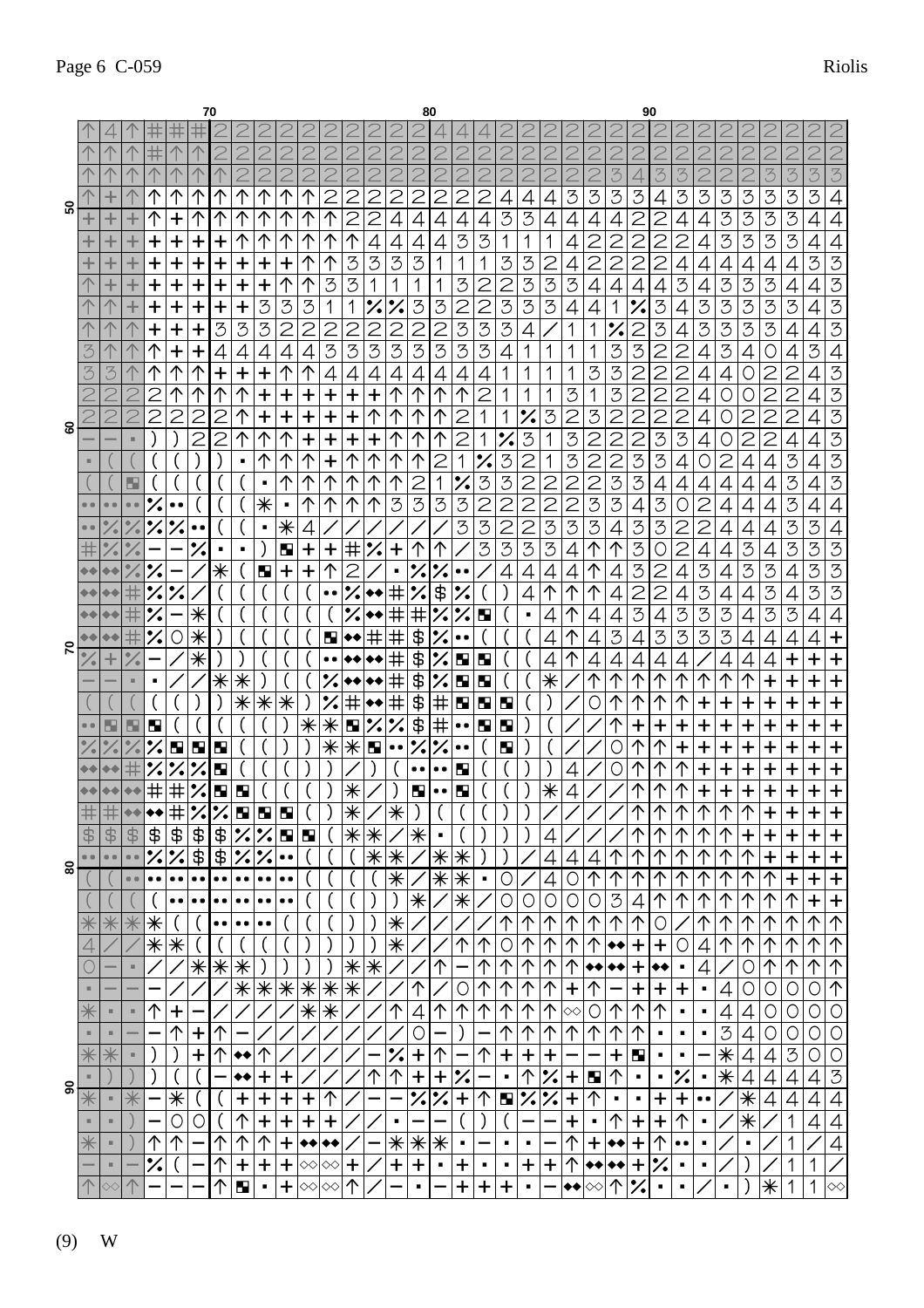|         |        |                  |                |                           |                           | 70            |                |                              |                            |                   |                             |                   |         |           |                   | 80            |                   |                |                |                |                         |                          |                |                              |                | 90             |                |                |                     |                   |                          |                |                |                |                                     |
|---------|--------|------------------|----------------|---------------------------|---------------------------|---------------|----------------|------------------------------|----------------------------|-------------------|-----------------------------|-------------------|---------|-----------|-------------------|---------------|-------------------|----------------|----------------|----------------|-------------------------|--------------------------|----------------|------------------------------|----------------|----------------|----------------|----------------|---------------------|-------------------|--------------------------|----------------|----------------|----------------|-------------------------------------|
|         |        |                  |                |                           |                           |               |                |                              |                            |                   |                             |                   |         |           |                   |               |                   |                |                |                |                         |                          |                |                              |                |                |                |                |                     |                   |                          |                |                |                |                                     |
|         |        |                  |                |                           |                           |               |                |                              |                            |                   |                             |                   |         |           |                   |               |                   |                |                |                |                         |                          |                |                              |                |                |                |                |                     |                   |                          |                |                |                |                                     |
|         |        |                  |                |                           |                           |               |                |                              |                            |                   |                             |                   |         |           |                   |               |                   |                |                |                |                         |                          |                |                              |                |                |                |                |                     |                   |                          |                |                |                |                                     |
|         |        |                  |                |                           |                           |               |                |                              |                            |                   |                             |                   |         |           |                   |               |                   |                |                |                |                         |                          |                |                              | 3              |                | 3              | 3              |                     |                   |                          | 3              | 3              | 3              | 3                                   |
|         |        |                  |                |                           |                           |               |                |                              |                            |                   | 1                           | 2                 | 2       | 2         | $\overline{2}$    | 2             | 2                 | 2              | 2              | 4              | 4                       | 4                        | 3              | 3                            | 3              | 3              |                | 3              | 3                   | 3                 | 3                        | 3              | 3              | 3              |                                     |
| ႙       |        |                  |                |                           |                           |               |                |                              |                            |                   |                             |                   | 2       | 2         |                   |               |                   |                |                | 3              | 3                       |                          |                |                              |                | 2              |                |                |                     | 3                 | 3                        | 3              | 3              |                | 4                                   |
|         |        |                  |                |                           | $\ddag$                   |               |                |                              |                            |                   | ↑                           |                   |         |           | 4                 |               | 4                 | 4              | 4              |                |                         | 4                        | 4              | 4                            | 4              |                |                | 4              | 4                   |                   |                          |                |                | 4              |                                     |
|         |        |                  |                | +                         | $\ddag$                   | ┿             | ╋              |                              | ↑                          |                   | ↑                           | ↑                 |         | 4         | 4                 |               | 4                 | 3              | 3              | 1              | 1                       | 1                        | 4              | 2                            | $\overline{c}$ | 2              |                | 2              | 4                   | 3                 | 3                        | $\overline{3}$ | 3              | 4              |                                     |
|         |        | ÷                | ♦              | $\mathbf +$               | $\ddag$                   | ┿             | $\ddag$        | $\ddot{}$                    | $\ddag$                    | $\ddot{}$         | ↑                           |                   | 3       | 3         | 3                 | 3             |                   |                | 1              | 3              | 3                       | $\overline{c}$           | 4              | $\overline{c}$               | $\overline{c}$ | $\overline{2}$ | $\overline{2}$ | 4              | 4                   | 4                 | 4                        | 4              | $\overline{4}$ | 3              | $\frac{3}{3}$                       |
|         |        |                  | ÷              | ╈                         | ┿                         | ╈             | ╋              | $\ddag$                      | $\ddag$                    | ↑                 | ↑                           | 3                 | 3       | 1         | 1                 | 1             | 1                 | 3              | $\mathsf{S}$   | $\overline{c}$ | $\overline{5}$          | $\overline{5}$           | 3              | 4                            | 4              | 4              | 4              | 3              | 4                   | 3                 | $\overline{5}$           | $\overline{5}$ | $\overline{4}$ | $\overline{4}$ |                                     |
|         |        |                  |                |                           |                           |               |                |                              |                            |                   |                             |                   |         |           |                   |               |                   |                |                |                |                         |                          |                |                              |                |                |                |                |                     |                   |                          |                |                |                |                                     |
|         |        |                  |                | $\ddag$                   | $\ddagger$                | $\ddag$       | +              | $\ddot{}$                    | 3                          | 3                 | 3                           | 1                 | 1       | ×         | ℅                 | 3             | 3                 | $\overline{2}$ | $\overline{2}$ | $\overline{5}$ | $\overline{3}$          | 3                        | $\overline{4}$ | 4                            | 1              | ×              | 3              | $\overline{4}$ | 3                   | 3                 | $\overline{5}$           | $\overline{5}$ | 3              | 4              |                                     |
|         |        |                  |                | $\mathbf +$               | $\ddagger$                | +             | 3              | 3                            | 3                          | $\overline{c}$    | $\overline{c}$              | $\mathbf{Z}$      | 2       | 2         | $\overline{c}$    | 2             | 2                 | 3              | 3              | 3              | $\overline{4}$          |                          | $\mathbf 1$    | 1                            | %              | $\overline{c}$ | 3              | 4              | 3                   | 3                 | 3                        | 3              | $\overline{4}$ | $\overline{4}$ | $\overline{3}$                      |
|         | 3      |                  |                |                           | $\ddag$                   | +             | 4              | 4                            | $\overline{4}$             | $\overline{4}$    | $\overline{4}$              | 3                 | 3       | 3         | 3                 | 3             | 3                 | 3              | 3              | 4              | 1                       | 1                        | 1              | 1                            | 3              | $\overline{3}$ | $\mathbf{Z}$   | $\overline{2}$ | 4                   | 3                 | 4                        | $\mathcal{C}$  |                | $\overline{5}$ |                                     |
|         |        |                  |                |                           |                           |               |                |                              |                            |                   |                             |                   |         |           |                   |               |                   |                |                |                |                         |                          |                |                              |                |                |                |                |                     |                   |                          |                | $\frac{4}{2}$  |                | $\frac{4}{3}$                       |
|         | 3      | 3                |                |                           |                           |               | ╋              | $\ddot{}$                    | $\ddot{}$                  |                   | ↑                           | 4                 | 4       | 4         | 4                 | 4             | 4                 | 4              | 4              | 1              | 1                       | 1                        | 1              | 3                            | 3              | $\overline{c}$ | $\overline{2}$ | $\overline{2}$ | 4                   | 4                 | $\circ$                  | $\overline{2}$ |                |                |                                     |
|         |        |                  |                |                           |                           |               |                |                              | $\ddag$                    | $\ddag$           | $\ddot{}$                   | $\ddag$           | ┿       | $\ddot{}$ |                   |               |                   |                | 2              | 1              | 1                       | 1                        | 3              |                              | 3              | 2              |                | $\overline{2}$ | 4                   | U                 | О                        | 2              | $\overline{2}$ |                | $\overline{\mathcal{Z}}$            |
|         |        |                  |                | 2                         | 2                         |               | 2              |                              | $\ddag$                    | $\ddag$           | $\ddot{}$                   | $\ddag$           | $\ddag$ |           |                   |               |                   | 2              | 1              | 1              | ℅                       | 3                        | $\overline{2}$ | 3                            | $\overline{2}$ | 2              | 2              | $\overline{2}$ | 4                   | 0                 | 2                        | 2              | $\overline{2}$ | 4              | $\overline{\mathcal{Z}}$            |
| င္စ     |        |                  |                |                           |                           |               | $\overline{2}$ |                              |                            |                   |                             |                   |         |           |                   |               |                   | $\overline{2}$ |                |                |                         |                          |                |                              |                |                |                |                |                     |                   | $\overline{\mathcal{C}}$ | $\overline{2}$ |                |                | $\overline{\mathcal{Z}}$            |
|         |        |                  |                |                           |                           | 2             |                | ↑                            | ↑                          | ↑                 | $\ddot{}$                   | $\ddag$           | +       | ┿         |                   |               |                   |                | 1              | %              | $\overline{3}$          | $\mathbf 1$              | 3              | $\overline{2}$               | $\overline{c}$ | $\overline{2}$ | 3              | 3              | 4                   | 0                 |                          |                | $\overline{4}$ | 4              |                                     |
|         |        |                  |                |                           |                           |               |                | $\blacksquare$               | ↑                          |                   | ↑                           | $\ddag$           |         |           |                   |               |                   |                | ℅              | $\overline{5}$ | $\overline{c}$          | 1                        | 3              | $\overline{c}$               | $\overline{2}$ | 3              | 3              | 4              | С                   | 2                 | 4                        | 4              | $\overline{5}$ |                | $\frac{3}{3}$                       |
|         |        |                  |                |                           |                           |               |                |                              | ٠                          | ↑                 | ↑                           | ↑                 |         |           |                   | 2             | 1                 | ℅              | 3              | $\overline{5}$ | $\overline{c}$          | $\mathsf{S}$             | $\overline{2}$ | $\mathcal{Z}_{\mathcal{C}}$  | 3              | 3              | 4              | 4              | 4                   | 4                 | 4                        | 4              | 3              | $\overline{4}$ |                                     |
|         |        |                  |                | ℅                         |                           |               |                |                              | $\ast$                     | ٠                 | ↑                           |                   |         |           | 3                 | 3             | 3                 | 3              | $\overline{2}$ |                | $\overline{c}$          | $\overline{c}$           | $\overline{2}$ | 3                            | 3              |                | 3              | О              | $\overline{c}$      |                   | $\overline{4}$           | 4              | $\mathcal{Z}$  | $\overline{4}$ |                                     |
|         |        |                  |                |                           |                           |               |                |                              |                            |                   |                             |                   |         |           |                   |               |                   |                |                | $\frac{1}{2}$  |                         |                          |                |                              |                | 4              |                |                |                     | 4                 |                          |                |                |                |                                     |
|         |        |                  |                | $\boldsymbol{\mathsf{z}}$ | %                         |               |                |                              | $\blacksquare$             | $\ast$            | 4                           |                   |         |           |                   |               |                   | 3              | $\overline{3}$ |                | $\overline{2}$          | $\overline{5}$           | $\overline{3}$ | $\overline{3}$               | 4              | 3              | 3              | $\overline{2}$ | $\overline{c}$      | 4                 | $\overline{4}$           | $\overline{4}$ | $\overline{5}$ | $\overline{5}$ |                                     |
|         | $\#$   |                  |                |                           |                           | %             | ×              | $\blacksquare$               |                            | Ы                 | $\ddot{}$                   | $\ddag$           | #       | %         | $\ddag$           | ↑             |                   |                | $\overline{5}$ | $\overline{3}$ | $\overline{5}$          | $\overline{5}$           | 4              |                              | ↑              | 3              |                | $\overline{c}$ | 4                   | 4                 | $\overline{3}$           | $\overline{4}$ | $\overline{5}$ | $\overline{5}$ | $\overline{3}$                      |
|         |        |                  |                | <u>%</u>                  |                           |               | $\ast$         |                              | Ы                          | $\ddag$           | $\ddot{}$                   | ↑                 | 2       |           | ٠                 |               | ٬                 |                |                | 4              | 4                       | 4                        | 4              |                              | 4              | 3              | 2              | 4              | 3                   | 4                 | 3                        | $\overline{3}$ | $\overline{4}$ | $\overline{5}$ |                                     |
|         |        |                  |                |                           |                           |               |                |                              |                            |                   |                             |                   |         |           |                   |               |                   |                |                |                |                         |                          |                |                              |                |                |                |                |                     |                   |                          |                |                | $\overline{5}$ | $\frac{3}{5}$                       |
|         |        |                  |                |                           | ′∙                        |               |                |                              |                            |                   |                             | $\bullet$         |         |           | #                 |               | \$                | $\mathcal{C}$  |                |                | 4                       | ↑                        | ↑              |                              | 4              | $\overline{c}$ | 2              | 4              | 3                   | 4                 | 4                        | $\overline{3}$ | $\overline{4}$ |                |                                     |
|         |        | $\bullet\bullet$ |                |                           |                           | $\ast$        |                |                              |                            |                   |                             |                   |         |           | $\#$              | $\bm{\#}$     | ⁄.                | ℅              | Н              |                | $\blacksquare$          | 4                        | ↑              | 4                            | 4              | 3              | 4              | 3              | 3                   | 3                 | 4                        | $\overline{3}$ | 3              | 4              | $\overline{4}$                      |
|         |        |                  |                |                           |                           | $\ast$        |                |                              |                            |                   |                             | Ы                 |         | ♯         | ♯                 | \$            |                   |                |                |                |                         | 4                        | ↑              |                              | 3              | 4              | 3              | 3              | 3                   | 3                 | 4                        | 4              | 4              | 4              | $\ddot{}$                           |
| 20      |        |                  |                |                           |                           | $\ast$        |                |                              |                            |                   |                             |                   |         |           | ♯                 | \$            |                   | Н              | Ы              |                |                         |                          |                | 4                            | 4              |                |                | 4              |                     | 4                 |                          |                | $\mathbf +$    | $\ddot{}$      | +                                   |
|         |        |                  |                |                           |                           |               |                |                              |                            |                   |                             |                   |         |           |                   |               | 4                 |                |                |                |                         | 4                        |                |                              |                | 4              |                |                |                     |                   | 4                        | 4              |                |                |                                     |
|         |        |                  | п              | ٠                         |                           |               | $\ast$         | $\ast$                       |                            |                   |                             | ٪                 |         |           | ♯                 | \$            | $\frac{1}{2}$     | Н              | Ы              |                |                         | $\ast$                   |                | ↑                            |                |                |                |                |                     |                   |                          | $\ddot{}$      | $\ddagger$     | $\ddot{}$      | $\ddot{}$                           |
|         |        |                  |                |                           |                           |               |                | $\ast$                       | $\ast$                     | $\ast$            |                             |                   | 井       |           | $\#$              | \$            | ♯                 | Ы              | Ы              | Ы              |                         |                          |                | O                            |                |                |                |                | $\pmb{+}$           | $\ddag$           | $\ddag$                  | $\ddag$        | $\ddag$        | $\ddot{}$      | $\ddot{}$                           |
|         |        | H                |                | Н                         |                           |               |                |                              |                            |                   | $\ast$                      | $\ast$            | Ы       | %         | ℅                 | \$            | #                 |                | Н              | Ы              |                         |                          |                |                              |                | $\ddag$        | +              | $\ddag$        | $\mathbf +$         | $\ddag$           | $\ddot{}$                | $\ddag$        | +              | +              | +                                   |
|         |        |                  |                |                           |                           |               |                |                              |                            |                   |                             |                   |         |           |                   |               |                   |                |                |                |                         |                          |                |                              |                |                |                |                |                     |                   |                          |                |                |                |                                     |
|         |        |                  |                | ℅                         | Н                         | Н             | H              |                              |                            |                   |                             | $\ast$            | $\ast$  | Ы         | $\bullet$         | $\frac{1}{2}$ | $\frac{1}{2}$     | $\bullet$      |                | Ы              |                         |                          |                |                              | С              |                |                | $\ddag$        | $\mathbf +$         | $\ddag$           | $\ddag$                  | $\ddagger$     | $\ddag$        | $\ddot{}$      | $\ddagger$                          |
|         |        |                  | ♯              |                           |                           | $\frac{1}{2}$ | Ы              |                              |                            |                   |                             |                   |         |           |                   | $\bullet$     |                   | Ы              |                |                |                         |                          | 4              |                              | C              |                |                |                | $\ddagger$          | $\ddag$           | $\ddot{}$                | $\ddot{}$      | $\ddag$        | $\ddot{}$      | $\ddot{}$                           |
|         |        |                  |                | #                         | ♯                         | ╳             | H              | Ы                            |                            |                   |                             |                   | $\ast$  |           |                   | Н             |                   | Ы              |                |                |                         | $\ast$                   |                |                              |                |                |                | ↑              | $\ddag$             | $\ddot{}$         | $\ddot{}$                | $\ddot{}$      | ٠              | $\ddot{}$      | $\ddot{}$                           |
|         |        |                  |                |                           | #                         | %             |                |                              |                            |                   |                             |                   |         |           | $\ast$            |               |                   |                |                |                |                         |                          |                |                              |                |                |                | 个              |                     |                   |                          |                |                | $\ddag$        |                                     |
|         | 井      |                  |                | ◆◆                        |                           |               | ℅              | Ы                            | b.                         | Н                 |                             |                   | $\ast$  |           |                   |               |                   |                |                |                |                         |                          |                |                              |                |                |                |                |                     |                   |                          | $\mathbf +$    | $\mathbf +$    |                | $\ddag$                             |
|         | \$     | \$               | \$             | \$                        | $\overline{\mathfrak{s}}$ | \$            | \$             | %                            | $\boldsymbol{\mathcal{V}}$ | Н                 | b.                          |                   | $\ast$  | $\ast$    |                   | $\ast$        | ٠                 |                |                |                |                         | 4                        |                |                              |                |                |                |                |                     |                   | $\ddag$                  | $\ddag$        | $\ddag$        | +              | $\ddag$                             |
|         |        | $\bullet$        |                | <b>%</b>                  | %                         | \$            | \$             | $\frac{1}{2}$                | $\frac{1}{2}$              | $\bullet$         |                             |                   |         | $\ast$    | $\ast$            |               | $\ast$            | $\frac{*}{*}$  |                |                |                         | 4                        | 4              | 4                            |                |                |                |                |                     |                   |                          | $\ddot{}$      | $\ddot{}$      | $\ddot{}$      | $\ddot{}$                           |
| 80      |        |                  |                |                           |                           | $\bullet$     |                | $\bullet$                    | $\ddot{\phantom{0}}$       | $\bullet$         |                             |                   |         |           | $\ast$            |               | $\overline{\ast}$ | $\frac{*}{*}$  | ٠              | O              |                         | 4                        | $\bigcirc$     | 个                            | ↑              | 个              |                | 个              |                     |                   | 个                        | ↑              | $\ddot{}$      | $\ddot{}$      | $\ddot{}$                           |
|         |        |                  |                |                           |                           |               |                |                              |                            |                   |                             |                   |         |           |                   |               |                   |                |                |                |                         |                          |                |                              |                |                |                |                |                     |                   |                          |                |                |                |                                     |
|         |        |                  |                |                           |                           |               |                |                              |                            |                   |                             |                   |         |           |                   | $\ast$        |                   | $\ast$         |                | $\circ$        | $\bigcirc$              | $\bigcirc$               | $\circ$        | $\circ$                      | $\mathcal{Z}$  | 4              |                |                |                     |                   | 个                        | 个              | ↑              | $\ddagger$     | $\ddot{}$                           |
|         |        |                  | $\ast$         | $\ast$                    |                           |               |                |                              |                            |                   |                             | (                 |         |           | $\ast$            |               |                   |                |                | 个              | ↑                       | 个                        | 个              | 个                            | 个              | ↑              |                |                |                     |                   | ↑                        | 个              | ↑              | ↑              | ↑                                   |
|         |        |                  |                | $\ast$                    | $\ast$                    |               |                |                              |                            |                   |                             |                   |         |           | $\overline{\ast}$ |               |                   |                |                | $\circ$        | 个                       | 个                        | 个              |                              | ◆◆             | $\ddag$        | $\ddag$        | 0              | 4                   |                   | ↑                        | 个              | ↑              | 个              | $\hat{\uparrow}$                    |
|         |        |                  | $\mathbf{u}$   |                           |                           | $\ast$        | $\ast$         | $\ast$                       |                            |                   | )                           | )                 | $\ast$  | $\ast$    |                   |               |                   |                |                | ↑              | 个                       | 个                        | 个              | $\blacklozenge\blacklozenge$ | ◆◆             | $\ddagger$     | ◆◆             | $\blacksquare$ | 4                   |                   | О                        | ↑              | ↑              | ↑              | $\overline{\uparrow}$               |
|         |        |                  |                |                           |                           |               |                |                              |                            |                   |                             |                   |         |           |                   |               |                   |                |                |                |                         |                          |                |                              |                |                |                |                |                     |                   |                          |                |                |                |                                     |
|         |        |                  |                |                           |                           |               |                | $\ast$                       | $\overline{\ast}$          | $\overline{\ast}$ | $\frac{1}{\ast}$            | $\overline{\ast}$ | $\ast$  |           |                   |               |                   | О              |                | ↑              | ↑                       | ↑                        | $\ddag$        | ↑                            |                | $\mathbf +$    | +              | $\ddag$        | $\blacksquare$      | 4                 | $\bigcirc$               | $\bigcirc$     | $\bigcirc$     | $\bigcirc$     | $\overline{\Uparrow}$               |
|         | $\ast$ | п                | $\blacksquare$ | ↑                         | $\ddagger$                |               |                |                              |                            |                   |                             | $\overline{\ast}$ |         |           |                   | 4             | ↑                 | 个              | ↑              | ↑              | ↑                       | ↑                        | $\diamondsuit$ | $\circ$                      | ↑              | ↑              |                | $\blacksquare$ | $\blacksquare$      | 4                 | $\overline{4}$           | $\bigcirc$     | $\overline{O}$ | $\bigcirc$     | $\frac{\overline{O}}{\overline{O}}$ |
|         |        |                  |                |                           | 个                         | $\ddag$       |                |                              |                            |                   |                             |                   |         |           |                   |               |                   |                |                | ↑              | 个                       | ↑                        | ↑              | ↑                            | 个              | ↑              |                | ٠              | ٠                   | $\overline{5}$    | $\overline{4}$           | $\bigcirc$     | $\overline{O}$ | $\bigcirc$     |                                     |
|         |        |                  |                |                           |                           |               |                |                              |                            |                   |                             |                   |         |           |                   |               |                   |                |                |                |                         |                          |                |                              |                |                |                |                |                     |                   |                          |                |                |                |                                     |
|         | $\ast$ | $\ast$           | $\blacksquare$ |                           |                           | $\mathbf +$   |                | $\blacklozenge\blacklozenge$ | 个                          |                   |                             |                   |         |           | %                 | +             | 个                 |                |                | $\ddagger$     | $\ddagger$              | $\cdot + \cdot$          | —              |                              | $\ddag$        | Н              |                | ٠              |                     | $\overline{\ast}$ | $\overline{4}$           | $\overline{A}$ |                | $\overline{O}$ | $\overline{O}$                      |
| $\tt S$ |        |                  |                |                           |                           |               |                | $\blacklozenge\blacklozenge$ | $\ddot{}$                  | $\mathbf +$       |                             |                   |         |           | ↑                 | $\pm$         | $\mathbf +$       | %              |                | $\blacksquare$ | 个                       | $\overline{\mathscr{C}}$ | $\ddot{}$      | Б                            | 个              | ٠              | ٠              | $\frac{1}{2}$  | ٠                   | $\ast$            | $\overline{4}$           | $\overline{4}$ | $\frac{3}{4}$  | $\overline{4}$ | $\overline{3}$                      |
|         | $\ast$ |                  |                |                           | $\ast$                    |               |                | $\ddagger$                   | $\ddot{}$                  | $\ddot{}$         | $\ddot{}$                   | 个                 |         |           |                   | $\times$      | $\frac{1}{2}$     | $\ddot{}$      | ↑              |                | $\overline{\mathbf{z}}$ | $\overline{\mathbf{z}}$  | $\ddagger$     | 个                            | $\blacksquare$ | $\blacksquare$ | $\ddag$        | $\ddot{}$      | $\bullet$ $\bullet$ |                   | $\ast$                   | 4              | $\overline{4}$ | $\overline{4}$ | $\overline{4}$                      |
|         |        |                  |                | —                         | 0                         | 0             |                | 个                            | $\ddagger$                 | $\ddot{}$         | $\ddot{}$                   | $\ddag$           |         |           |                   |               |                   |                |                |                |                         | $\overline{\phantom{m}}$ | $\mathbf +$    | ×                            | 个              | $\ddag$        | $\ddag$        |                | $\blacksquare$      |                   | $\ast$                   |                | 1              | $\overline{4}$ | $\overline{4}$                      |
|         |        |                  |                |                           |                           |               |                |                              |                            |                   |                             |                   |         |           |                   |               |                   |                |                |                |                         |                          |                |                              |                |                |                |                |                     |                   |                          |                |                |                |                                     |
|         |        |                  |                |                           |                           |               |                | ↑                            | 个                          | $\ddag$           | ◆◆                          |                   |         |           | $\ast$            | $\ast$        | $\ast$            | $\blacksquare$ |                | $\blacksquare$ | $\blacksquare$          |                          | 个              | $\ddag$                      | ◆◆             | $\ddag$        |                | $\bullet$      | ٠                   |                   | $\blacksquare$           |                | 1              |                | $\overline{4}$                      |
|         |        |                  |                | ℅                         |                           |               |                | $\ddot{}$                    | $\ddot{}$                  | $\ddag$           | $\diamondsuit \diamondsuit$ | ◇◇                | $\ddag$ |           | $\ddot{}$         | $\pm$         | $\blacksquare$    | $\ddagger$     | ٠              | $\blacksquare$ | $\ddot{}$               | $\ddot{}$                | 个              |                              |                | $\ddagger$     | ℅              |                | ٠                   |                   |                          |                | 1              | $\mathbf 1$    |                                     |
|         |        |                  |                |                           |                           |               |                | H                            |                            | $\pm$             | ∣◇◇                         | ◇◇                |         |           |                   |               |                   | $\ddag$        | $\ddagger$     | $\ddag$        | $\blacksquare$          |                          | ◆◆             | ◇◇                           |                |                |                |                |                     |                   |                          | $\ast$         |                | $\mathbf 1$    | $\diamondsuit$                      |
|         |        |                  |                |                           |                           |               |                |                              |                            |                   |                             |                   |         |           |                   |               |                   |                |                |                |                         |                          |                |                              |                |                |                |                |                     |                   |                          |                |                |                |                                     |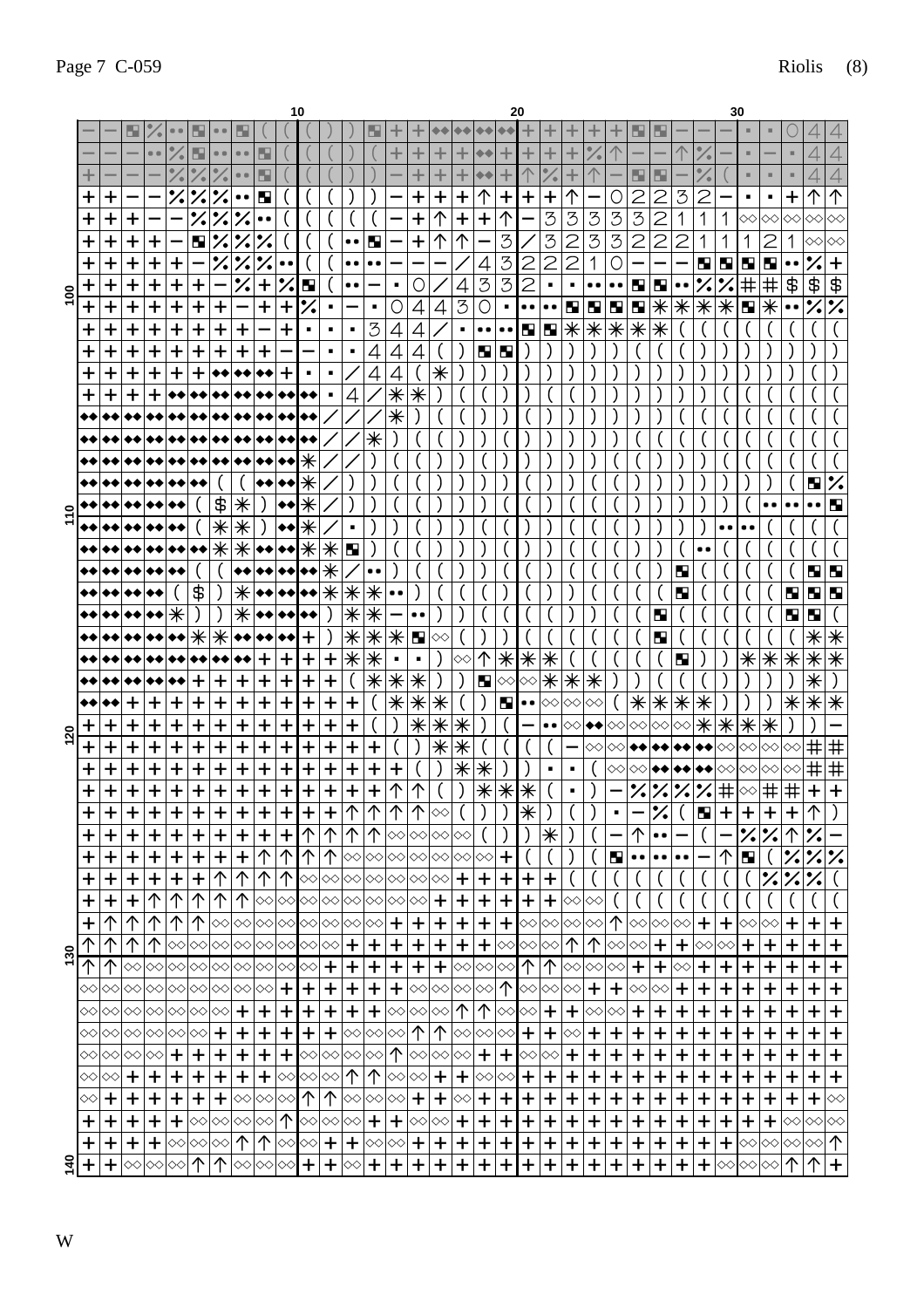|                 |             |             |             |                            |             |                                                     |               |              |           | 10                                                                            |                                                                          |            |                |                     |                           |                           |                       |                                                                                                                                           |                  | 20             |                        |                          |                   |                                                 |                |                           |                                                       |                                                                                                                                                                                                                                                                                                                                                                                                                             |                          | 30                |                           |                   |                       |                            |                          |
|-----------------|-------------|-------------|-------------|----------------------------|-------------|-----------------------------------------------------|---------------|--------------|-----------|-------------------------------------------------------------------------------|--------------------------------------------------------------------------|------------|----------------|---------------------|---------------------------|---------------------------|-----------------------|-------------------------------------------------------------------------------------------------------------------------------------------|------------------|----------------|------------------------|--------------------------|-------------------|-------------------------------------------------|----------------|---------------------------|-------------------------------------------------------|-----------------------------------------------------------------------------------------------------------------------------------------------------------------------------------------------------------------------------------------------------------------------------------------------------------------------------------------------------------------------------------------------------------------------------|--------------------------|-------------------|---------------------------|-------------------|-----------------------|----------------------------|--------------------------|
|                 |             |             | F           |                            |             | ۵                                                   |               | ь            |           |                                                                               |                                                                          |            |                | c                   |                           |                           |                       |                                                                                                                                           |                  |                |                        | ۰                        |                   | $\blacklozenge$                                 |                | ь                         |                                                       |                                                                                                                                                                                                                                                                                                                                                                                                                             |                          |                   |                           |                   |                       |                            |                          |
|                 |             |             |             |                            |             |                                                     |               |              | F         |                                                                               |                                                                          |            |                |                     |                           |                           |                       |                                                                                                                                           | $\bullet\bullet$ |                |                        | ۰                        | ٠                 | ∕•                                              |                |                           |                                                       |                                                                                                                                                                                                                                                                                                                                                                                                                             | ٠o                       |                   |                           |                   |                       |                            |                          |
|                 | ٠           |             |             |                            |             |                                                     |               |              | ш         |                                                                               |                                                                          |            |                |                     |                           | $\ddagger$                |                       |                                                                                                                                           | $\bullet\bullet$ |                |                        |                          |                   |                                                 |                | ь                         | F                                                     |                                                                                                                                                                                                                                                                                                                                                                                                                             |                          |                   |                           |                   | ш                     |                            |                          |
|                 | ╈           | ╈           |             |                            |             | ′∙                                                  | ′∙            | $\bullet$    | Ы         |                                                                               |                                                                          |            |                |                     |                           | ┿                         | ٠                     | ╈                                                                                                                                         |                  | +              | $\bm{+}$               | $\ddag$                  |                   |                                                 | С              | 2                         | 2                                                     | 3                                                                                                                                                                                                                                                                                                                                                                                                                           | 2                        |                   | ٠                         | п                 | $\ddag$               |                            |                          |
|                 | $\mathbf +$ | $\ddag$     | $\mathbf +$ |                            |             | ℅                                                   | $\frac{1}{2}$ | %            |           |                                                                               |                                                                          |            |                |                     |                           | $\ddag$                   |                       | $\ddag$                                                                                                                                   | $\mathbf +$      |                |                        | 3                        | 3                 | 3                                               | 3              | 3                         | 2                                                     |                                                                                                                                                                                                                                                                                                                                                                                                                             | 1                        | 1                 | ◇◇                        | ◇◇                | ◇◇                    | ◇◇                         | ◇◇                       |
|                 | +           | $\ddag$     | ┿           | ╈                          |             | Н                                                   | ٠.            | 4            |           |                                                                               |                                                                          |            |                | Ы                   |                           | $\ddag$                   |                       | ↑                                                                                                                                         |                  | 3              |                        | 3                        | $\overline{c}$    | 3                                               | 3              | $\overline{c}$            | $\overline{c}$                                        | $\overline{2}$                                                                                                                                                                                                                                                                                                                                                                                                              | 1                        | 1                 |                           | 2                 | 1                     | ◇◇                         | ◇◇                       |
|                 | ┿           | ┿           | ┿           | ┿                          | ┿           |                                                     | ℅             | ℅            | ℅         |                                                                               |                                                                          |            | $\bullet$      |                     |                           |                           |                       |                                                                                                                                           | 4                | 3              | $\mathsf{S}$           | $\overline{c}$           | $\overline{2}$    | 1                                               | О              |                           |                                                       |                                                                                                                                                                                                                                                                                                                                                                                                                             | Н                        | Ы                 | Н                         | Н                 |                       | ℅                          | +                        |
|                 | $\ddot{}$   | $\ddag$     | $\ddag$     | $\ddag$                    | ┿           | $\ddag$                                             |               | $\mathbf{z}$ | $\ddot{}$ | ٪                                                                             | Ы                                                                        |            | $\bullet$      |                     | ×                         | ◯                         |                       |                                                                                                                                           | 3                | $\overline{3}$ | 2                      | $\blacksquare$           | Ξ                 | $\bullet$                                       | $\bullet$      | Ы                         | Ы                                                     |                                                                                                                                                                                                                                                                                                                                                                                                                             | ℅                        | ℅                 | $\#$                      | #                 | \$                    | \$                         | \$                       |
| $\frac{8}{100}$ | $\ddot{}$   | ┿           | ┿           | ┿                          | ┿           | $\ddag$                                             | $\ddag$       |              | $\ddag$   | $\ddot{}$                                                                     | ℅                                                                        | Е          |                | Е                   |                           | 4                         | 4                     | 3                                                                                                                                         | 0                | ٠              |                        | $\bullet$                | Ы                 | Н                                               | Ы              | Ы                         | $\ast$                                                | $\ast$                                                                                                                                                                                                                                                                                                                                                                                                                      | $\ast$                   | $\ast$            | Ы                         | $\overline{\ast}$ |                       |                            | %                        |
|                 | ╈           | ┿           | $\ddot{}$   | ┿                          | $\mathbf +$ | $\mathbf +$                                         | $\mathbf +$   | $\ddag$      |           | $\ddot{}$                                                                     | П                                                                        | ٠          | ٠              | 3                   |                           | 4                         |                       | $\blacksquare$                                                                                                                            |                  |                | Н                      | Н                        | $\ast$            | $\ast$                                          | $\ast$         | $\ast$                    | $\ast$                                                |                                                                                                                                                                                                                                                                                                                                                                                                                             |                          |                   |                           |                   |                       |                            |                          |
|                 |             |             |             |                            |             |                                                     |               |              | $\ddag$   |                                                                               |                                                                          | п          | ٠              |                     |                           | 4                         |                       |                                                                                                                                           |                  |                |                        |                          |                   |                                                 |                |                           |                                                       |                                                                                                                                                                                                                                                                                                                                                                                                                             |                          |                   |                           |                   |                       |                            |                          |
|                 | ┿           | ╈           | $\ddot{}$   | ┿                          | ┿           | $\mathbf +$                                         | $\mathbf +$   | +            |           |                                                                               |                                                                          |            |                | 4                   | 4                         |                           |                       |                                                                                                                                           | Н                | Ы              |                        |                          |                   |                                                 |                |                           |                                                       |                                                                                                                                                                                                                                                                                                                                                                                                                             |                          |                   |                           |                   |                       |                            |                          |
|                 | ٠           | +           | $\ddot{}$   | ┿                          | ┿           | ┿                                                   |               |              |           | <b>+</b>                                                                      | ٠                                                                        | п          |                | 4                   | 4                         |                           | $\ast$                |                                                                                                                                           |                  |                |                        |                          |                   |                                                 |                |                           |                                                       |                                                                                                                                                                                                                                                                                                                                                                                                                             |                          |                   |                           |                   |                       |                            |                          |
|                 | ┿           | ᆠ           | ╈           | ╈                          |             |                                                     |               |              |           |                                                                               | ◆◆                                                                       | Е          | 4              |                     | $\ast$                    | $\ast$                    |                       |                                                                                                                                           |                  |                |                        |                          |                   |                                                 |                |                           |                                                       |                                                                                                                                                                                                                                                                                                                                                                                                                             |                          |                   |                           |                   |                       |                            |                          |
|                 | ◆◆          |             |             |                            |             |                                                     |               |              |           | ◆◆                                                                            | ◆◆                                                                       |            |                |                     | $\ast$                    |                           |                       |                                                                                                                                           |                  |                |                        |                          |                   |                                                 |                |                           |                                                       |                                                                                                                                                                                                                                                                                                                                                                                                                             |                          |                   |                           |                   |                       |                            |                          |
|                 |             |             |             |                            |             |                                                     |               |              |           |                                                                               |                                                                          |            |                | $\ast$              |                           |                           |                       |                                                                                                                                           |                  |                |                        |                          |                   |                                                 |                |                           |                                                       |                                                                                                                                                                                                                                                                                                                                                                                                                             |                          |                   |                           |                   |                       |                            |                          |
|                 |             |             |             |                            |             |                                                     |               |              |           |                                                                               | $\ast$                                                                   |            |                |                     |                           |                           |                       |                                                                                                                                           |                  |                |                        |                          |                   |                                                 |                |                           |                                                       |                                                                                                                                                                                                                                                                                                                                                                                                                             |                          |                   |                           |                   |                       |                            |                          |
|                 |             |             |             |                            |             |                                                     |               |              |           |                                                                               | $\ast$                                                                   |            |                |                     |                           |                           |                       |                                                                                                                                           |                  |                |                        |                          |                   |                                                 |                |                           |                                                       |                                                                                                                                                                                                                                                                                                                                                                                                                             |                          |                   |                           |                   |                       | Ы                          | $\frac{1}{2}$            |
| 110             |             |             |             |                            |             |                                                     | \$            | $\ast$       |           |                                                                               | $\ast$                                                                   |            |                |                     |                           |                           |                       |                                                                                                                                           |                  |                |                        |                          |                   |                                                 |                |                           |                                                       |                                                                                                                                                                                                                                                                                                                                                                                                                             |                          |                   |                           | $\bullet$         |                       |                            | Ы                        |
|                 | ◆◀          |             |             |                            |             |                                                     | $\ast$        | $\ast$       |           | ◆◆                                                                            | $\ast$                                                                   |            | ٠              |                     |                           |                           |                       |                                                                                                                                           |                  |                |                        |                          |                   |                                                 |                |                           |                                                       |                                                                                                                                                                                                                                                                                                                                                                                                                             |                          | . .               | $\bullet$                 |                   |                       |                            |                          |
|                 |             |             |             |                            |             |                                                     | $\ast$        | $\ast$       |           | ◆◆                                                                            | $\ast$                                                                   | $\ast$     | Ы              |                     |                           |                           |                       |                                                                                                                                           |                  |                |                        |                          |                   |                                                 |                |                           |                                                       |                                                                                                                                                                                                                                                                                                                                                                                                                             | $\cdot$                  |                   |                           |                   |                       |                            |                          |
|                 |             |             |             |                            |             |                                                     |               |              |           | ◆◆                                                                            | ◆◆                                                                       | $\ast$     |                | $\bullet$ $\bullet$ |                           |                           |                       |                                                                                                                                           |                  |                |                        |                          |                   |                                                 |                |                           |                                                       | Н                                                                                                                                                                                                                                                                                                                                                                                                                           |                          |                   |                           |                   |                       | Ы                          | Ы                        |
|                 |             |             |             |                            |             | \$                                                  |               | ⋇            |           | ◆◆                                                                            |                                                                          | $\ast$     | $\ast$         | $\ast$              |                           |                           |                       |                                                                                                                                           |                  |                |                        |                          |                   |                                                 |                |                           |                                                       | Ы                                                                                                                                                                                                                                                                                                                                                                                                                           |                          |                   |                           |                   | Ы                     | Н                          | Ы                        |
|                 |             |             |             |                            | ⋇           |                                                     |               | ⋇            |           | ◆◆                                                                            | ◆◆                                                                       |            | $\ast$         | $\ast$              |                           | $\bullet$                 |                       |                                                                                                                                           |                  |                |                        |                          |                   |                                                 |                |                           | Ы                                                     |                                                                                                                                                                                                                                                                                                                                                                                                                             |                          |                   |                           |                   | Н                     | Н                          |                          |
|                 |             |             |             |                            |             | ⋇                                                   | ⋇             |              |           |                                                                               | ┿                                                                        |            | $\ast$         | $\ast$              | $\ast$                    | Ы                         | ◇◇                    |                                                                                                                                           |                  |                |                        |                          |                   |                                                 |                |                           | Ы                                                     |                                                                                                                                                                                                                                                                                                                                                                                                                             |                          |                   |                           |                   |                       | $\ast$                     | $\ast$                   |
|                 |             |             |             | ◆◆                         | ◆◆          | ◆◆                                                  | ◆◆            | ◆◆           | ┿         | $\ddot{}$                                                                     | $\mathbf +$                                                              | $\ddagger$ | $\ast$         | $\ast$              |                           |                           |                       | ◇◇                                                                                                                                        |                  | $\ast$         | $\ast$                 | $\ast$                   |                   |                                                 |                |                           |                                                       | Н                                                                                                                                                                                                                                                                                                                                                                                                                           |                          |                   | $\ast$                    | $\ast$            | $\ast$                | $\overline{\ast}$          | $\ast$                   |
|                 |             |             |             |                            |             | ╈                                                   | ┿             | ┿            | $\ddag$   | $\ddot{}$                                                                     | $\ddag$                                                                  | $\ddag$    |                | $\ast$              | $\ast$                    | $\ast$                    |                       |                                                                                                                                           | Ы                | ◇◇             | ◇◇                     | $\ast$                   | $\ast$            | $\ast$                                          |                |                           |                                                       |                                                                                                                                                                                                                                                                                                                                                                                                                             |                          |                   |                           |                   |                       | $\ast$                     |                          |
|                 | ◆◀          |             | ┿           | +                          | +           | $\mathbf +$                                         | $\ddag$       | $\ddot{}$    | $\ddag$   | $\ddot{}$                                                                     | +                                                                        | $\ddag$    | +              |                     | $\ast$                    | $\ast$                    | $\ast$                |                                                                                                                                           |                  | Ы              |                        | ◇◇                       | ◇◇                | ◇◇                                              |                | $\ast$                    | $\ast$                                                | $\ast$                                                                                                                                                                                                                                                                                                                                                                                                                      | $\ast$                   |                   |                           |                   | $\ast$                | $\ast$                     | $\ast$                   |
|                 | ٠           | ┿           | $\ddag$     | $\mathbf +$                | $\ddag$     | $\ddag$                                             | $\ddag$       | +            | $\ddot{}$ | $\ddot{}$                                                                     | $\ddot{}$                                                                | $\ddot{}$  | $\ddag$        |                     |                           | $\ast$                    | $\ast$                | $\ast$                                                                                                                                    |                  |                |                        | $\bullet$                | ◇◇                | ◆◆                                              | ◇◇             | ◇◇                        | ◇◇                                                    | ◇◇                                                                                                                                                                                                                                                                                                                                                                                                                          | $\ast$                   | $\ast$            | ⋇                         | $\ast$            |                       |                            |                          |
| 120             | $\ddag$     | $\ddag$     | $\ddot{}$   | ┿                          | $\ddag$     | $\mathbf +$                                         | $\ddag$       | +            | $\ddag$   | $\mathbf +$                                                                   | $\ddag$                                                                  | $\ddot{}$  | $\ddot{}$      | ┿                   |                           |                           | $\ast$                | $\ast$                                                                                                                                    |                  |                |                        |                          |                   | ◇◇                                              | ◇◇             |                           |                                                       |                                                                                                                                                                                                                                                                                                                                                                                                                             |                          | ◇◇                | ◇◇                        | ◇◇                | ◇◇                    | #                          | #                        |
|                 | $\ddag$     | $\ddag$     | $\ddot{}$   | $\ddag$                    | $\mathbf +$ | $\ddag$                                             | $\ddag$       | $\ddag$      | $\ddag$   | $\ddot{}$                                                                     | $\ddot{}$                                                                | $\ddag$    | $\ddagger$     | $\ddag$             | $\ddag$                   |                           |                       | $\ast$                                                                                                                                    | $\ast$           |                |                        | $\blacksquare$           | ٠                 |                                                 | ◇◇             | ◇◇                        |                                                       |                                                                                                                                                                                                                                                                                                                                                                                                                             | ◆◆                       | ◇◇∣               | ◇◇                        | ◇◇                | ◇◇                    | $\overline{\ddot{\ast}}$   | $\overline{\ddot{\ast}}$ |
|                 | ┯           | +           | +           | $\mathbf +$                |             | $+ + $                                              | ┭.            | T            | Ŧ         | ᅕ                                                                             |                                                                          |            | $+ + + $       | $\ddagger$          | ↑                         |                           | V                     | $\big)$                                                                                                                                   |                  |                | $* * * $               | $\mathcal{L}$            |                   | $\left( \begin{array}{c} 1 \end{array} \right)$ |                | $\boldsymbol{\mathsf{z}}$ |                                                       | $\frac{1}{2} \times 1 \times 1 + 1 \times 1 + 1 \times 1 + 1 \times 1 + 1 \times 1 + 1 \times 1 + 1 \times 1 + 1 \times 1 + 1 \times 1 + 1 \times 1 + 1 \times 1 + 1 \times 1 + 1 \times 1 + 1 \times 1 + 1 \times 1 + 1 \times 1 + 1 \times 1 + 1 \times 1 + 1 \times 1 + 1 \times 1 + 1 \times 1 + 1 \times 1 + 1 \times 1 + 1 \times 1 + 1 \times 1 + 1 \times 1 + 1 \times 1 + 1 \times 1 + 1 \times 1 + 1 \times 1 + $ |                          |                   |                           | $\perp$           | $+$<br>$ \mathbf{H} $ | $T$   $T$                  | $\mathbf{I}$             |
|                 | +           | ÷           | $\mathbf +$ | $+$                        | $+ $        | $\pm$                                               | ÷,            | $\pm$        | $\pm$     | $+$                                                                           |                                                                          | $+ +$      | 个              | 个                   | 个                         | ↑                         | $ \diamond \diamond $ |                                                                                                                                           |                  |                | ∦                      | $\overline{\phantom{a}}$ |                   |                                                 | $\blacksquare$ | $\qquad \qquad$           | $\varkappa$                                           |                                                                                                                                                                                                                                                                                                                                                                                                                             | Н                        | $+ $              | $\pm$                     | $\ddot{}$         | $\pm$                 | ↑                          | $\big)$                  |
|                 | +           | $\mathbf +$ | $\mathbf +$ | $\pm$                      | $\pm$       | $+ $                                                | $\pm$         | $\ddot{}$    |           | $+ + $                                                                        | 个                                                                        | $\uparrow$ | $\uparrow$     |                     |                           |                           |                       | $\left \uparrow\right \infty \infty \infty \infty $                                                                                       | $\left($         |                |                        | $\ast$                   | $\mathcal{L}$     | $\left($                                        |                |                           |                                                       |                                                                                                                                                                                                                                                                                                                                                                                                                             |                          |                   | $\boldsymbol{\mathsf{z}}$ | $\frac{1}{2}$     | ↑                     | $\boldsymbol{\mathcal{V}}$ |                          |
|                 | +           | $\mathbf +$ | $\mathbf +$ | $\mathbf +$                | $\pm$       | $+ $                                                | $\pm$         | $\ddot{}$    | 个         | $\uparrow$                                                                    | $\uparrow$                                                               |            |                |                     |                           |                           |                       | $\hat{\mathcal{L}}$ $\infty$ $\infty$ $\infty$ $\infty$ $\infty$ $\infty$ $\infty$                                                        |                  | $\ddagger$     |                        |                          |                   |                                                 | Ы              |                           | $\bullet \bullet$                                     | $\bullet \bullet$                                                                                                                                                                                                                                                                                                                                                                                                           | $\overline{\phantom{0}}$ |                   | Ы                         |                   |                       | $\varkappa\times\varkappa$ |                          |
|                 | $\pm$       | $\mathbf +$ | $\mathbf +$ | $+$                        | $+ $        | $\pm$                                               | ↑             | 个            | 个         |                                                                               | $ \mathbf{\Lambda} $ ∞ $ \infty $ ∞ $ \infty $ ∞ $ \infty $ ∞ $ \infty $ |            |                |                     |                           |                           |                       | $\pm$                                                                                                                                     | $\pm$            |                | $+ + +$                |                          |                   |                                                 |                |                           |                                                       |                                                                                                                                                                                                                                                                                                                                                                                                                             |                          |                   |                           |                   | $( \times /\sqrt{2})$ |                            |                          |
|                 | +           | $\mathbf +$ | $\ddot{}$   | ↑                          |             | ↑                                                   | ↑             | ↑            |           | ∞ ∞ ∞ ∞ ∞ ∞ ∞ ∞ ∞ ≁  +                                                        |                                                                          |            |                |                     |                           |                           |                       |                                                                                                                                           | $\pm$            |                |                        |                          | + + + ∞ ∞         |                                                 | $\left($       |                           |                                                       |                                                                                                                                                                                                                                                                                                                                                                                                                             |                          |                   |                           |                   |                       |                            |                          |
|                 | +           | ↑           | 个           | ↑                          | ↑           |                                                     |               |              |           | ↑  ∞ ∞ ∞ ∞ ∞ ∞ ∞ ∞ ∞ ∞  +   +                                                 |                                                                          |            |                |                     |                           |                           | $\pm$ <sup>1</sup>    | $+$                                                                                                                                       | $+$              |                |                        |                          |                   |                                                 | ↑              | $\infty$                  |                                                       | $\infty$ l $\infty$ l                                                                                                                                                                                                                                                                                                                                                                                                       | $\pm$                    |                   | +  ∞∣∞                    |                   | $+$                   | $\ddagger$                 | $\ddag$                  |
|                 | ↑           |             |             | ↑                          |             |                                                     |               |              |           | ∞ ∞ ∞ ∞ ∞ ∞ ∞ ∞ ∞ ∞                                                           |                                                                          |            | $\ddot{}$      | $\ddot{}$           | $\pm$                     | $\pm$                     | $+$                   | $\pm$                                                                                                                                     |                  |                |                        |                          | + ∞ ∞ ∞ ∧ ↑ ↑ ∞ ∞ |                                                 |                |                           | $\pm$                                                 |                                                                                                                                                                                                                                                                                                                                                                                                                             |                          | $+ \infty \infty$ | $\pm$                     | $\mathbf +$       | $\mathbf +$           | $\ddag$                    | $\ddagger$               |
| 130             | 个           |             |             |                            |             |                                                     |               |              |           | ∞ ∞ ∞ ∞ ∞ ∞ ∞ ∞ ∞ ∞ ∞                                                         |                                                                          |            | $\pm$          | $\ddot{}$           |                           |                           |                       | $ \!+\! \!+\! \!+\! \infty\! \infty\! \infty$                                                                                             |                  |                | $ \!\!\Uparrow\rangle$ |                          | ∣↑∣∞∣∞∣∞          |                                                 |                | $\ddot{}$                 |                                                       | $+ \otimes + + $                                                                                                                                                                                                                                                                                                                                                                                                            |                          |                   | $\mathbf +$               | $\pm$             | $\ddot{}$             | $\ddot{}$                  | $\overline{+}$           |
|                 |             |             |             |                            |             |                                                     |               |              |           | ◇◇ ◇◇ ◇◇ ◇◇ ◇◇ ◇◇ ◇◇  <b>→ </b>                                               |                                                                          |            | $+ + +$        | $\mathbf +$         |                           |                           |                       | │╋│◇◇│◇◇│◇◇│个│◇◇│◇◇│◆◇│ ╋│ ╋                                                                                                              |                  |                |                        |                          |                   |                                                 |                |                           | $ \!\!\rightsquigarrow\!\! \!\!\rightsquigarrow\!\! $ | $\pm$                                                                                                                                                                                                                                                                                                                                                                                                                       | $+ $                     | $+ $              | $\pm$                     | $\mathbf +$       | $\pm$                 | $\mathbf +$                | $\ddag$                  |
|                 |             |             |             |                            |             | ∞ ∞ ∞ ∞ ∞ ∞ ∞ ∞ ∞                                   |               | $\ddot{}$    | $+$       |                                                                               | $+ + + $                                                                 |            | $\ddot{}$      |                     | $+ \infty \infty \infty $ |                           |                       | ↑                                                                                                                                         |                  |                |                        |                          | ↑  ∞ ∞ + +   →  ∞ |                                                 |                | $\mathbf +$               | $\pm$                                                 | $\pm$                                                                                                                                                                                                                                                                                                                                                                                                                       | $+ $                     | $+$               | $\pm$                     | $\pm$             | $\mathbf +$           | $\ddagger$                 | $\ddot{}$                |
|                 |             |             |             |                            |             | ◇◇ ◇◇ ◇◇ ◇◇ ◇◇                                      |               | $\ddot{}$    | $+$       |                                                                               |                                                                          |            |                |                     |                           |                           |                       | + + + ∞ ∞ ∞ ↑ ↑ ∞ ∞ ∞ + + ∞                                                                                                               |                  |                |                        |                          |                   |                                                 |                |                           |                                                       |                                                                                                                                                                                                                                                                                                                                                                                                                             |                          |                   |                           | $\ddagger$        |                       |                            | $\ddag$                  |
|                 |             |             |             |                            |             |                                                     | $\pm$         |              |           |                                                                               |                                                                          |            |                |                     |                           |                           |                       |                                                                                                                                           |                  |                |                        |                          |                   | $\pm$                                           | $\mathbf +$    | $\mathbf +$               | $\mathbf +$                                           | $\mathbf +$                                                                                                                                                                                                                                                                                                                                                                                                                 | $\pm$                    | $\pm$             | $\mathbf +$               |                   | $\ddot{}$             | $\ddagger$                 |                          |
|                 |             |             |             |                            |             | $\otimes$ $\otimes$ $\otimes$ $\otimes$ $\pm$ $\pm$ | $\pm$         | $\pm$        |           |                                                                               |                                                                          |            |                |                     |                           |                           |                       | +   +  ∞ ∞ ∞ ∞ ∞ ↑  ∞ ∞ ∞  +   +  ∞ ∞  +                                                                                                  |                  |                |                        |                          |                   | ╎┿                                              | $\mathbf +$    | $\ddot{}$                 | $\ddot{}$                                             | $\mathbf +$                                                                                                                                                                                                                                                                                                                                                                                                                 | $+ $                     | $\pm$             | $\ddot{}$                 | $\mathbf +$       | $\mathbf +$           | $\mathbf +$                | $\mathbf +$              |
|                 |             | ≪∣⇔ା        | $\pm$       | $ + $                      | $+$         | $\pm$                                               | $\ddot{}$     | $\ddot{}$    |           | + ∞ ∞ ∞                                                                       |                                                                          |            | $\uparrow$     |                     |                           |                           |                       | $ \!\! \uparrow\!  \!\! \infty\!  \!\! \infty\!  \! \leftarrow\!  \! \leftarrow\!  \!\! \infty\!  \!\! \infty\!  \! \infty\!  \! \right.$ |                  |                | $\left  + \right $     | $\ddot{}$                | $\ddot{}$         | $\pm$                                           | $\ddot{}$      | $\mathbf +$               | $\ddot{}$                                             | $\mathbf +$                                                                                                                                                                                                                                                                                                                                                                                                                 | $\pm$                    | $\pm$             | $\ddot{}$                 | $\pm$             | $\ddot{}$             | $\ddot{}$                  | $\ddot{}$                |
|                 | ◇◇          | $\mathbf +$ | $\ddot{}$   | $\mathbf +$                | $\pm$       | $\pm$                                               | $\pm$         |              |           | ∞ ∞ ∞ ∧ ↑ ↑ ∞ ∞ ∞ ≁                                                           |                                                                          |            |                |                     |                           |                           |                       | $+ \otimes$                                                                                                                               | $\pm$            | $\ddot{}$      | $\mathbf +$            | $\mathbf +$              | $\mathbf +$       | $\mathbf +$                                     | $\mathbf +$    | $\mathbf +$               | $\mathbf +$                                           | +                                                                                                                                                                                                                                                                                                                                                                                                                           | $\mathbf +$              | $\pm$             | $\mathbf +$               | $\mathbf +$       | $\mathbf +$           | $\mathbf +$                | ∣∞                       |
|                 | $\pm$       | $\mathbf +$ | $\pm$       | $+$                        |             |                                                     |               |              |           | $+$ $\infty$ $\infty$ $\infty$ $\infty$ $\uparrow$ $\infty$ $\infty$ $\infty$ |                                                                          |            |                | $\ddot{}$           |                           | $ \!+\! \infty\! \infty $ |                       | $\pm$                                                                                                                                     | $\pm$            | $\ddot{}$      | $\pm$                  | $\ddot{}$                | $\pm$             | $\pm$                                           | $\mathbf +$    | $\mathbf +$               | $\mathbf +$                                           | $\mathbf +$                                                                                                                                                                                                                                                                                                                                                                                                                 | $+$                      | $\pm$             | $\pm$                     | $\ddot{}$         |                       | ∣∞∣∞∣∞                     |                          |
|                 | +           | $\mathbf +$ | $\mathbf +$ |                            |             | $+$ $\otimes$ $\otimes$ $\otimes$                   |               |              | 个         |                                                                               | ∞ ∞∣+                                                                    |            | $\ddot{}$      |                     | ∞∣∞∣ +                    |                           | $\pm$                 | $\mathbf +$                                                                                                                               | $\mathbf +$      | $\ddot{}$      | $\ddot{}$              | $\mathbf +$              | $\mathbf +$       | $\pm$                                           | $\ddot{}$      | $\mathbf +$               | $\ddot{}$                                             | $\mathbf +$                                                                                                                                                                                                                                                                                                                                                                                                                 | $\mathbf +$              |                   |                           |                   | +  ∞ ∞ ∞ ∞            |                            | 个                        |
| $\frac{40}{5}$  | $\ddag$     | $\ddag$     |             | $\infty$ $\infty$ $\infty$ |             |                                                     |               |              |           | ।◇◇।◇◇।◇◇।                                                                    |                                                                          |            | $ + + \infty $ | $\ddot{}$           | ╟╋                        | $\ddot{}$                 | $\pm$                 | $\pm$                                                                                                                                     | $\ddot{}$        | $\ddot{}$      | $\ddot{}$              | $\ddagger$               | $\ddagger$        | $\pm$                                           | $\mathbf +$    | $\mathbf +$               | $\ddot{}$                                             | $\pm$                                                                                                                                                                                                                                                                                                                                                                                                                       |                          | +  ∞ ∞ ∞          |                           |                   |                       | 个                          | $\ddot{}$                |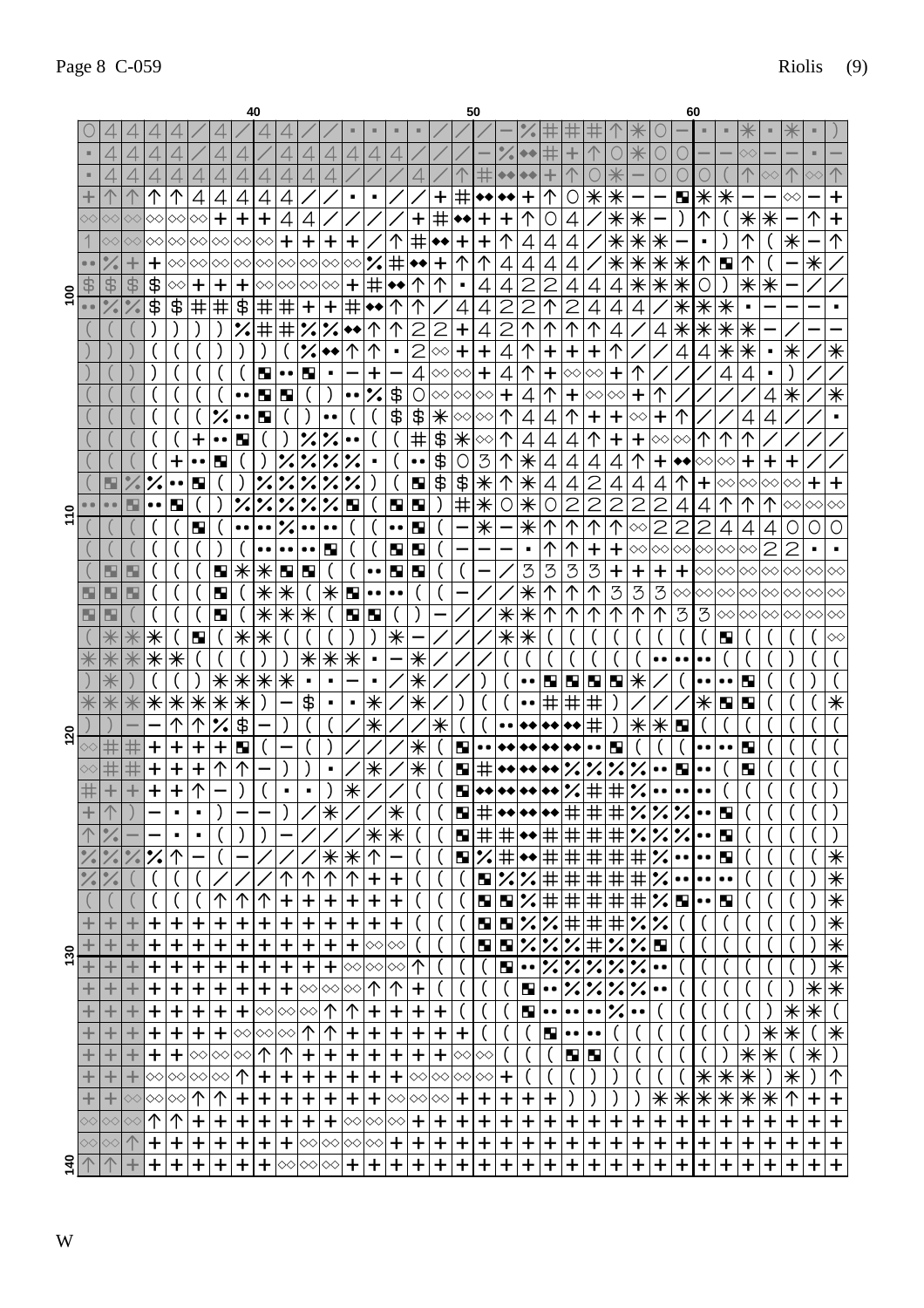|                |                |           |                |               |             |                                     |               |                | 40             |                      |                         |                   |                             |                   |             |             |             | 50               |                  |                |                   |                |                        |                      |               |                            |                                | 60                       |                            |                      |                   |                |                       |                   |                |
|----------------|----------------|-----------|----------------|---------------|-------------|-------------------------------------|---------------|----------------|----------------|----------------------|-------------------------|-------------------|-----------------------------|-------------------|-------------|-------------|-------------|------------------|------------------|----------------|-------------------|----------------|------------------------|----------------------|---------------|----------------------------|--------------------------------|--------------------------|----------------------------|----------------------|-------------------|----------------|-----------------------|-------------------|----------------|
|                |                |           |                |               |             |                                     |               |                |                |                      |                         |                   |                             |                   |             |             |             |                  |                  |                |                   | ਜ              |                        |                      |               |                            |                                |                          |                            |                      |                   |                |                       |                   |                |
|                |                |           |                |               |             |                                     |               |                |                |                      |                         |                   |                             |                   |             |             |             |                  |                  |                |                   |                |                        |                      |               |                            |                                |                          |                            |                      |                   |                |                       |                   |                |
|                |                |           |                |               |             |                                     |               |                |                |                      |                         |                   |                             |                   |             |             |             |                  |                  |                |                   |                |                        |                      |               |                            |                                |                          |                            |                      |                   |                |                       |                   |                |
|                | п              |           |                |               |             |                                     |               |                |                |                      |                         |                   |                             |                   |             |             |             |                  | ⊞                |                |                   |                |                        |                      |               |                            |                                |                          |                            |                      |                   | $\infty$       |                       | $\infty$          |                |
|                | ٠              |           |                |               |             | 4                                   | 4             |                | 4              | 4                    |                         |                   | п                           |                   |             |             | $\mathbf +$ | #                |                  | ◆◆             | ┿                 | ↑              | О                      | $\ast$               | $\ast$        |                            |                                | Ы                        | $\ast$                     | $\ast$               |                   |                | ◇◇                    |                   | ┿              |
|                | $\infty$       |           |                | ◇◇            | ◇◇          | ◇◇                                  | ┿             | $\ddot{}$      | $\ddot{}$      | 4                    | 4                       |                   |                             |                   |             | $\ddag$     | $\bm{\#}$   |                  | ╈                | ┿              |                   | О              | 4                      |                      | $\ast$        | $\ast$                     |                                |                          |                            |                      | $\ast$            | $\ast$         |                       |                   | $\ddot{}$      |
|                |                |           |                | ◇◇            | ◇◇          | ◇◇                                  | ◇◇            | ◇◇             | ◇◇             | $\ddot{}$            | $\ddot{}$               | $\mathbf +$       | ┿                           |                   |             | #           | ◆◆          | $\ddag$          | ┿                |                |                   | 4              | 4                      |                      | $\ast$        | $\ast$                     | $\ast$                         |                          | ٠                          |                      |                   |                | $\ast$                |                   |                |
|                |                |           |                |               |             |                                     |               |                |                |                      |                         |                   |                             |                   |             |             |             |                  |                  |                | 4                 |                |                        |                      |               |                            |                                |                          |                            |                      |                   |                |                       |                   |                |
|                |                |           |                | ╈             | ◇◇          | ◇◇                                  | ◇◇            | ◇◇             | ◇◇             | $\infty$             | ◇◇                      | ◇◇                | ◇◇                          |                   | ♯           |             | ┿           |                  |                  | 4              | 4                 | 4              | 4                      |                      | $\ast$        | ⋇                          | 米                              | $\ast$                   |                            | Н                    |                   |                |                       | $\ast$            |                |
|                | \$             | \$        | \$             | \$            | ∞           | ╈                                   | ╈             |                | ◇◇             | ◇◇                   | ◇◇                      | ◇◇                |                             | ♯                 |             |             |             |                  |                  |                | $\overline{2}$    | $\overline{c}$ |                        |                      |               | $\ast$                     | $\ast$                         | $\ast$                   |                            |                      | $\ast$            | $\ast$         |                       |                   |                |
| $\overline{5}$ |                |           |                | \$            | \$          | $\#$                                | $\#$          | \$             | ♯              | ⋕                    | $\ddag$                 | ٠                 | $\bm{\ddagger}$             |                   |             |             |             | 4                | 4                | $\overline{2}$ | $\overline{c}$    | ↑              | $\overline{2}$         | 4                    | 4             | 4                          |                                | $\ast$                   | $\ast$                     | $\ast$               | Ξ                 |                |                       |                   | $\blacksquare$ |
|                |                |           |                |               |             |                                     |               |                | #              | #                    | ℅                       |                   |                             |                   |             |             |             | $\mathbf +$      | 4                | 2              | ↑                 | ↑              | ↑                      | ↑                    | 4             |                            | 4                              | $\ast$                   | $\ast$                     | $\ast$               | $\ast$            |                |                       |                   |                |
|                |                |           |                |               |             |                                     |               |                |                |                      |                         |                   |                             |                   |             |             |             |                  |                  |                |                   |                |                        |                      |               |                            |                                |                          |                            |                      |                   |                |                       |                   |                |
|                |                |           |                |               |             |                                     |               |                |                |                      | ٪                       |                   |                             |                   |             | 2           | ◇◇          | $\mathbf +$      | $\ddag$          | 4              | 个                 | $\ddag$        | $\mathbf +$            | $\ddagger$           |               |                            |                                | 4                        | 4                          | $\ast$               | $\ast$            | ٠              | $\ast$                |                   | $\ast$         |
|                |                |           |                |               |             |                                     |               |                | Ы              |                      | Ы                       | п                 |                             | $\ddag$           |             | 4           | ◇◇          | ◇◇               | $\ddag$          | 4              | 个                 | $\ddag$        | ◇◇                     | ◇◇                   | $\ddag$       |                            |                                |                          |                            | 4                    | 4                 | ٠              |                       |                   |                |
|                |                |           |                |               |             |                                     |               |                | Ы              | Н                    |                         |                   | $\ddot{\phantom{0}}$        | ۰,<br>٬           | \$          |             | ◇◇          | ◇◇               | ◇◇               | $\ddot{}$      | 4                 | ↑              | $\ddagger$             | ◇◇                   | ◇◇            | $\mathbf +$                |                                |                          |                            |                      |                   | 4              | $\ast$                |                   | $\ast$         |
|                |                |           |                |               |             |                                     | ℅             |                | Ы              |                      |                         |                   |                             |                   | \$          | \$          | ⋇           | ◇◇               | ◇◇               |                | 4                 | 4              | 个                      | $\ddag$              | $\ddot{}$     | ◇◇                         | +                              |                          |                            |                      | 4                 | 4              |                       |                   | $\blacksquare$ |
|                |                |           |                |               |             |                                     |               |                |                |                      |                         |                   |                             |                   |             |             |             |                  |                  |                |                   |                |                        |                      |               |                            |                                |                          |                            |                      |                   |                |                       |                   |                |
|                |                |           |                |               |             | ┿                                   |               | b.             |                |                      | '⁄.                     | <b>٪</b>          |                             |                   |             | $\#$        | \$          | $\ast$           | ◇◇               |                | 4                 | 4              | 4                      |                      | $\ddag$       | $\mathbf +$                | ◇◇                             | ◇◇                       |                            |                      |                   |                |                       |                   |                |
|                |                |           |                |               | $\ddag$     |                                     | Ы             |                |                | $\ddot{\mathscr{C}}$ | '⁄.                     |                   |                             |                   |             | $\bullet$   | \$          | O                | 3                |                | $\ast$            | 4              | 4                      | 4                    | 4             |                            | ┿                              |                          | ◇◇                         | ◇◇                   | $\ddot{}$         | +              | ┿                     |                   |                |
|                |                | H         |                | ×             |             | Н                                   |               |                |                | ′∙                   | $\mathcal{V}_{\bullet}$ |                   |                             |                   |             | H           | \$          | \$               | $\ast$           |                | $\overline{\ast}$ | 4              | 4                      |                      | 4             | 4                          |                                |                          | ╈                          | ◇◇                   | ◇◇                | ◇◇             | ◇◇                    | $\ddag$           |                |
|                |                |           |                |               | 6           |                                     |               | ٠.             | ٠              | ٠.                   | ∕∙                      | ∕∙                | Ы                           |                   | Ы           | Ы           |             | #                | $\ast$           | С              | $\ast$            | О              | 2                      | 2                    | 2             | 2                          | 2                              |                          |                            |                      |                   |                | ◇◇                    | ◇◇                | ∝              |
| 110            |                |           |                |               |             |                                     |               |                |                |                      |                         |                   |                             |                   | $\bullet$   | Ы           |             |                  |                  |                | $\ast$            |                | ↑                      |                      |               | ◇◇                         | 2                              |                          |                            |                      |                   |                |                       |                   |                |
|                |                |           |                |               |             | Ы                                   |               |                |                | ٠.                   |                         |                   |                             |                   |             |             |             |                  | $\ast$           |                |                   | ↑              |                        |                      |               |                            |                                |                          |                            |                      |                   |                | О                     | C                 |                |
|                |                |           |                |               |             |                                     |               |                |                |                      | $\bullet$               | Ы                 |                             |                   | Ы           | Ы           |             |                  |                  |                | $\blacksquare$    | ↑              | ↑                      | $\ddot{}$            | $\ddot{}$     | ◇◇                         | ◇◇∣                            | ◇◇                       | ◇◇                         | ◇◇                   | ◇◇                | 2              | 2                     | Ξ                 |                |
|                |                |           |                |               |             |                                     | Ы             | $\ast$         | $\ast$         | H                    | Н                       |                   |                             | $\bullet$         | Ы           | Ы           |             |                  |                  |                | 3                 | 3              | 3                      | 3                    | $\mathbf +$   | ╈                          | +                              | ┿                        | ◇◇                         | ◇◇                   | ◇◇                | ◇◇             | ◇◇                    | ◇◇                | ∝              |
|                | E              | F         |                |               |             |                                     | Ы             |                | $\ast$         | $\ast$               |                         | $\ast$            | Н                           |                   | $\bullet$   |             |             |                  |                  |                | $\ast$            | ↑              | ↑                      |                      | 3             | 3                          | 3                              | ◇◇                       | ◇◇                         | ◇◇                   | ◇◇                | ◇◇             | ◇◇                    | ◇◇                | ◇◇             |
|                | E              | Б         |                |               |             |                                     | Ы             |                | $\ast$         | $\ast$               | $\ast$                  |                   | æ                           | Ы                 |             |             |             |                  |                  | $\ast$         | $\ast$            | ↑              | ↑                      |                      |               |                            |                                | 3                        | 3                          | ◇◇                   | ◇◇                | ◇◇             | ◇◇                    | ◇◇                | ◇◇             |
|                |                |           |                | $\ast$        |             | Ы                                   |               | $\ast$         | $\ast$         |                      |                         |                   |                             |                   | $\ast$      |             |             |                  |                  | $\ast$         | $\overline{\ast}$ |                |                        |                      |               |                            |                                |                          |                            | Н                    |                   |                |                       |                   | ◇◇             |
|                |                |           |                |               |             |                                     |               |                |                |                      |                         |                   |                             |                   |             |             |             |                  |                  |                |                   |                |                        |                      |               |                            |                                |                          |                            |                      |                   |                |                       |                   |                |
|                | $\ast$         |           |                | $\ast$        | $\ast$      |                                     |               |                |                |                      | $\ast$                  | $\ast$            | $\ast$                      | П                 |             | $\ast$      |             |                  |                  |                |                   |                |                        |                      |               |                            | $\bullet$                      |                          |                            |                      |                   |                |                       |                   |                |
|                |                | $\ast$    |                |               |             |                                     | $\ast$        | $\ast$         | $\ast$         | $\ast$               | Е                       | ٠                 |                             | Е                 |             | $\ast$      |             |                  |                  |                |                   | Ы              | Ы                      | Ы                    | Н             | $\ast$                     |                                |                          |                            |                      | 5                 |                |                       |                   |                |
|                |                |           |                | $\ast$        | 米           | $\ast$                              | $\ast$        | $\ast$         |                |                      | \$                      |                   |                             | $\ast$            |             | $\ast$      |             |                  |                  |                | $\bullet$         | #              | #                      | #                    |               |                            |                                |                          | ⋇                          | Ы                    | 63                |                |                       |                   | $\ast$         |
|                |                |           |                |               | 个           | ↑                                   | $\mathcal{Z}$ | \$             |                |                      |                         |                   |                             | $\ast$            |             |             | $\ast$      |                  |                  |                |                   |                |                        | ♯                    |               | $\ast$                     | $\ast$                         | Ы                        |                            |                      |                   |                |                       |                   |                |
| 120            | $\infty$       |           |                | ┿             | $\ddag$     | $\mathbf +$                         | $\ddag$       | F              |                |                      |                         |                   |                             |                   |             | $\ast$      |             | Ы                |                  |                |                   |                |                        |                      | Ы             |                            |                                |                          |                            |                      | Н                 |                |                       |                   |                |
|                |                |           |                |               |             |                                     |               |                |                |                      |                         | п                 |                             | $\ast$            |             | $\ast$      |             | Ы                | ⋕                |                |                   |                |                        |                      |               |                            |                                | Ы                        |                            |                      | Н                 |                |                       |                   |                |
|                |                |           |                | ┿             | ╈           | $\mathbf +$                         |               |                |                |                      |                         |                   |                             |                   |             |             |             |                  |                  |                |                   |                |                        |                      |               |                            |                                |                          |                            |                      |                   |                |                       |                   |                |
|                | $\#$           |           |                | $\ddot{}$     | $\ddag$     | ↑                                   |               |                |                |                      | Ė                       |                   | $\ast$                      |                   |             |             |             | Ы                |                  |                |                   |                | ℅                      | 井                    | #             | ╱∙                         |                                |                          |                            |                      |                   |                |                       |                   |                |
|                | ÷              |           |                |               |             |                                     |               |                |                |                      |                         | $\ast$            |                             |                   | $\ast$      |             |             | Н                | #                |                |                   |                |                        |                      |               |                            | $\varkappa$ $\varkappa$        | $\frac{1}{2}$            |                            | b.                   |                   |                |                       |                   |                |
|                |                |           |                |               | ٠           | ٠                                   |               |                |                |                      |                         |                   |                             | $\ast$            | $\ast$      |             |             | Ы                | #                |                |                   |                |                        |                      |               |                            | $\mathbb{Z} \times \mathbb{Z}$ |                          |                            | Ы                    |                   |                |                       |                   |                |
|                |                |           | $\bullet$      | $\frac{1}{2}$ |             |                                     |               |                |                |                      |                         |                   | $\frac{*}{*}$               | 个                 |             |             |             | b.               | $\frac{1}{2}$    |                |                   |                |                        |                      |               | #                          | $\boldsymbol{\mathsf{z}}$      |                          | $\cdot\cdot\mid\cdot\cdot$ | b.                   |                   |                |                       |                   |                |
|                |                |           |                |               |             |                                     |               |                |                | ↑                    | ↑                       | $*$               | ↑                           | $\ddag$           | $\ddag$     |             |             |                  | b.               |                |                   |                |                        |                      |               | #                          | $\boldsymbol{\mathsf{z}}$      |                          |                            | $\ddot{\phantom{0}}$ |                   |                |                       |                   |                |
|                |                | $\bullet$ |                |               |             |                                     |               |                |                |                      |                         |                   |                             |                   |             |             |             |                  |                  |                |                   |                |                        |                      |               |                            |                                |                          |                            |                      |                   |                |                       |                   |                |
|                |                |           |                |               |             |                                     |               |                |                | $\overline{+}$       | $\ddot{}$               | $\ddot{}$         | $\ddagger$                  | $\ddagger$        | $\mathbf +$ |             |             |                  | b.               |                |                   |                |                        |                      |               | #                          | $\boldsymbol{\mathsf{z}}$      | $\overline{\phantom{a}}$ |                            | H                    |                   |                |                       |                   |                |
|                | $\pm$          |           |                | $\ddag$       | $\ddag$     | $\ddag$                             | $\ddag$       | $\ddot{}$      | $\ddagger$     | $\ddot{}$            | $\ddagger$              | $\ddot{}$         | $\ddagger$                  | $\ddot{}$         | $\ddagger$  |             |             | $\left($         | b.               |                |                   |                |                        |                      |               | $\boldsymbol{\mathcal{Z}}$ | $\frac{1}{2}$                  |                          |                            |                      |                   |                |                       |                   |                |
| 130            | $\ddot{}$      |           |                | $\ddot{}$     | $\mathbf +$ | $\ddag$                             | $\ddot{}$     | $\ddot{}$      | $\ddot{}$      | $\ddot{}$            | $\ddot{}$               | $\ddot{}$         | $\ddagger$                  | $\infty$ $\infty$ |             |             |             |                  | H.               |                |                   |                |                        |                      |               | $\bar{ \mathbf{Z} }$       | Ы                              |                          |                            |                      |                   |                |                       |                   |                |
|                | $\pm$          |           |                | $\ddag$       | $\ddot{}$   | $\ddot{}$                           | $\ddot{}$     | $\ddot{}$      | $\ddot{}$      | $\ddot{}$            | $\overline{+}$          | $\ddagger$        | $\Diamond \Diamond$         | $\infty$          | ∣∞          | 个           |             | $\left($         |                  | $\blacksquare$ |                   |                |                        |                      |               |                            | $\bullet$                      |                          |                            |                      |                   |                |                       |                   |                |
|                | $\pm$          | $\pm$     | $\pm$          | $\mathbf +$   | $\ddag$     | $\ddagger$                          | $\ddot{}$     | $+$            | $+$            |                      |                         | $+ \infty \infty$ | ∣∞                          | 个                 | ↑           | $\ddag$     |             | $\overline{(\ }$ |                  | $\left($       | Ы                 | l.             | $\vert\mathbf{z}\vert$ | $ \mathcal{X} $      | $\frac{1}{2}$ | $\mathbf{Z}$               | $\bullet$                      |                          |                            |                      |                   |                |                       |                   |                |
|                | $\ddot{}$      |           | $\ddot{}$      | $\ddag$       | $\mathbf +$ | $\ddot{}$                           | $\ddot{}$     | $\ddot{}$      | $\infty$       | ∞∣∞                  |                         | ↑                 | 个                           | $\ddag$           | $\ddot{}$   | $\ddagger$  | $\ddagger$  |                  |                  |                | b.                | $\bullet$      | $\ddot{\phantom{0}}$   | $\ddot{\phantom{a}}$ | $\frac{1}{2}$ |                            |                                |                          |                            |                      |                   |                |                       | $* * $            |                |
|                | $\ddot{}$      |           |                |               |             |                                     |               |                |                |                      |                         |                   |                             |                   |             |             |             | $\ddag$          |                  |                |                   |                |                        | $\bullet$            |               |                            |                                |                          |                            |                      |                   |                |                       |                   |                |
|                |                |           | $\ddot{}$      | $\ddag$       | $\ddag$     | $\ddag$                             | $\ddagger$    | $\diamondsuit$ | $\diamondsuit$ | $ \diamond \diamond$ | 个                       | ↑                 | $\ddagger$                  | $\ddagger$        | $\ddagger$  | $\ddagger$  | $\pmb{+}$   |                  |                  |                |                   | Ы              |                        |                      |               |                            |                                |                          |                            |                      |                   | $\frac{1}{*}$  | $\frac{*}{*}$         |                   | *******(*)     |
|                | $\pm$          | ÷         | ┿              | $\mathbf +$   | $\pm$       | $\infty$                            | ∞∣∞           |                | ↑              | 个                    | $\ddagger$              | $\ddot{}$         | $\ddagger$                  | $\ddagger$        | $\ddag$     | $\ddagger$  | $\ddot{}$   | $\infty$         |                  |                |                   |                | Ы                      | b.                   |               |                            |                                |                          |                            |                      | $\overline{\ast}$ |                |                       | $\overline{\ast}$ |                |
|                | $\ddot{}$      |           | $\ddot{}$      |               |             | $\infty$ $\infty$ $\infty$ $\infty$ |               | ↑              | $\ddagger$     | $\mathbf +$          | $\ddagger$              | $\ddag$           | $\mathbf +$                 | $\ddag$           | $\mathbf +$ |             | ∞ ∞ ∞ ∞∞    |                  |                  | $\ddot{}$      |                   |                |                        |                      |               |                            |                                |                          |                            |                      |                   |                | $\overline{\ast}$     |                   | ↑              |
|                | $\ddot{}$      |           | $\diamondsuit$ | ∞∣∞∣          |             | ↑                                   | 个             | $\bar{+}'$     | $\overline{+}$ | $\ddot{}$            | $\ddot{}$               | $\ddagger$        | $\ddag$                     | $\ddagger$        |             | ∞ ∞ ∞       |             | $\ddot{}$        | $\color{red}{+}$ | $\overline{+}$ | $\overline{+}$    | $\overline{+}$ | $\mathcal{C}^{\prime}$ | $\mathcal{C}$        |               |                            | $\ast$                         | $*$                      |                            | $\frac{*}{*}$        | $+$ $*$ $*$       |                | $\overline{\uparrow}$ | $\ddot{}$         | $\overline{+}$ |
|                | $\diamondsuit$ | $\infty$  | $\diamondsuit$ | ↑             | ↑           | $\ddag$                             | $\ddag$       | $\ddot{}$      | $\ddagger$     | $\ddot{}$            | $\ddagger$              | $\ddagger$        | $\diamondsuit \diamondsuit$ | $\diamondsuit$    | ◇◇          | $\ddag$     | $\mathbf +$ | $\ddagger$       | $\ddagger$       | $\ddot{}$      | $\ddot{}$         | $\ddot{}$      | $\ddot{}$              | $\ddot{}$            | $\ddot{}$     | $\ddag$                    | $\ddag$                        | $\ddot{}$                | $*$ $*$                    | $\ddot{}$            |                   | $\frac{1}{1}$  | $\ddot{}$             | $\ddag$           | $\ddot{}$      |
|                | $\diamondsuit$ | $\infty$  |                | $\ddot{}$     | $\ddag$     | $\mathbf +$                         | $\ddag$       | $\ddagger$     | $\ddagger$     | $\mathbf +$          | $\infty$                | ∣◇◇               | $\infty$                    | $\infty$          | $\ddot{}$   | $\mathbf +$ | $\mathbf +$ | $\ddag$          | $\ddagger$       | $\ddot{}$      | $\ddot{}$         | $\ddot{}$      | $\ddag$                | $\ddagger$           | $\ddagger$    | $\ddagger$                 | $\mathbf +$                    | $\ddot{}$                | $\mathbf +$                | $\ddot{}$            | $\overline{+}$    | $\ddot{}$      | $\ddot{}$             | $\ddag$           | $\ddot{}$      |
| $\frac{40}{5}$ |                |           |                | $\ddot{}$     | $\ddot{}$   | $\ddot{}$                           | $\ddot{}$     | $\ddot{}$      | $\ddot{}$      | ା∞∣∞ା                |                         | ∣◇◇               | $\ddot{}$                   | $\ddot{}$         | $\ddot{}$   | $\ddag$     | $\ddag$     | $\ddag$          | $\ddot{}$        | $\ddot{}$      | $\ddot{}$         | $\ddot{}$      | $\ddagger$             | $\ddot{}$            | $\ddot{}$     | $\ddagger$                 | $\ddot{}$                      | $\ddagger$               | $\ddag$                    | $\ddot{}$            | $\overline{+}$    | $\overline{+}$ | $\ddot{}$             | $\ddot{}$         | $\ddot{}$      |
|                |                |           |                |               |             |                                     |               |                |                |                      |                         |                   |                             |                   |             |             |             |                  |                  |                |                   |                |                        |                      |               |                            |                                |                          |                            |                      |                   |                |                       |                   |                |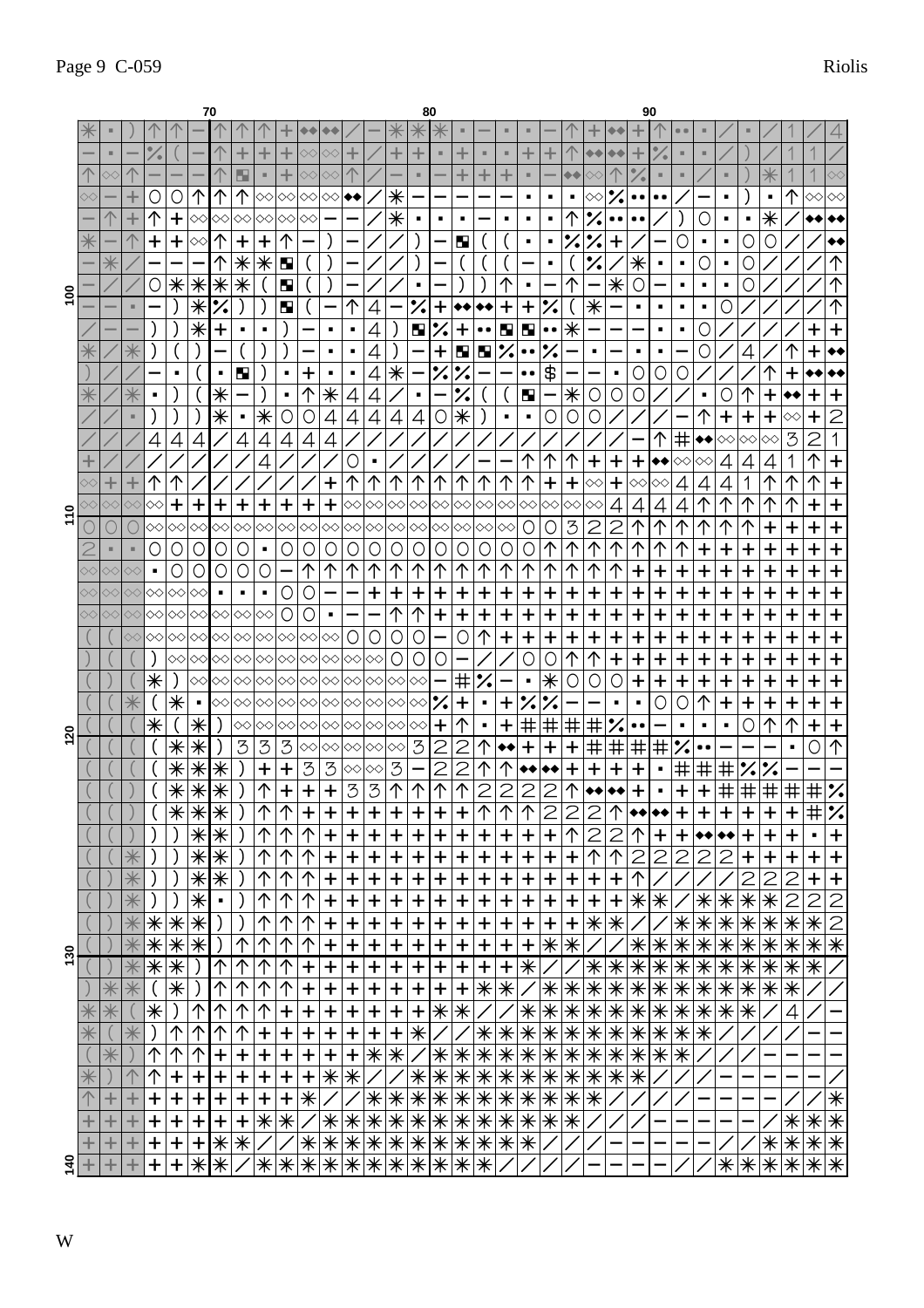|                  |        |          |          |                   |                  | 70                |                       |                       |                             |                       |                         |                    |                   |                   |                       | 80                |                   |                   |                   |                   |                  |                          |                  |                   |                   | 90                |                    |                   |                   |                              |                   |                   |                       |                          |                   |
|------------------|--------|----------|----------|-------------------|------------------|-------------------|-----------------------|-----------------------|-----------------------------|-----------------------|-------------------------|--------------------|-------------------|-------------------|-----------------------|-------------------|-------------------|-------------------|-------------------|-------------------|------------------|--------------------------|------------------|-------------------|-------------------|-------------------|--------------------|-------------------|-------------------|------------------------------|-------------------|-------------------|-----------------------|--------------------------|-------------------|
|                  |        |          |          |                   |                  |                   |                       |                       |                             |                       |                         |                    |                   |                   |                       |                   |                   |                   |                   |                   |                  |                          |                  |                   |                   |                   |                    |                   |                   |                              |                   |                   |                       |                          |                   |
|                  |        |          |          |                   |                  |                   |                       |                       |                             |                       | $\infty$                | $\curvearrowright$ |                   |                   |                       |                   |                   |                   |                   | п                 |                  |                          |                  |                   |                   |                   |                    |                   |                   |                              |                   |                   |                       |                          |                   |
|                  |        | $\infty$ |          |                   |                  |                   |                       | H                     |                             | ╅                     | $\diamondsuit \diamond$ | $\diamondsuit$     |                   |                   |                       |                   |                   |                   |                   | ÷                 | ш                |                          | $\bullet\bullet$ | $\infty$          |                   |                   |                    |                   |                   |                              |                   |                   |                       |                          |                   |
|                  |        |          |          |                   |                  |                   |                       |                       | ଚଚା                         | $\infty$              | ◇◇                      | ◇◇                 |                   |                   | $\ast$                |                   |                   |                   |                   |                   | ٠                |                          | ٠                | ◇◇                | <u>%</u>          |                   |                    |                   |                   |                              |                   |                   |                       | ◇◇                       | ∝                 |
|                  |        |          |          |                   | ÷.               | ◇◇                | ◇◇                    | ◇◇                    | ◇◇                          | ◇◇                    | ◇◇                      |                    |                   |                   | $\ast$                |                   | $\blacksquare$    | ٠                 |                   | ٠                 | ٠                | п                        | ↑                | ×                 |                   |                   |                    |                   | O                 |                              | п                 | $\ast$            |                       |                          |                   |
|                  |        |          |          |                   |                  |                   |                       |                       | $\ddag$                     |                       |                         |                    |                   |                   |                       |                   |                   | Ы                 |                   |                   | ٠                | п                        | ℅                | ℅                 |                   |                   |                    |                   | ٠                 |                              | О                 | С                 |                       |                          |                   |
|                  |        |          |          | $\mathbf +$       | ╈                | ◇◇                |                       | $\ddag$               |                             |                       |                         |                    |                   |                   |                       |                   |                   |                   |                   |                   |                  |                          |                  |                   | $\mathbf +$       |                   |                    | 0                 |                   |                              |                   |                   |                       |                          |                   |
|                  |        | $\ast$   |          |                   |                  |                   |                       | $\ast$                | $\ast$                      | Н                     |                         |                    |                   |                   |                       |                   |                   |                   |                   | ∧                 |                  | $\blacksquare$           |                  |                   |                   | $\ast$            | п                  | ٠                 | Ο                 | ٠                            | C                 |                   |                       |                          |                   |
| $\frac{8}{2}$    |        |          |          |                   | ⋇                | $\ast$            | ⋇                     | $\ast$                |                             | 53                    |                         |                    |                   |                   |                       |                   |                   |                   |                   |                   | ٠                |                          | ↑                |                   | $\ast$            | C                 |                    | Е                 | ٠                 | ٠                            |                   |                   |                       |                          |                   |
|                  |        |          | п        |                   |                  | $\ast$            |                       |                       |                             | Ы                     |                         |                    | ↑                 | 4                 |                       |                   | $\pmb{+}$         | ◆◆                | ◆◆                | $\ddag$           | $\ddag$          | ℅                        |                  | $\ast$            |                   | п                 | п                  | ٠                 | ٠                 | U                            |                   |                   |                       |                          |                   |
|                  |        |          |          |                   |                  | $\ast$            | ┿                     | ٠                     | п                           | J                     |                         | $\blacksquare$     | п                 |                   |                       | Ы                 | ⁄.                | ╈                 | $\bullet$         | Ы                 | Н                | $\bullet$                | $\ast$           |                   |                   |                   | ٠                  | п                 | С                 |                              |                   |                   |                       | ╈                        | ╈                 |
|                  |        |          | ⋇        |                   |                  |                   |                       |                       |                             |                       |                         | ٠                  | п                 | 4                 |                       |                   | $\ddot{}$         | $\blacksquare$    | Ы                 | $\boldsymbol{\%}$ | $\bullet$        | ×                        |                  | $\blacksquare$    |                   | $\blacksquare$    |                    |                   | С                 |                              | 4                 |                   |                       | ╇                        |                   |
|                  |        |          |          |                   | ٠                |                   | п                     | Н                     |                             | п                     | $\ddag$                 | п                  |                   | 4                 | $\ast$                |                   | %                 | ℅                 |                   |                   | $\bullet$        | \$                       |                  |                   | п                 | C                 |                    | 0                 |                   |                              |                   |                   | +                     |                          |                   |
|                  |        |          | ⋇        | П                 |                  |                   | $\ast$                |                       |                             | $\blacksquare$        | ↑                       | $\ast$             |                   |                   |                       | $\blacksquare$    |                   | ′•                |                   |                   | Ы                |                          | $\ast$           | Ο                 | С                 | С                 |                    |                   | ٠                 | O                            |                   | $\mathbf +$       | ◆◆                    | ╅                        |                   |
|                  |        |          |          |                   |                  |                   | $\ast$                | $\blacksquare$        | $\ast$                      | О                     | О                       | 4                  | 4                 | 4                 | 4                     | 4                 | Ο                 | $\ast$            |                   | $\blacksquare$    | $\blacksquare$   | О                        | 0                | Ο                 |                   |                   |                    |                   |                   | $\mathbf +$                  | $\ddot{}$         | $\ddot{}$         | ◇◇                    | ┿                        |                   |
|                  |        |          |          | 4                 | 4                | 4                 |                       | 4                     | 4                           | 4                     | 4                       | 4                  |                   |                   |                       |                   |                   |                   |                   |                   |                  |                          |                  |                   |                   |                   |                    | $\#$              | ◆◆                | ◇◇                           | ◇◇                | ◇◇                | 3                     |                          |                   |
|                  |        |          |          |                   |                  |                   |                       |                       | 4                           |                       |                         |                    |                   |                   |                       |                   |                   |                   |                   |                   |                  | ↑                        | ↑                | $\ddag$           | $\mathbf +$       | ┿                 |                    | ◇◇                | ◇◇                |                              |                   | 4                 |                       |                          |                   |
|                  |        |          |          |                   |                  |                   |                       |                       |                             |                       |                         | $\mathbf +$        |                   |                   |                       |                   |                   |                   |                   | ↑                 |                  | $\ddagger$               | $\mathbf +$      | ◇◇                | $\ddagger$        | ◇◇                | ◇◇                 |                   |                   |                              |                   |                   |                       |                          |                   |
|                  |        |          |          | ◇◇                | ╈                | ╈                 | ╈                     | $\mathbf +$           | ┿                           | $\ddag$               | $\mathbf +$             | $\ddag$            | ◇◇                | ◇◇                | $\infty$ i $\infty$ i |                   | ◇◇                | ◇◇∣◇◇             |                   | ◇◇                |                  | ◇◇∣◇◇                    | ◇◇               | ◇◇                | 4                 |                   |                    |                   |                   |                              |                   |                   |                       | ┿                        |                   |
| 110              |        |          |          | ◇◇                | ◇◇               | ◇◇                | ◇◇                    | ◇◇                    | ◇◇                          | $\diamondsuit$        | ◇◇                      | ◇◇                 | $\diamondsuit$    | ◇◇                |                       | ◇◇∣◇◇∣            | ◇◇                | ◇◇                | ◇◇                | ◇◇                | Ο                | О                        | 3                | 2                 | 2                 |                   |                    |                   |                   |                              |                   | +                 | $\mathbf +$           | $\ddag$                  |                   |
|                  |        |          | ш        | O                 | 0                | 0                 | O                     | С                     | ٠                           | О                     | O                       | Ο                  | O                 | C                 | 0                     | 0                 | U                 | O                 | О                 | С                 | Ο                | ↑                        |                  |                   |                   |                   |                    |                   | $\mathbf +$       | +                            | $\ddot{}$         | $\ddag$           | $\ddag$               | ╈                        |                   |
|                  |        |          |          | Е                 | $\bigcirc$       | Ο                 | O                     | С                     | Ο                           |                       | ↑                       |                    |                   |                   |                       |                   |                   |                   |                   | 个                 | ↑                | ↑                        |                  |                   |                   | ┿                 | ╈                  | ┿                 | ┿                 | ┿                            | $\ddag$           | $\ddag$           | +                     | ╈                        | ٠                 |
|                  |        |          |          | ◇◇                | ◇◇               | ◇◇                | $\blacksquare$        | $\blacksquare$        | $\blacksquare$              | О                     | 0                       |                    |                   | $\ddag$           | $\ddag$               | $\ddag$           | $\mathbf +$       | $\mathbf +$       | $\ddagger$        | $\ddag$           | $\ddag$          | $\ddag$                  | $\ddag$          | $\ddagger$        | $\ddot{}$         | $\ddag$           | $\mathbf +$        | $\ddagger$        | $\mathbf +$       | $\ddag$                      | $\ddag$           | $\ddag$           | $\mathbf +$           | +                        | ٠                 |
|                  |        |          |          |                   |                  |                   |                       |                       |                             |                       |                         |                    |                   |                   |                       |                   |                   |                   |                   |                   |                  |                          |                  |                   |                   |                   |                    |                   |                   |                              |                   |                   |                       |                          |                   |
|                  |        |          | $\infty$ | ◇◇                | ◇◇               | ◇◇                | ◇◇                    | $\Diamond \Diamond$   | ◇◇                          |                       | O                       |                    |                   |                   |                       |                   | $\mathbf +$       | $\mathbf +$       | $\ddot{}$         | $\ddag$           | $\ddag$          | $\ddagger$               | $\mathbf +$      | $\mathbf +$       | $\mathbf +$       | ┿                 | ╈                  | $\mathbf +$       | ┿                 | ╈                            | +                 | $\ddag$           | +                     | ┿                        |                   |
|                  |        |          | $\infty$ | ◇◇                | ◇◇               | ◇◇                | ◇◇                    | ◇◇                    | $\infty$ $\infty$           |                       | $\diamondsuit$          | ∣◇◇                | O                 | С                 | 0                     | 0                 |                   | Ο                 | 个                 | $\ddagger$        | $\ddag$          | $\ddag$                  | $\mathbf +$      | $\mathbf +$       | +                 | $\mathbf +$       | ┿                  | $\mathbf +$       | ┿                 | $\mathbf +$                  | +                 | $\ddag$           | +                     | ┿                        |                   |
|                  |        |          |          |                   | ◇◇               | $\infty$          | ∣◇◇                   | ◇◇                    |                             | $\infty$ l $\infty$   | ♦                       | ∣◇◇                | ∣◇◇               | ◇◇                | 0                     | 0                 | Ο                 |                   |                   |                   | Ο                | О                        |                  |                   | $\ddag$           | $\mathbf +$       | $\mathbf +$        | $\ddag$           | $\mathbf +$       | ┿                            | $\ddot{}$         | $\ddag$           | ╋                     | ┿                        |                   |
|                  |        |          |          | ⋇                 |                  | ◇◇                | ◇◇                    | ◇◇                    |                             | ◇◇∣◇◇                 | ◇◇                      | ◇◇                 | ◇◇                | ◇◇                | ⇔ା                    | ◇◇                |                   | #                 | %                 |                   | $\blacksquare$   | $\ast$                   | O                |                   | U                 | $\mathbf +$       | ┿                  | $\ddag$           | +                 | +                            | $\mathbf +$       | +                 | ╋                     | ╈                        |                   |
|                  |        |          |          |                   | ⋇                | п                 | ◇◇                    | ◇◇                    |                             | ◇◇∣◇◇                 | ◇◇                      | ◇◇                 | ♦                 | ◇◇                | ◇◇∣◇◇                 |                   |                   | $\mathbf +$       | $\blacksquare$    | $\ddagger$        |                  | $\mathcal{V}_{\bullet}$  |                  |                   | ٠                 | п                 |                    | 0                 |                   | $\ddag$                      | +                 | $\ddag$           | ┿                     | ┿                        |                   |
| $\boldsymbol{S}$ |        |          |          | $\ast$            |                  | ⋇                 |                       | ◇◇                    | ◇◇∣                         | ◇◇                    | ◇◇                      | ◇◇                 | ∾                 | ◇◇                | ◇◇∣◇◇                 |                   | ┿                 |                   | $\blacksquare$    | $\ddag$           | $\#$             | #                        | $\#$             | #                 |                   |                   |                    |                   |                   | ٠                            | С                 |                   |                       | ┿                        |                   |
|                  |        |          |          |                   | $\ast$           |                   |                       | 3                     | 3                           | 3                     | ◇◇                      | ◇◇                 | ∣◇◇               | ◇◇                | ◇◇                    | 3                 |                   |                   |                   | ◆◆                | $\ddag$          | $\ddot{}$                | $\ddag$          | ♯                 | ♯                 | ♯                 | #                  |                   |                   |                              |                   |                   | ٠                     |                          |                   |
|                  |        |          |          |                   | $\ast$           | $\ast$            | ⋇                     |                       | +                           | +                     | 3                       | 3                  | ◇◇                | ◇◇                | 3                     |                   |                   | 2                 |                   |                   |                  |                          | +                | $\mathbf +$       | $\ddot{}$         | ┿                 |                    | $\bm{\texttt{+}}$ | ♯                 | $\bm{\ddagger}$              |                   |                   |                       |                          |                   |
|                  |        |          |          |                   | $\ast$           | $\ast$            | ⋇                     |                       |                             | $\ddot{}$             | $\mathbf +$             | $\mathbf +$        | 3                 | 3                 |                       | ↑                 |                   |                   | $\overline{c}$    | 2                 | $\overline{2}$   | $\overline{c}$           |                  |                   | ◆◆                | ٠                 |                    | $\ddag$           | $\ddag$           | #                            | #                 | #                 | $\overline{\ddagger}$ | $\overline{\ddot{\ast}}$ |                   |
|                  |        |          |          |                   | $\ast$           | $\overline{\ast}$ | $\ast$                |                       | ↑                           | ↑                     | $\mathbf +$             | ┿                  | $\ddag$           | $\mathbf +$       | +                     | $\ddag$           | $\pmb{+}$         | $\ddag$           | ↑                 | 个                 | ↑                | $\overline{2}$           | $\overline{2}$   | $\overline{2}$    |                   |                   |                    |                   | +                 | +                            | $\ddag$           | +                 | $\ddag$               | #                        | $\frac{1}{2}$     |
|                  |        |          |          |                   |                  | $\overline{\ast}$ | $\ast$                |                       | ↑                           | ↑                     | ↑                       | $\ddot{}$          | $\ddagger$        | $\ddagger$        | $\ddag$               | $\ddag$           | $\ddag$           | $\ddag$           | $\ddagger$        | $\ddagger$        | $\ddag$          | $\ddot{}$                | $\hat{\uparrow}$ | $\overline{2}$    | $\mathbf{Z}$      |                   | $\ddot{}$          | $\ddag$           |                   | $\blacklozenge\blacklozenge$ | $\ddag$           | $\ddagger$        | $\ddag$               | $\blacksquare$           | $\ddag$           |
|                  |        |          |          |                   |                  | $\overline{\ast}$ | $\overline{\ast}$     |                       | $\hat{\uparrow}$            | 个                     | 个                       | $\ddot{}$          | $\ddag$           | $\ddag$           | $\ddag$               | $\ddot{}$         | $\ddagger$        | $\ddag$           | $\overline{+}$    | $\ddot{}$         | $\ddot{}$        | $\ddot{}$                | $\ddot{}$        | 个                 | 个                 | $\overline{2}$    | 2                  | $\mathbf{Z}$      | $\mathsf{S}$      | $\overline{2}$               | $\overline{+}$    | $\ddot{}$         |                       | $\ddot{}$                | $\ddagger$        |
|                  |        |          |          |                   |                  | $\ast$            | $\ast$                |                       | ↑                           | ↑                     | ↑                       | $\ddot{}$          | $\ddot{}$         | $\ddag$           | $\ddag$               | $\ddag$           | $\ddag$           | $\mathbf +$       | $\ddot{}$         | $\ddot{}$         | $\ddagger$       | $\ddot{}$                | $\ddot{}$        | $\ddagger$        | $\ddagger$        | 个                 |                    |                   |                   |                              | $\overline{2}$    | $\overline{2}$    | $rac{+}{2}$           | $\overline{+}$           |                   |
|                  |        |          | $\ast$   |                   |                  | $\ast$            |                       |                       | $\overline{\phantom{a}}$    | $\hat{\uparrow}$      | ↑                       | $\ddot{}$          | $\ddag$           | $\ddagger$        | $\ddagger$            | $\ddag$           | $\ddagger$        | $\ddag$           | $\ddot{}$         | $\ddot{}$         | $\ddot{}$        | $\ddot{}$                | $\ddot{}$        | $\ddot{}$         | $\ddot{}$         | $\ast$            | $\ast$             |                   | $\ast$            | $\overline{\ast}$            |                   | $* * $            |                       | $\frac{1}{\sqrt{2}}$     | $\frac{1}{2}$     |
|                  |        |          | $\ast$   | $\ast$            | $\ast$           | $\overline{\ast}$ |                       |                       | $\hat{\uparrow}$            | $\hat{\uparrow}$      | $\hat{\uparrow}$        | $\ddot{}$          | $\ddag$           | $\ddag$           | $\ddag$               | $\ddag$           | $\ddag$           | $\ddagger$        | $\ddot{}$         | $\ddot{}$         | $\ddot{}$        | $\ddot{}$                | $\ddagger$       | $\ast$            | $\overline{\ast}$ |                   |                    | $\overline{\ast}$ | $\overline{\ast}$ | $*$                          | $\frac{*}{*}$     |                   | $* k $                |                          |                   |
|                  |        |          | $\ast$   | $\ast$            | $\ast$           | $\ast$            |                       | 个                     | ↑                           | 个                     | 个                       | $\ddot{}$          | $\ddagger$        | $\ddag$           | $\ddag$               | $\ddot{}$         | $\ddot{}$         | $\ddot{}$         | $\ddot{}$         | $\overline{+}$    | $\ddot{}$        | $\overline{\ast}$        | $ \ast $         |                   |                   | $\ast$            | $\ast$             | $\overline{\ast}$ | $\overline{\ast}$ | $\overline{\ast}$            | $\overline{\ast}$ | $\overline{\ast}$ |                       | $\overline{\ast}$        | $\overline{\ast}$ |
| 130              |        |          | $\ast$   | $\overline{\ast}$ | $\frac{\ast}{ }$ | $\big)$           | $\overline{\uparrow}$ | $\overline{\Uparrow}$ | $\overline{\uparrow}$       | $\overline{\uparrow}$ | $\overline{+}$          | $\ddot{}$          | $\ddot{}$         | $\ddag$           | $\ddot{}$             | $\overline{+}$    | $\ddot{}$         | $\ddot{}$         | $+$               | $\overline{+}$    | $\divideontimes$ | $\overline{\phantom{a}}$ |                  | $\overline{\ast}$ | $\ast$            | $\overline{\ast}$ | $\overline{\ast}$  | $\overline{\ast}$ | $\overline{\ast}$ |                              |                   |                   |                       | $\overline{\ast}$        |                   |
|                  |        | $\ast$   | $\ast$   |                   | $\ast$           |                   | ↑                     | $\hat{\uparrow}$      |                             | $\overline{\uparrow}$ | $\ddagger$              | $\ddot{}$          | $\ddag$           | $\ddagger$        | $\ddot{}$             | $\ddagger$        | $\ddot{}$         | $\ddot{}$         | $\overline{\ast}$ | $\overline{\ast}$ |                  | $\overline{\ast}$        |                  | $\overline{\ast}$ | $\ast$            | $\overline{\ast}$ | $*$                | $\overline{\ast}$ | $\overline{\ast}$ | $\frac{1}{*}$                |                   | $\frac{1}{*}$     | $\frac{*}{*}$         |                          |                   |
|                  |        |          |          | $\overline{\ast}$ |                  | ↑                 | ↑                     | $\hat{\uparrow}$      | $\rightarrow$ $\rightarrow$ | $\ddagger$            | $\ddot{}$               | $\ddot{}$          | $\ddot{}$         | $\ddag$           | $\ddot{}$             | $\ddot{}$         | $\ast$            | $\overline{\ast}$ | $\bar{Z}$         |                   |                  |                          | $\frac{*}{*}$    | $*$               | $\overline{\ast}$ | $\ast$            | $\bar{\mathbf{F}}$ | $\overline{\ast}$ | $\overline{\ast}$ | $\overline{\ast}$            | ***               |                   | $\overline{4}$        |                          |                   |
|                  |        |          | $\ast$   | )                 | 个                | ↑                 | ↑                     | 个                     | $\ddot{}$                   | $\ddot{}$             |                         |                    | $\ddag$           |                   |                       | $\overline{\ast}$ |                   |                   |                   |                   |                  |                          |                  |                   |                   |                   | $\bar{\mathbf{t}}$ |                   | $\overline{\ast}$ |                              |                   |                   |                       |                          |                   |
|                  | $\ast$ |          |          |                   |                  |                   | $\overline{+}$        |                       | $\overline{+}$              | $\overline{+}$        | $\ddot{}$               | $\ddag$            |                   | $\ddot{}$         | $\ddot{}$             |                   |                   |                   |                   |                   |                  |                          |                  | $\frac{1}{*}$     | $\frac{*}{*}$     | $\frac{*}{*}$     | $\overline{\ast}$  | $\frac{1}{*}$     |                   |                              |                   |                   |                       |                          |                   |
|                  |        | $\ast$   |          | 个                 | ↑                | 个                 |                       | $\overline{+}$        |                             |                       | $\ddot{}$               | $\ddot{}$          | $\ddot{}$         | $\overline{\ast}$ | $\overline{\ast}$     |                   | $\ast$            | $\frac{*}{\ast}$  | ******            | ******            | ********         | ******                   | $* *$            |                   |                   |                   |                    |                   |                   |                              |                   |                   |                       |                          |                   |
|                  | $\ast$ |          |          | ↑                 | $\mathbf +$      | $\ddag$           | $\ddot{}$             | $\ddot{}$             | $\ddot{}$                   | $\ddot{}$             | $\ddot{}$               | $\ast$             | $\overline{\ast}$ |                   |                       | $ \divideontimes$ | $\overline{\ast}$ | $\overline{\ast}$ |                   |                   |                  |                          |                  | $\overline{\ast}$ | $\ast$            | $\overline{\ast}$ |                    |                   |                   |                              |                   |                   |                       |                          |                   |
|                  |        | $\,{}^+$ | $\ddag$  | $\ddagger$        | $\ddagger$       | $\ddot{}$         | $\overline{+}$        | $\overline{+}$        | $\overline{+}$              | $+\frac{1}{*}$        | $\overline{\ast}$       |                    |                   | $\ast$            | $\overline{\ast}$     | $\overline{\ast}$ | $\overline{\ast}$ | $\overline{\ast}$ |                   |                   |                  |                          | $\frac{*}{*}$    | $\overline{\ast}$ |                   |                   |                    |                   |                   |                              |                   |                   |                       |                          | 米米米米米             |
|                  |        | $\pm$    | $\ddag$  | $\ddag$           | $\mathbf +$      | $\ddagger$        | $\ddot{}$             | $\ddagger$            | $\overline{\ast}$           |                       |                         | $\overline{\ast}$  | $\frac{1}{*}$     | $\overline{\ast}$ | $ \bar{\mathbf{X}} $  | $\overline{\ast}$ | $\overline{\ast}$ | $*$               |                   |                   |                  |                          |                  |                   |                   |                   |                    |                   |                   |                              |                   |                   | $* * *$               | $ \ast $ $\neq$          |                   |
|                  |        | $\pm$    | ÷        | $\ddagger$        | $\ddagger$       | $\ddagger$        | $\overline{\ast}$     | $\overline{\ast}$     |                             |                       | $*$                     | $\frac{*}{*}$      |                   | $\overline{\ast}$ | $\bar{\mathbf{F}}$    | $*$               | $\overline{\ast}$ | $\overline{\ast}$ |                   |                   |                  |                          |                  |                   |                   |                   |                    |                   |                   |                              |                   | $*$               |                       |                          |                   |
| 140              |        |          |          | $\ddag$           | $\ddag$          | $\ast$            | $\overline{\ast}$     |                       | $\ast$                      | $\overline{\ast}$     |                         |                    |                   | $\ast$            | $\overline{\ast}$     | $\ast$            | $\overline{\ast}$ | $\ast$            | $\overline{\ast}$ |                   |                  |                          |                  |                   |                   |                   |                    |                   |                   | $\ast$                       | $\ast$            |                   |                       |                          |                   |

Riolis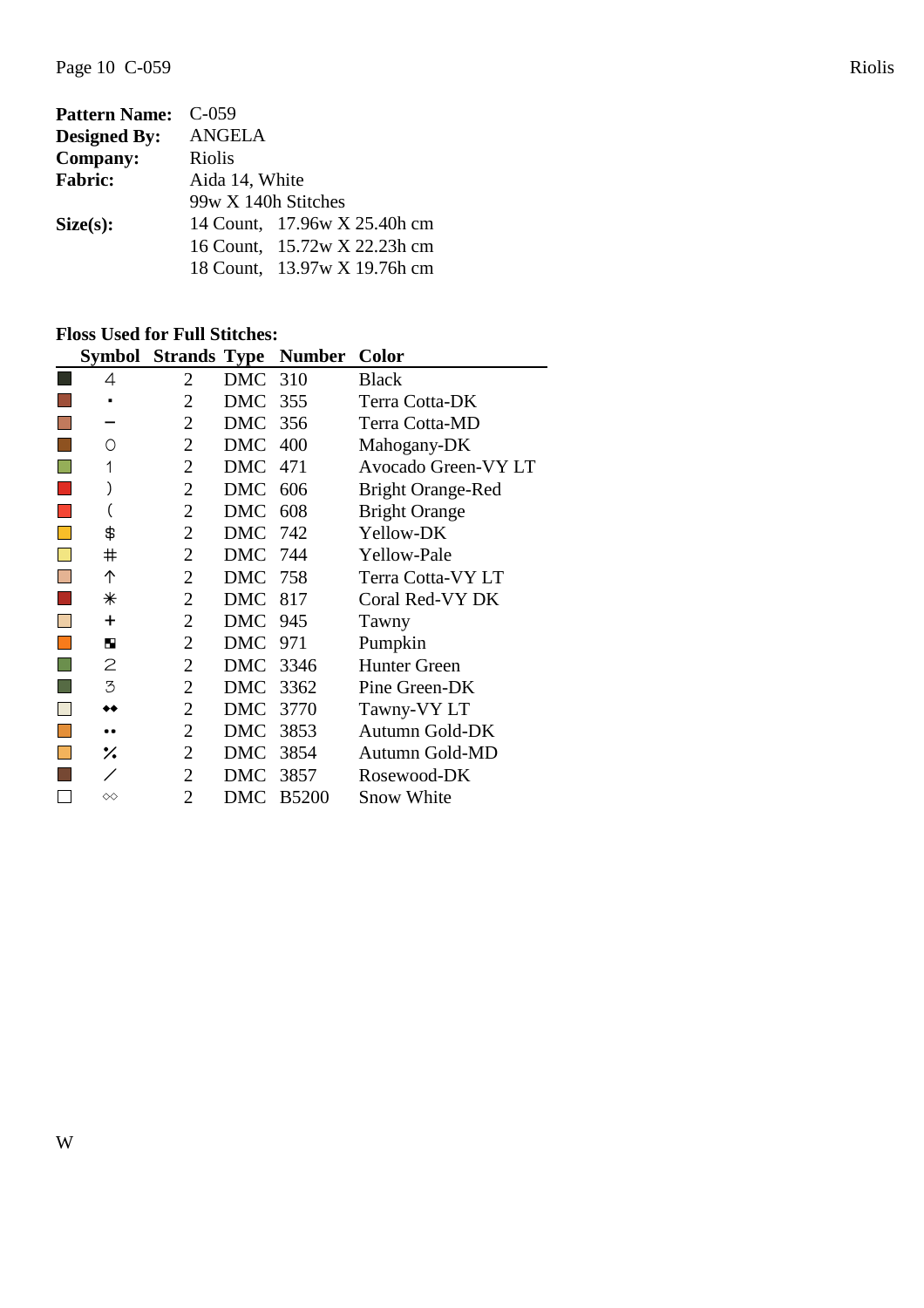| <b>Pattern Name:</b> | $C-0.59$                     |  |
|----------------------|------------------------------|--|
| <b>Designed By:</b>  | <b>ANGELA</b>                |  |
| <b>Company:</b>      | Riolis                       |  |
| <b>Fabric:</b>       | Aida 14, White               |  |
|                      | 99w X 140h Stitches          |  |
| Size(s):             | 14 Count, 17.96w X 25.40h cm |  |
|                      | 16 Count, 15.72w X 22.23h cm |  |
|                      | 18 Count, 13.97w X 19.76h cm |  |

## **Floss Used for Full Stitches:**

| Symbol       | <b>Strands Type</b> |            | <b>Number</b> | <b>Color</b>             |
|--------------|---------------------|------------|---------------|--------------------------|
| 4            | $\overline{2}$      | DMC 310    |               | <b>Black</b>             |
|              | $\overline{2}$      | <b>DMC</b> | 355           | Terra Cotta-DK           |
|              | $\overline{2}$      | <b>DMC</b> | 356           | Terra Cotta-MD           |
| Ω            | $\overline{2}$      | <b>DMC</b> | 400           | Mahogany-DK              |
| 1            | $\overline{2}$      | <b>DMC</b> | 471           | Avocado Green-VY LT      |
|              | $\overline{2}$      | <b>DMC</b> | 606           | <b>Bright Orange-Red</b> |
|              | $\overline{2}$      | <b>DMC</b> | 608           | <b>Bright Orange</b>     |
| \$           | $\overline{2}$      | <b>DMC</b> | 742           | Yellow-DK                |
| #            | $\overline{2}$      | <b>DMC</b> | -744          | Yellow-Pale              |
| ↑            | $\overline{2}$      | <b>DMC</b> | -758          | Terra Cotta-VY LT        |
| ⋇            | $\overline{2}$      | <b>DMC</b> | 817           | Coral Red-VY DK          |
| $\div$       | $\overline{2}$      | <b>DMC</b> | 945           | Tawny                    |
| ю            | $\overline{2}$      | <b>DMC</b> | 971           | Pumpkin                  |
| $\mathbf{Z}$ | $\overline{2}$      | <b>DMC</b> | 3346          | <b>Hunter Green</b>      |
| 3            | $\overline{2}$      | <b>DMC</b> | 3362          | Pine Green-DK            |
| ◆◆           | 2                   | <b>DMC</b> | 3770          | Tawny-VY LT              |
|              | $\overline{2}$      | <b>DMC</b> | 3853          | Autumn Gold-DK           |
| %            | $\overline{2}$      | <b>DMC</b> | 3854          | Autumn Gold-MD           |
|              | $\overline{2}$      | <b>DMC</b> | 3857          | Rosewood-DK              |
| $\infty$     | $\overline{2}$      | DMC        | <b>B5200</b>  | Snow White               |